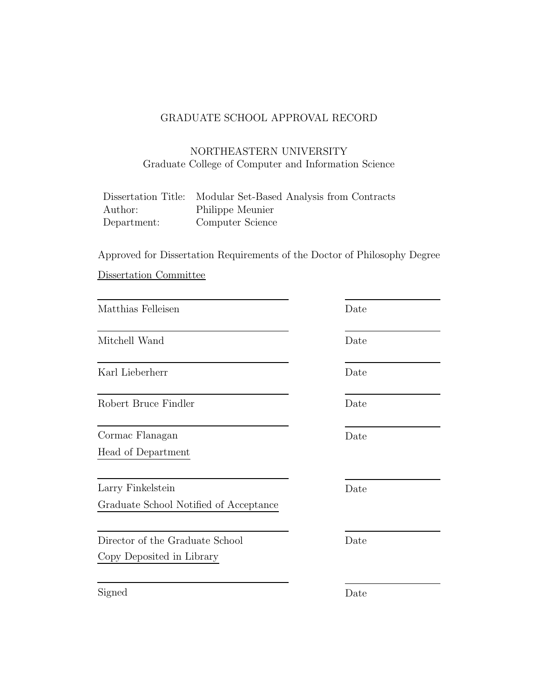## GRADUATE SCHOOL APPROVAL RECORD

### NORTHEASTERN UNIVERSITY Graduate College of Computer and Information Science

|             | Dissertation Title: Modular Set-Based Analysis from Contracts |
|-------------|---------------------------------------------------------------|
| Author:     | Philippe Meunier                                              |
| Department: | Computer Science                                              |

Approved for Dissertation Requirements of the Doctor of Philosophy Degree Dissertation Committee

| Date |
|------|
| Date |
| Date |
| Date |
| Date |
|      |
| Date |
|      |
| Date |
|      |
|      |
| Date |
|      |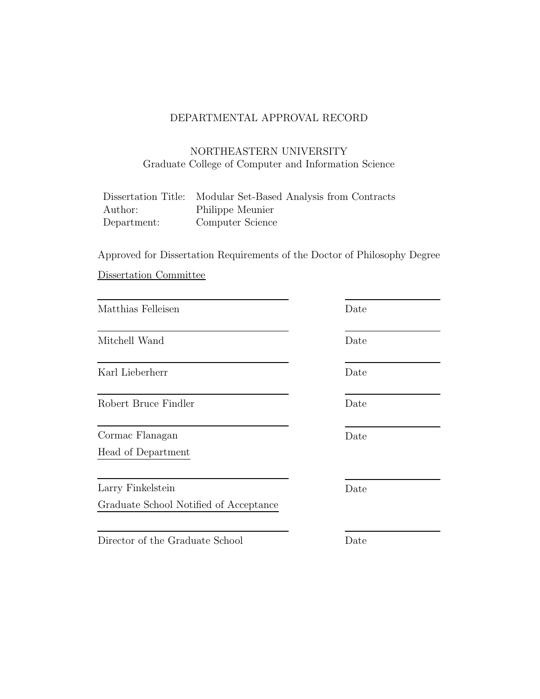## DEPARTMENTAL APPROVAL RECORD

### NORTHEASTERN UNIVERSITY Graduate College of Computer and Information Science

|             | Dissertation Title: Modular Set-Based Analysis from Contracts |
|-------------|---------------------------------------------------------------|
| Author:     | Philippe Meunier                                              |
| Department: | Computer Science                                              |

Approved for Dissertation Requirements of the Doctor of Philosophy Degree Dissertation Committee

| Matthias Felleisen                                          | Date |
|-------------------------------------------------------------|------|
| Mitchell Wand                                               | Date |
| Karl Lieberherr                                             | Date |
| Robert Bruce Findler                                        | Date |
| Cormac Flanagan<br>Head of Department                       | Date |
| Larry Finkelstein<br>Graduate School Notified of Acceptance | Date |
| Director of the Graduate School                             | Date |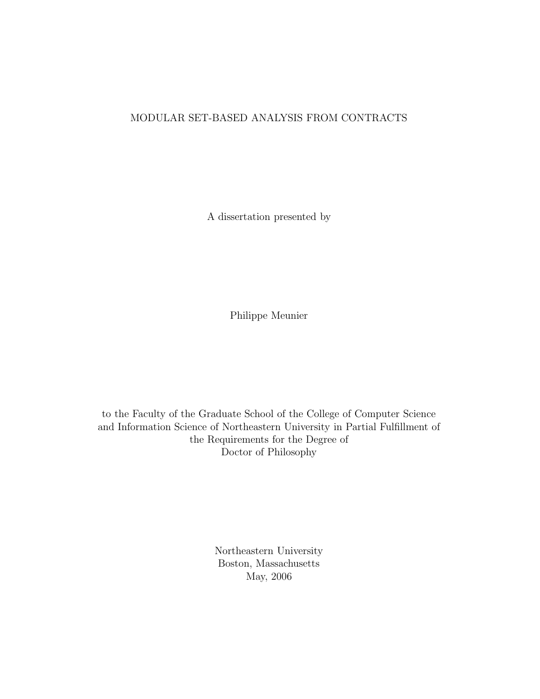#### MODULAR SET-BASED ANALYSIS FROM CONTRACTS

A dissertation presented by

Philippe Meunier

to the Faculty of the Graduate School of the College of Computer Science and Information Science of Northeastern University in Partial Fulfillment of the Requirements for the Degree of Doctor of Philosophy

> Northeastern University Boston, Massachusetts May, 2006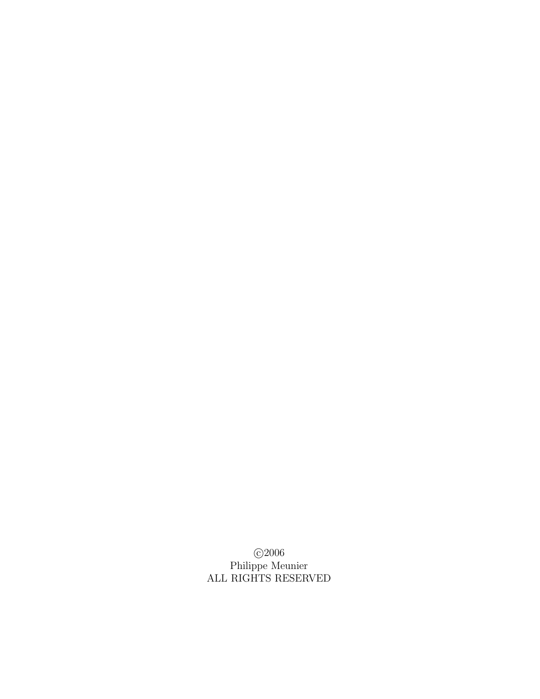c 2006 Philippe Meunier ALL RIGHTS RESERVED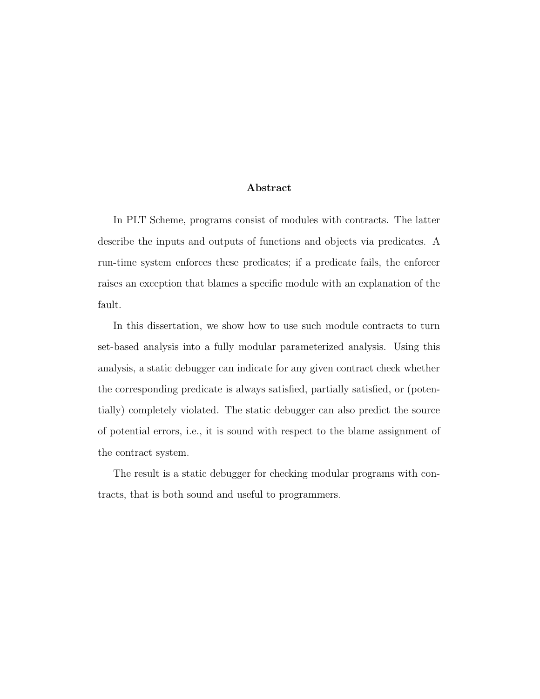#### Abstract

In PLT Scheme, programs consist of modules with contracts. The latter describe the inputs and outputs of functions and objects via predicates. A run-time system enforces these predicates; if a predicate fails, the enforcer raises an exception that blames a specific module with an explanation of the fault.

In this dissertation, we show how to use such module contracts to turn set-based analysis into a fully modular parameterized analysis. Using this analysis, a static debugger can indicate for any given contract check whether the corresponding predicate is always satisfied, partially satisfied, or (potentially) completely violated. The static debugger can also predict the source of potential errors, i.e., it is sound with respect to the blame assignment of the contract system.

The result is a static debugger for checking modular programs with contracts, that is both sound and useful to programmers.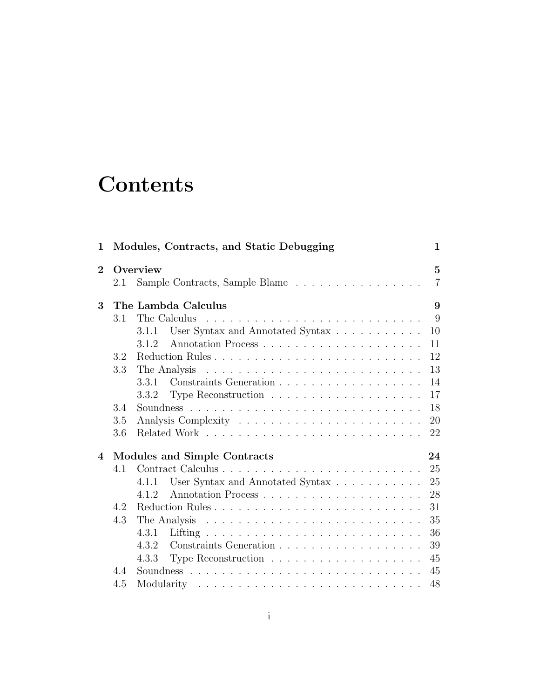# **Contents**

|     |                                                                                           | $\overline{5}$                                                                                                                                                       |
|-----|-------------------------------------------------------------------------------------------|----------------------------------------------------------------------------------------------------------------------------------------------------------------------|
| 2.1 | Sample Contracts, Sample Blame                                                            | $\overline{7}$                                                                                                                                                       |
|     |                                                                                           | 9                                                                                                                                                                    |
| 3.1 | The Calculus<br><u>. A series and a series and a series and a series and a series and</u> | 9                                                                                                                                                                    |
|     | 3.1.1                                                                                     | 10                                                                                                                                                                   |
|     | 3.1.2                                                                                     | 11                                                                                                                                                                   |
| 3.2 |                                                                                           | 12                                                                                                                                                                   |
| 3.3 |                                                                                           | 13                                                                                                                                                                   |
|     | 3.3.1                                                                                     | 14                                                                                                                                                                   |
|     |                                                                                           | 17                                                                                                                                                                   |
| 3.4 |                                                                                           | 18                                                                                                                                                                   |
| 3.5 |                                                                                           | 20                                                                                                                                                                   |
| 3.6 |                                                                                           | 22                                                                                                                                                                   |
|     |                                                                                           | 24                                                                                                                                                                   |
| 4.1 |                                                                                           | 25                                                                                                                                                                   |
|     | 4.1.1                                                                                     | 25                                                                                                                                                                   |
|     | 4.1.2                                                                                     | 28                                                                                                                                                                   |
| 4.2 |                                                                                           | 31                                                                                                                                                                   |
| 4.3 |                                                                                           | 35                                                                                                                                                                   |
|     |                                                                                           | 36                                                                                                                                                                   |
|     | 4.3.2                                                                                     | 39                                                                                                                                                                   |
|     | 4.3.3                                                                                     | 45                                                                                                                                                                   |
| 44  |                                                                                           | 45                                                                                                                                                                   |
|     |                                                                                           |                                                                                                                                                                      |
|     |                                                                                           | Overview<br>The Lambda Calculus<br>User Syntax and Annotated Syntax $\dots \dots \dots$<br>Modules and Simple Contracts<br>User Syntax and Annotated Syntax<br>4.3.1 |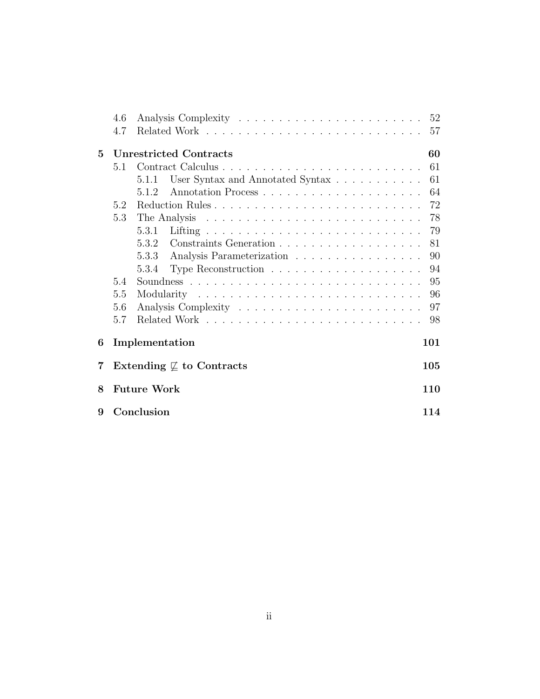|   | 4.6 |                                                                          |     |
|---|-----|--------------------------------------------------------------------------|-----|
|   | 4.7 |                                                                          | 57  |
| 5 |     | <b>Unrestricted Contracts</b>                                            | 60  |
|   | 5.1 |                                                                          | 61  |
|   |     | User Syntax and Annotated Syntax<br>5.1.1                                | 61  |
|   |     | 5.1.2                                                                    | 64  |
|   | 5.2 |                                                                          | 72  |
|   | 5.3 |                                                                          | 78  |
|   |     | 5.3.1                                                                    | 79  |
|   |     |                                                                          | 81  |
|   |     | Analysis Parameterization<br>5.3.3                                       | 90  |
|   |     | Type Reconstruction $\ldots \ldots \ldots \ldots \ldots \ldots$<br>5.3.4 | 94  |
|   | 5.4 |                                                                          | 95  |
|   | 5.5 |                                                                          | 96  |
|   | 5.6 |                                                                          | 97  |
|   | 5.7 |                                                                          | 98  |
| 6 |     | Implementation                                                           | 101 |
| 7 |     | Extending $\mathcal{I}$ to Contracts                                     | 105 |
| 8 |     | <b>Future Work</b>                                                       | 110 |
| 9 |     | Conclusion                                                               | 114 |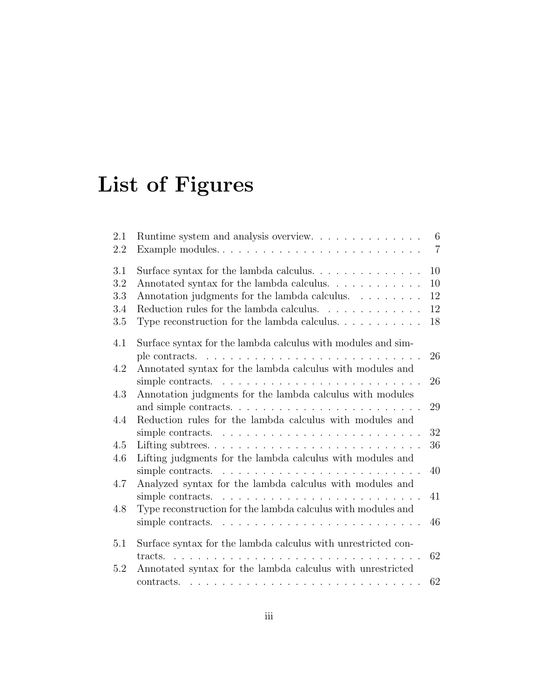# List of Figures

| 2.1<br>2.2 | Runtime system and analysis overview.<br>Example modules                           | 6<br>$\overline{7}$ |
|------------|------------------------------------------------------------------------------------|---------------------|
| 3.1        |                                                                                    | 10                  |
| 3.2        | Annotated syntax for the lambda calculus.                                          | 10                  |
| 3.3        | Annotation judgments for the lambda calculus.                                      | 12                  |
| 3.4        | Reduction rules for the lambda calculus. $\ldots \ldots \ldots \ldots$             | 12                  |
| 3.5        | Type reconstruction for the lambda calculus. $\dots \dots \dots$                   | 18                  |
| 4.1        | Surface syntax for the lambda calculus with modules and sim-                       |                     |
|            | ple contracts. $\ldots \ldots \ldots \ldots \ldots \ldots \ldots \ldots$           | 26                  |
| 4.2        | Annotated syntax for the lambda calculus with modules and                          |                     |
|            | simple contracts. $\dots \dots \dots \dots \dots \dots \dots \dots \dots \dots$    | 26                  |
| 4.3        | Annotation judgments for the lambda calculus with modules                          |                     |
|            |                                                                                    | 29                  |
| 4.4        | Reduction rules for the lambda calculus with modules and                           |                     |
|            | simple contracts. $\dots \dots \dots \dots \dots \dots \dots \dots \dots \dots$    | 32                  |
| 4.5        |                                                                                    | 36                  |
| 4.6        | Lifting judgments for the lambda calculus with modules and                         |                     |
|            | simple contracts. $\dots \dots \dots \dots \dots \dots \dots \dots \dots$          | 40                  |
| 4.7        | Analyzed syntax for the lambda calculus with modules and                           |                     |
|            | simple contracts. $\dots \dots \dots \dots \dots \dots \dots \dots \dots \dots$    | 41                  |
| 4.8        | Type reconstruction for the lambda calculus with modules and                       |                     |
|            | simple contracts. $\dots \dots \dots \dots \dots \dots \dots \dots \dots$          | 46                  |
| 5.1        | Surface syntax for the lambda calculus with unrestricted con-                      |                     |
|            | tracts.                                                                            | 62                  |
| 5.2        | Annotated syntax for the lambda calculus with unrestricted                         |                     |
|            | $contracts. \ldots \ldots \ldots \ldots \ldots \ldots \ldots \ldots \ldots \ldots$ | 62                  |
|            |                                                                                    |                     |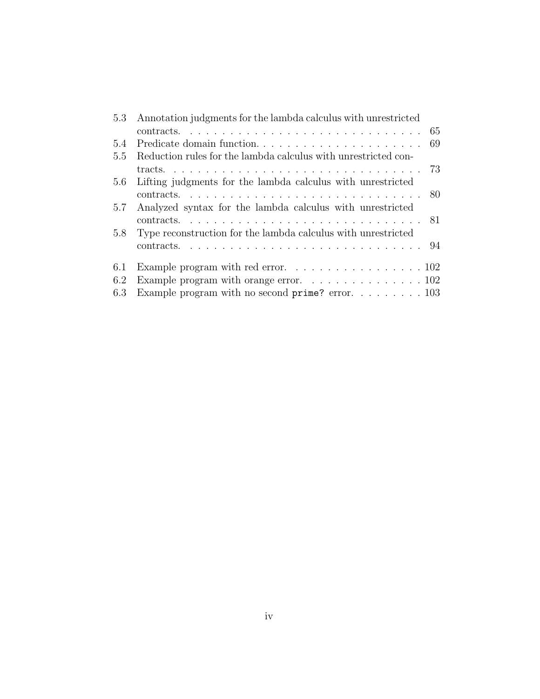| 5.3 Annotation judgments for the lambda calculus with unrestricted |                                                                             |  |
|--------------------------------------------------------------------|-----------------------------------------------------------------------------|--|
|                                                                    |                                                                             |  |
| 5.4                                                                |                                                                             |  |
| 5.5                                                                | Reduction rules for the lambda calculus with unrestricted con-              |  |
|                                                                    |                                                                             |  |
|                                                                    | 5.6 Lifting judgments for the lambda calculus with unrestricted             |  |
|                                                                    |                                                                             |  |
| 5.7                                                                | Analyzed syntax for the lambda calculus with unrestricted                   |  |
|                                                                    |                                                                             |  |
| 5.8                                                                | Type reconstruction for the lambda calculus with unrestricted               |  |
|                                                                    |                                                                             |  |
| 6.1                                                                |                                                                             |  |
| 6.2                                                                | Example program with orange error. $\ldots \ldots \ldots \ldots \ldots 102$ |  |
| 6.3                                                                | Example program with no second prime? error. 103                            |  |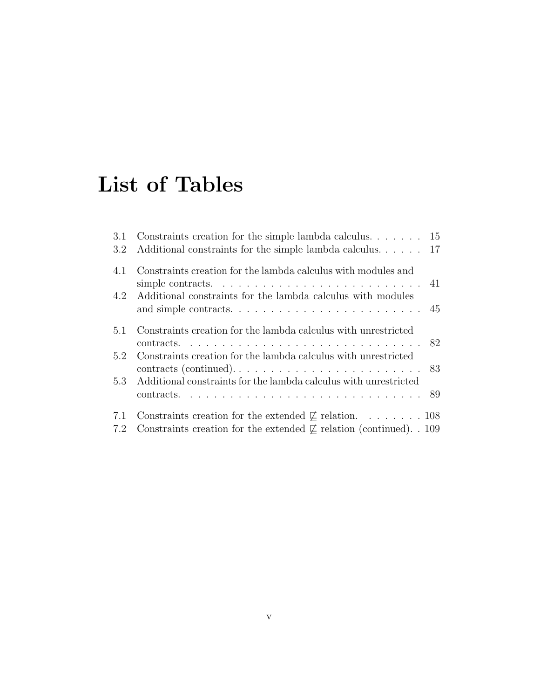# List of Tables

| 3.1<br>3.2 | Constraints creation for the simple lambda calculus $15$<br>Additional constraints for the simple lambda calculus 17                                       |  |
|------------|------------------------------------------------------------------------------------------------------------------------------------------------------------|--|
| 4.1        | Constraints creation for the lambda calculus with modules and                                                                                              |  |
| 4.2        | Additional constraints for the lambda calculus with modules                                                                                                |  |
| 5.1        | Constraints creation for the lambda calculus with unrestricted                                                                                             |  |
| 5.2        | Constraints creation for the lambda calculus with unrestricted                                                                                             |  |
| 5.3        | Additional constraints for the lambda calculus with unrestricted                                                                                           |  |
| 7.1<br>7.2 | Constraints creation for the extended $\not\sqsubseteq$ relation. 108<br>Constraints creation for the extended $\not\sqsubset$ relation (continued). . 109 |  |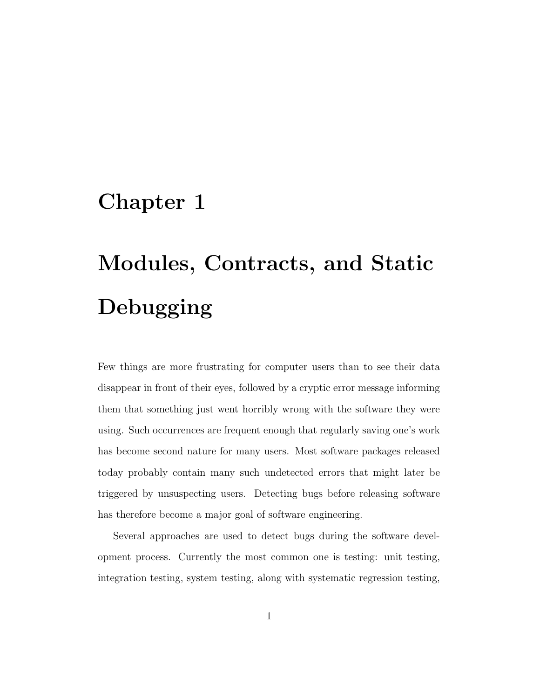# Chapter 1

# Modules, Contracts, and Static Debugging

Few things are more frustrating for computer users than to see their data disappear in front of their eyes, followed by a cryptic error message informing them that something just went horribly wrong with the software they were using. Such occurrences are frequent enough that regularly saving one's work has become second nature for many users. Most software packages released today probably contain many such undetected errors that might later be triggered by unsuspecting users. Detecting bugs before releasing software has therefore become a major goal of software engineering.

Several approaches are used to detect bugs during the software development process. Currently the most common one is testing: unit testing, integration testing, system testing, along with systematic regression testing,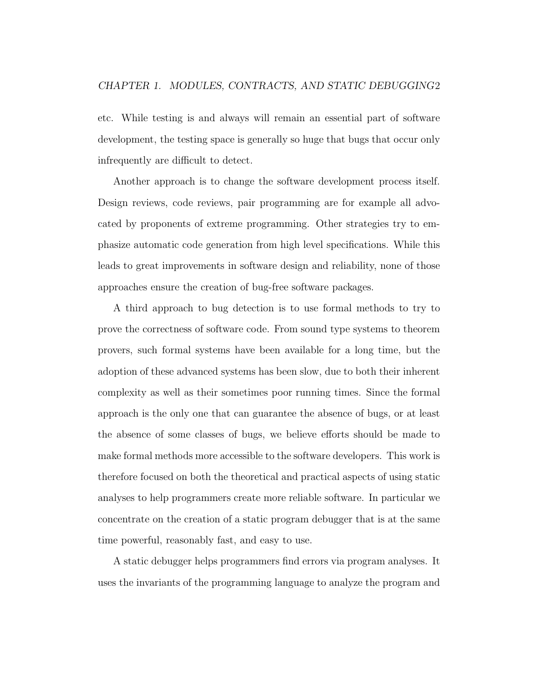etc. While testing is and always will remain an essential part of software development, the testing space is generally so huge that bugs that occur only infrequently are difficult to detect.

Another approach is to change the software development process itself. Design reviews, code reviews, pair programming are for example all advocated by proponents of extreme programming. Other strategies try to emphasize automatic code generation from high level specifications. While this leads to great improvements in software design and reliability, none of those approaches ensure the creation of bug-free software packages.

A third approach to bug detection is to use formal methods to try to prove the correctness of software code. From sound type systems to theorem provers, such formal systems have been available for a long time, but the adoption of these advanced systems has been slow, due to both their inherent complexity as well as their sometimes poor running times. Since the formal approach is the only one that can guarantee the absence of bugs, or at least the absence of some classes of bugs, we believe efforts should be made to make formal methods more accessible to the software developers. This work is therefore focused on both the theoretical and practical aspects of using static analyses to help programmers create more reliable software. In particular we concentrate on the creation of a static program debugger that is at the same time powerful, reasonably fast, and easy to use.

A static debugger helps programmers find errors via program analyses. It uses the invariants of the programming language to analyze the program and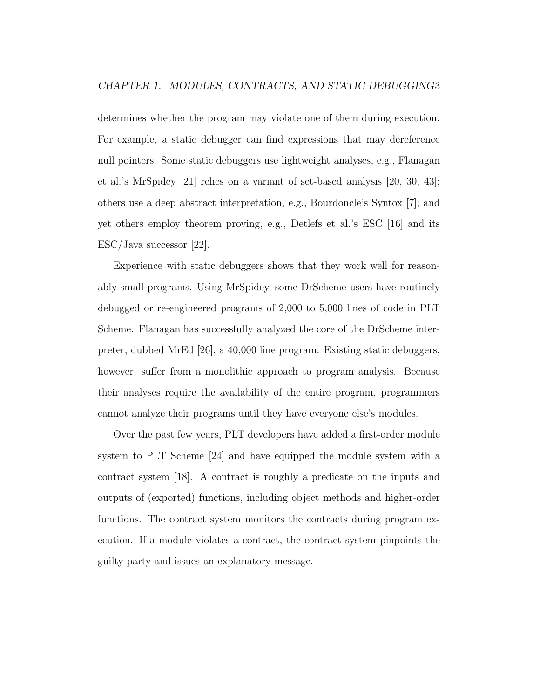determines whether the program may violate one of them during execution. For example, a static debugger can find expressions that may dereference null pointers. Some static debuggers use lightweight analyses, e.g., Flanagan et al.'s MrSpidey [21] relies on a variant of set-based analysis [20, 30, 43]; others use a deep abstract interpretation, e.g., Bourdoncle's Syntox [7]; and yet others employ theorem proving, e.g., Detlefs et al.'s ESC [16] and its ESC/Java successor [22].

Experience with static debuggers shows that they work well for reasonably small programs. Using MrSpidey, some DrScheme users have routinely debugged or re-engineered programs of 2,000 to 5,000 lines of code in PLT Scheme. Flanagan has successfully analyzed the core of the DrScheme interpreter, dubbed MrEd [26], a 40,000 line program. Existing static debuggers, however, suffer from a monolithic approach to program analysis. Because their analyses require the availability of the entire program, programmers cannot analyze their programs until they have everyone else's modules.

Over the past few years, PLT developers have added a first-order module system to PLT Scheme [24] and have equipped the module system with a contract system [18]. A contract is roughly a predicate on the inputs and outputs of (exported) functions, including object methods and higher-order functions. The contract system monitors the contracts during program execution. If a module violates a contract, the contract system pinpoints the guilty party and issues an explanatory message.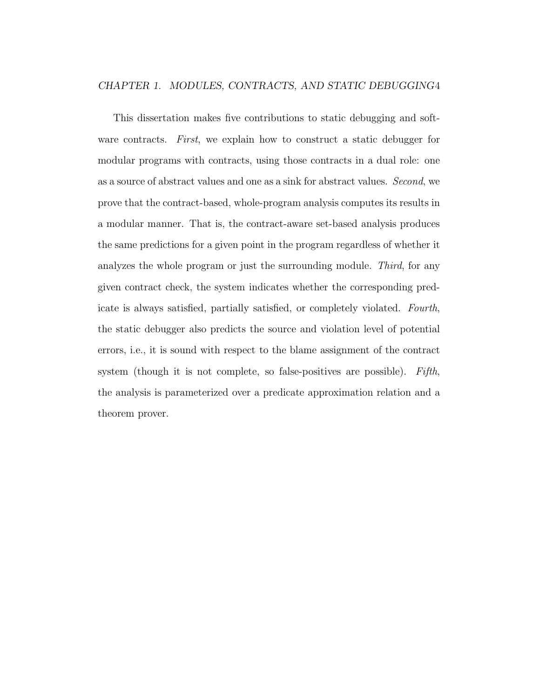#### CHAPTER 1. MODULES, CONTRACTS, AND STATIC DEBUGGING4

This dissertation makes five contributions to static debugging and software contracts. First, we explain how to construct a static debugger for modular programs with contracts, using those contracts in a dual role: one as a source of abstract values and one as a sink for abstract values. Second, we prove that the contract-based, whole-program analysis computes its results in a modular manner. That is, the contract-aware set-based analysis produces the same predictions for a given point in the program regardless of whether it analyzes the whole program or just the surrounding module. Third, for any given contract check, the system indicates whether the corresponding predicate is always satisfied, partially satisfied, or completely violated. Fourth, the static debugger also predicts the source and violation level of potential errors, i.e., it is sound with respect to the blame assignment of the contract system (though it is not complete, so false-positives are possible). Fifth, the analysis is parameterized over a predicate approximation relation and a theorem prover.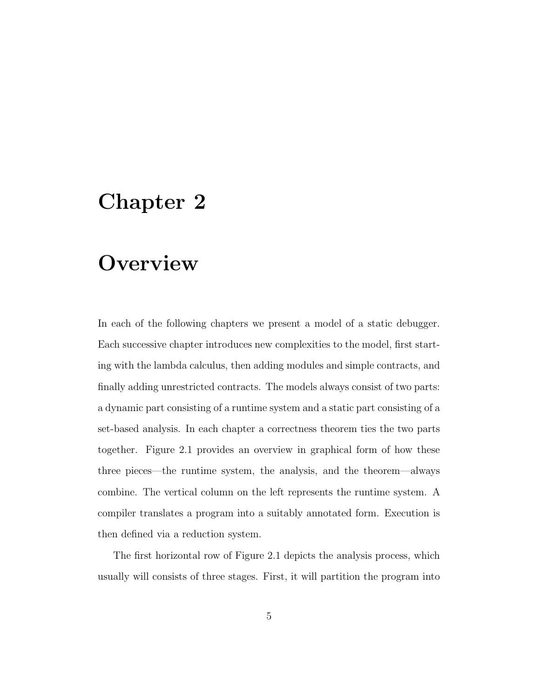# Chapter 2

# **Overview**

In each of the following chapters we present a model of a static debugger. Each successive chapter introduces new complexities to the model, first starting with the lambda calculus, then adding modules and simple contracts, and finally adding unrestricted contracts. The models always consist of two parts: a dynamic part consisting of a runtime system and a static part consisting of a set-based analysis. In each chapter a correctness theorem ties the two parts together. Figure 2.1 provides an overview in graphical form of how these three pieces—the runtime system, the analysis, and the theorem—always combine. The vertical column on the left represents the runtime system. A compiler translates a program into a suitably annotated form. Execution is then defined via a reduction system.

The first horizontal row of Figure 2.1 depicts the analysis process, which usually will consists of three stages. First, it will partition the program into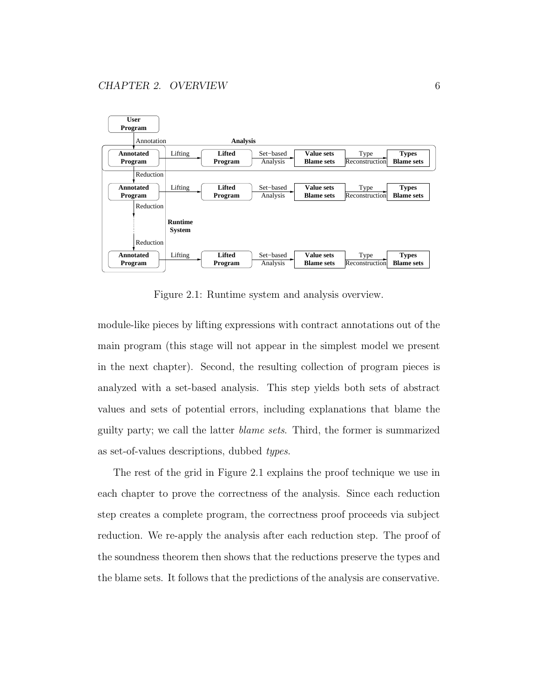

Figure 2.1: Runtime system and analysis overview.

module-like pieces by lifting expressions with contract annotations out of the main program (this stage will not appear in the simplest model we present in the next chapter). Second, the resulting collection of program pieces is analyzed with a set-based analysis. This step yields both sets of abstract values and sets of potential errors, including explanations that blame the guilty party; we call the latter blame sets. Third, the former is summarized as set-of-values descriptions, dubbed types.

The rest of the grid in Figure 2.1 explains the proof technique we use in each chapter to prove the correctness of the analysis. Since each reduction step creates a complete program, the correctness proof proceeds via subject reduction. We re-apply the analysis after each reduction step. The proof of the soundness theorem then shows that the reductions preserve the types and the blame sets. It follows that the predictions of the analysis are conservative.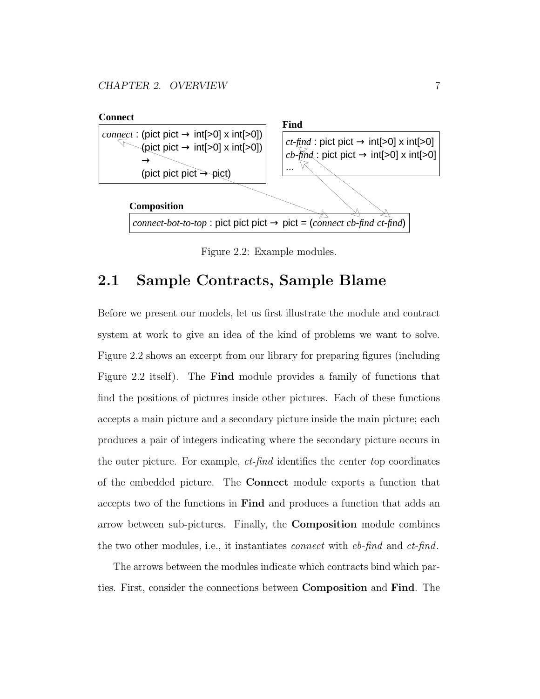

Figure 2.2: Example modules.

## 2.1 Sample Contracts, Sample Blame

Before we present our models, let us first illustrate the module and contract system at work to give an idea of the kind of problems we want to solve. Figure 2.2 shows an excerpt from our library for preparing figures (including Figure 2.2 itself). The Find module provides a family of functions that find the positions of pictures inside other pictures. Each of these functions accepts a main picture and a secondary picture inside the main picture; each produces a pair of integers indicating where the secondary picture occurs in the outer picture. For example, ct-find identifies the center top coordinates of the embedded picture. The Connect module exports a function that accepts two of the functions in Find and produces a function that adds an arrow between sub-pictures. Finally, the Composition module combines the two other modules, i.e., it instantiates connect with cb-find and ct-find.

The arrows between the modules indicate which contracts bind which parties. First, consider the connections between Composition and Find. The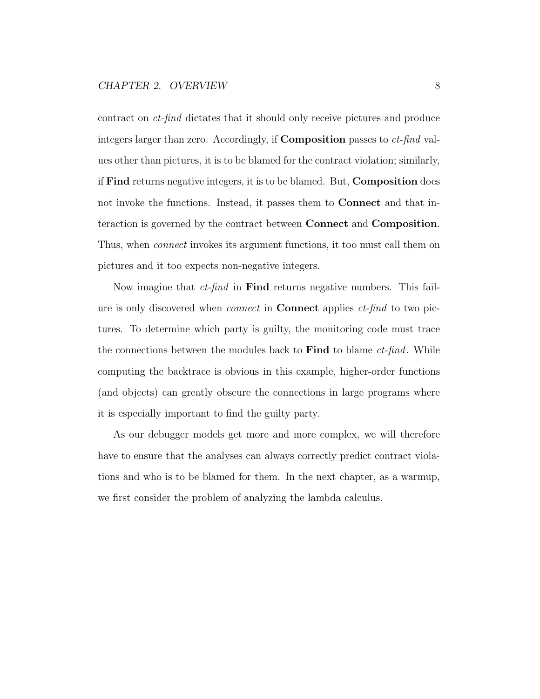contract on ct-find dictates that it should only receive pictures and produce integers larger than zero. Accordingly, if **Composition** passes to  $ct$ -find values other than pictures, it is to be blamed for the contract violation; similarly, if Find returns negative integers, it is to be blamed. But, Composition does not invoke the functions. Instead, it passes them to Connect and that interaction is governed by the contract between Connect and Composition. Thus, when connect invokes its argument functions, it too must call them on pictures and it too expects non-negative integers.

Now imagine that  $ct$ -find in **Find** returns negative numbers. This failure is only discovered when *connect* in **Connect** applies *ct-find* to two pictures. To determine which party is guilty, the monitoring code must trace the connections between the modules back to **Find** to blame  $ct$ -find. While computing the backtrace is obvious in this example, higher-order functions (and objects) can greatly obscure the connections in large programs where it is especially important to find the guilty party.

As our debugger models get more and more complex, we will therefore have to ensure that the analyses can always correctly predict contract violations and who is to be blamed for them. In the next chapter, as a warmup, we first consider the problem of analyzing the lambda calculus.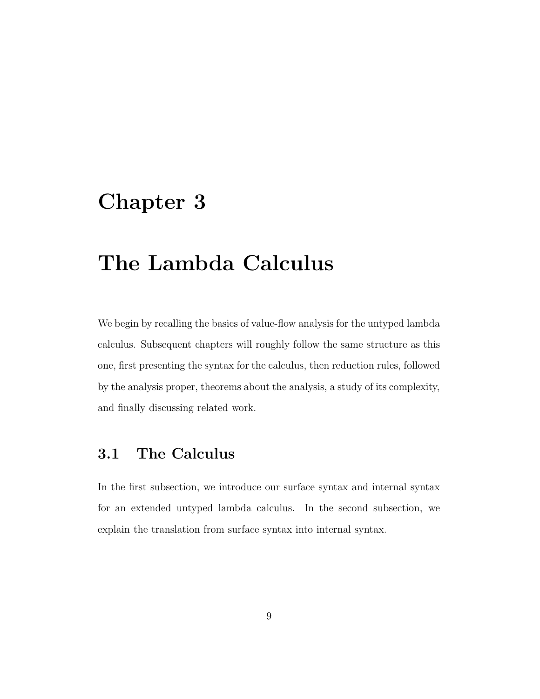# Chapter 3

# The Lambda Calculus

We begin by recalling the basics of value-flow analysis for the untyped lambda calculus. Subsequent chapters will roughly follow the same structure as this one, first presenting the syntax for the calculus, then reduction rules, followed by the analysis proper, theorems about the analysis, a study of its complexity, and finally discussing related work.

## 3.1 The Calculus

In the first subsection, we introduce our surface syntax and internal syntax for an extended untyped lambda calculus. In the second subsection, we explain the translation from surface syntax into internal syntax.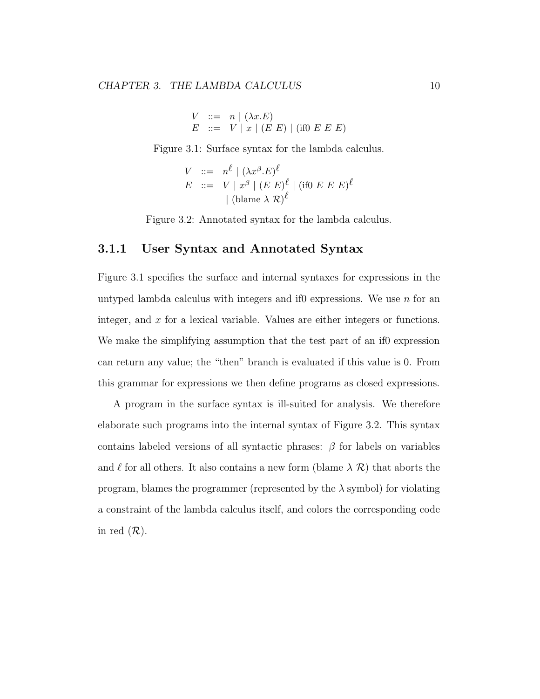$$
V ::= n | (\lambda x.E)
$$
  

$$
E ::= V | x | (E E) | (if0 E E E)
$$

Figure 3.1: Surface syntax for the lambda calculus.

$$
V ::= n^{\ell} | (\lambda x^{\beta} . E)^{\ell}
$$
  
\n
$$
E ::= V | x^{\beta} | (E E)^{\ell} | (if0 E E E)^{\ell}
$$
  
\n
$$
| (blame \lambda R)^{\ell}
$$

Figure 3.2: Annotated syntax for the lambda calculus.

#### 3.1.1 User Syntax and Annotated Syntax

Figure 3.1 specifies the surface and internal syntaxes for expressions in the untyped lambda calculus with integers and if0 expressions. We use  $n$  for an integer, and  $x$  for a lexical variable. Values are either integers or functions. We make the simplifying assumption that the test part of an if0 expression can return any value; the "then" branch is evaluated if this value is 0. From this grammar for expressions we then define programs as closed expressions.

A program in the surface syntax is ill-suited for analysis. We therefore elaborate such programs into the internal syntax of Figure 3.2. This syntax contains labeled versions of all syntactic phrases:  $\beta$  for labels on variables and  $\ell$  for all others. It also contains a new form (blame  $\lambda \mathcal{R}$ ) that aborts the program, blames the programmer (represented by the  $\lambda$  symbol) for violating a constraint of the lambda calculus itself, and colors the corresponding code in red  $(\mathcal{R})$ .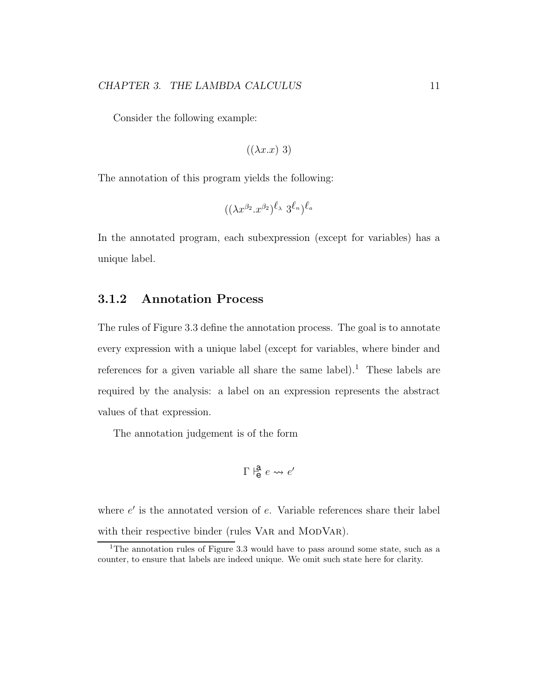Consider the following example:

$$
((\lambda x.x)\;3)
$$

The annotation of this program yields the following:

$$
((\lambda x^{\beta_2}.x^{\beta_2})^{\ell_\lambda} 3^{\ell_n})^{\ell_a}
$$

In the annotated program, each subexpression (except for variables) has a unique label.

#### 3.1.2 Annotation Process

The rules of Figure 3.3 define the annotation process. The goal is to annotate every expression with a unique label (except for variables, where binder and references for a given variable all share the same label).<sup>1</sup> These labels are required by the analysis: a label on an expression represents the abstract values of that expression.

The annotation judgement is of the form

$$
\Gamma \not\stackrel{\bf a}{\models} e \leadsto e'
$$

where  $e'$  is the annotated version of  $e$ . Variable references share their label with their respective binder (rules VAR and MODVAR).

<sup>&</sup>lt;sup>1</sup>The annotation rules of Figure 3.3 would have to pass around some state, such as a counter, to ensure that labels are indeed unique. We omit such state here for clarity.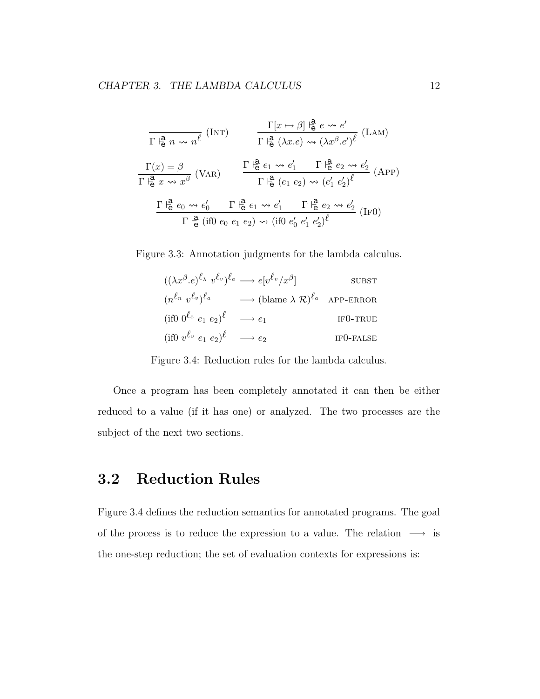$$
\frac{\Gamma[x \mapsto \beta] \downarrow^{\mathbf{a}}_{\mathbf{e}} e \rightsquigarrow e'}{\Gamma \downarrow^{\mathbf{a}}_{\mathbf{e}} n \rightsquigarrow n^{\ell}} \text{ (INT)}
$$
\n
$$
\frac{\Gamma[x \mapsto \beta] \downarrow^{\mathbf{a}}_{\mathbf{e}} e \rightsquigarrow e'}{\Gamma \downarrow^{\mathbf{a}}_{\mathbf{e}} (\lambda x.e) \rightsquigarrow (\lambda x^{\beta}.e')^{\ell}} \text{ (LAM)}
$$
\n
$$
\frac{\Gamma(x) = \beta}{\Gamma \downarrow^{\mathbf{a}}_{\mathbf{e}} x \rightsquigarrow x^{\beta}} \text{ (VAR)}
$$
\n
$$
\frac{\Gamma \downarrow^{\mathbf{a}}_{\mathbf{e}} e_1 \rightsquigarrow e'_1 \quad \Gamma \downarrow^{\mathbf{a}}_{\mathbf{e}} (e_1 e_2) \rightsquigarrow (e'_1 e'_2)^{\ell}}{\Gamma \downarrow^{\mathbf{a}}_{\mathbf{e}} (e_1 \vee e_2 \vee e'_1 \wedge e'_1 \wedge e'_2 \wedge e'_2 \wedge e'_1 \wedge e'_1 \wedge e'_1 \wedge e'_1 \wedge e'_2 \wedge e'_2 \wedge e'_1 \wedge e'_1 \wedge e'_1 \wedge e'_1 \wedge e'_1 \wedge e'_1 \wedge e'_1 \wedge e'_2 \wedge e'_2 \wedge e'_2 \wedge e'_1 \wedge e'_1 \wedge e'_1 \wedge e'_1 \wedge e'_2 \wedge e'_2 \wedge e'_1 \wedge e'_1 \wedge e'_1 \wedge e'_2 \wedge e'_2 \wedge e'_1 \wedge e'_1 \wedge e'_1 \wedge e'_2 \wedge e'_2 \wedge e'_1 \wedge e'_1 \wedge e'_1 \wedge e'_1 \wedge e'_2 \wedge e'_2 \wedge e'_1 \wedge e'_1 \wedge e'_1 \wedge e'_1 \wedge e'_1 \wedge e'_1 \wedge e'_2 \wedge e'_2 \wedge e'_1 \wedge e'_1 \wedge e'_1 \wedge e'_2 \wedge e'_2 \wedge e'_1 \wedge e'_1 \wedge e'_1 \wedge e'_1 \wedge e'_1 \wedge e'_1 \wedge e'_2 \wedge e'_2 \wedge e'_1 \wedge e'_1 \wedge e'_1 \wedge e'_1 \wedge e'_1 \wedge e'_1 \wedge e'_2 \wedge e'_2 \
$$

Figure 3.3: Annotation judgments for the lambda calculus.

| $((\lambda x^{\beta} \cdot e)^{\ell_{\lambda}} v^{\ell_{v}})^{\ell_{a}} \longrightarrow e[v^{\ell_{v}}/x^{\beta}]$ |                                                                                                                  | <b>SUBST</b>          |
|--------------------------------------------------------------------------------------------------------------------|------------------------------------------------------------------------------------------------------------------|-----------------------|
|                                                                                                                    | $(n^{\ell_n} v^{\ell_v})^{\ell_a} \longrightarrow (\text{blame }\lambda \mathcal{R})^{\ell_a} \text{ APP-ERROR}$ |                       |
| (if0 $0^{l_0}$ $e_1$ $e_2)^l$                                                                                      | $\longrightarrow e_1$                                                                                            | IF <sub>0</sub> -TRUE |
| (if0 $v^{\ell_v}$ $e_1$ $e_2$ ) $^{\ell}$ $\longrightarrow$ $e_2$                                                  |                                                                                                                  | $IF0-FALSE$           |

Figure 3.4: Reduction rules for the lambda calculus.

Once a program has been completely annotated it can then be either reduced to a value (if it has one) or analyzed. The two processes are the subject of the next two sections.

## 3.2 Reduction Rules

Figure 3.4 defines the reduction semantics for annotated programs. The goal of the process is to reduce the expression to a value. The relation  $\longrightarrow$  is the one-step reduction; the set of evaluation contexts for expressions is: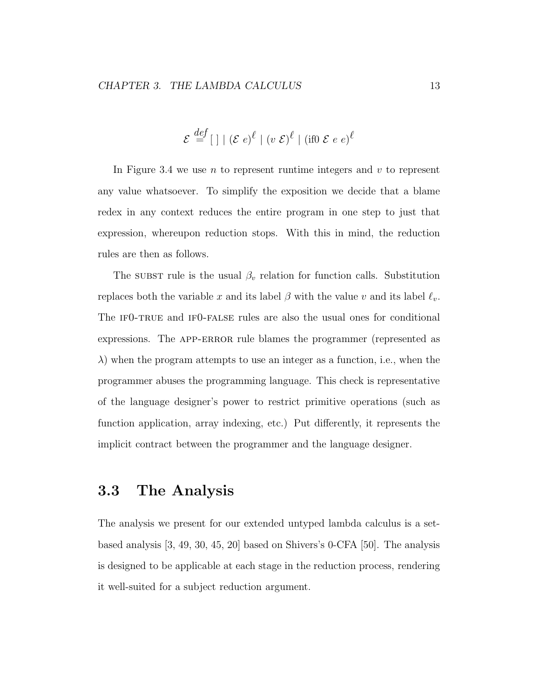$$
\mathcal{E} \stackrel{def}{=} [\ ] \mid (\mathcal{E} e)^{\ell} \mid (v \ \mathcal{E})^{\ell} \mid (\text{if} 0 \ \mathcal{E} e e)^{\ell}
$$

In Figure 3.4 we use  $n$  to represent runtime integers and  $v$  to represent any value whatsoever. To simplify the exposition we decide that a blame redex in any context reduces the entire program in one step to just that expression, whereupon reduction stops. With this in mind, the reduction rules are then as follows.

The substructure is the usual  $\beta_v$  relation for function calls. Substitution replaces both the variable x and its label  $\beta$  with the value v and its label  $\ell_v$ . The IFO-TRUE and IFO-FALSE rules are also the usual ones for conditional expressions. The APP-ERROR rule blames the programmer (represented as  $\lambda$ ) when the program attempts to use an integer as a function, i.e., when the programmer abuses the programming language. This check is representative of the language designer's power to restrict primitive operations (such as function application, array indexing, etc.) Put differently, it represents the implicit contract between the programmer and the language designer.

## 3.3 The Analysis

The analysis we present for our extended untyped lambda calculus is a setbased analysis [3, 49, 30, 45, 20] based on Shivers's 0-CFA [50]. The analysis is designed to be applicable at each stage in the reduction process, rendering it well-suited for a subject reduction argument.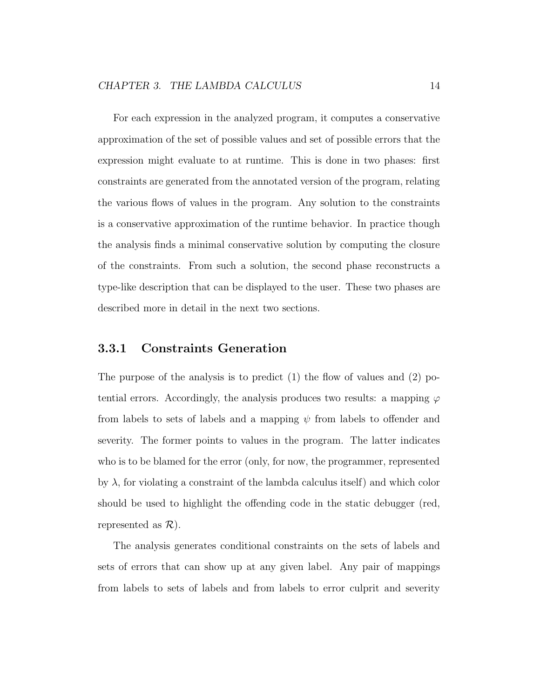For each expression in the analyzed program, it computes a conservative approximation of the set of possible values and set of possible errors that the expression might evaluate to at runtime. This is done in two phases: first constraints are generated from the annotated version of the program, relating the various flows of values in the program. Any solution to the constraints is a conservative approximation of the runtime behavior. In practice though the analysis finds a minimal conservative solution by computing the closure of the constraints. From such a solution, the second phase reconstructs a type-like description that can be displayed to the user. These two phases are described more in detail in the next two sections.

#### 3.3.1 Constraints Generation

The purpose of the analysis is to predict  $(1)$  the flow of values and  $(2)$  potential errors. Accordingly, the analysis produces two results: a mapping  $\varphi$ from labels to sets of labels and a mapping  $\psi$  from labels to offender and severity. The former points to values in the program. The latter indicates who is to be blamed for the error (only, for now, the programmer, represented by  $\lambda$ , for violating a constraint of the lambda calculus itself) and which color should be used to highlight the offending code in the static debugger (red, represented as  $\mathcal{R}$ ).

The analysis generates conditional constraints on the sets of labels and sets of errors that can show up at any given label. Any pair of mappings from labels to sets of labels and from labels to error culprit and severity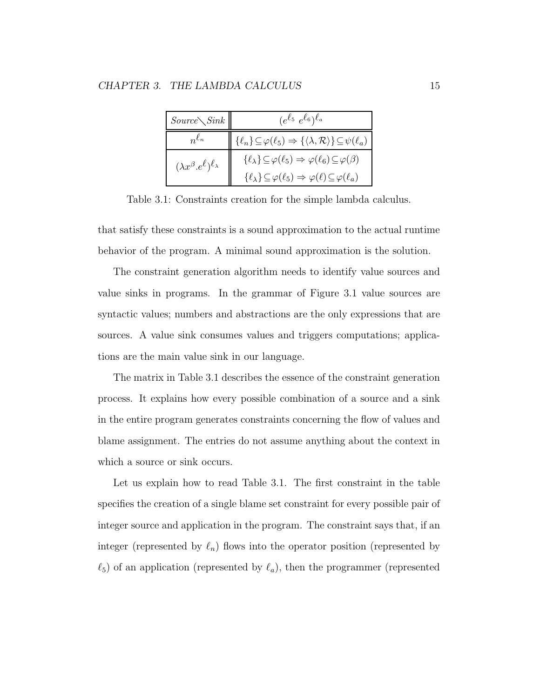| $Source\diagdown Sink$                          | $(e^{\ell_5} e^{\ell_6})^{\ell_a}$                                                                        |  |
|-------------------------------------------------|-----------------------------------------------------------------------------------------------------------|--|
|                                                 | $\{\ell_n\}\subseteq\varphi(\ell_5)\Rightarrow\{\langle\lambda,\mathcal{R}\rangle\}\subseteq\psi(\ell_a)$ |  |
| $(\lambda x^{\beta}.e^{\ell})^{\ell_{\lambda}}$ | $\{\ell_\lambda\}\!\subseteq\!\varphi(\ell_5)\Rightarrow\varphi(\ell_6)\!\subseteq\!\varphi(\beta)$       |  |
|                                                 | $\{\ell_{\lambda}\}\subseteq\varphi(\ell_5)\Rightarrow\varphi(\ell)\subseteq\varphi(\ell_a)$              |  |

Table 3.1: Constraints creation for the simple lambda calculus.

that satisfy these constraints is a sound approximation to the actual runtime behavior of the program. A minimal sound approximation is the solution.

The constraint generation algorithm needs to identify value sources and value sinks in programs. In the grammar of Figure 3.1 value sources are syntactic values; numbers and abstractions are the only expressions that are sources. A value sink consumes values and triggers computations; applications are the main value sink in our language.

The matrix in Table 3.1 describes the essence of the constraint generation process. It explains how every possible combination of a source and a sink in the entire program generates constraints concerning the flow of values and blame assignment. The entries do not assume anything about the context in which a source or sink occurs.

Let us explain how to read Table 3.1. The first constraint in the table specifies the creation of a single blame set constraint for every possible pair of integer source and application in the program. The constraint says that, if an integer (represented by  $\ell_n$ ) flows into the operator position (represented by  $\ell_5$ ) of an application (represented by  $\ell_a$ ), then the programmer (represented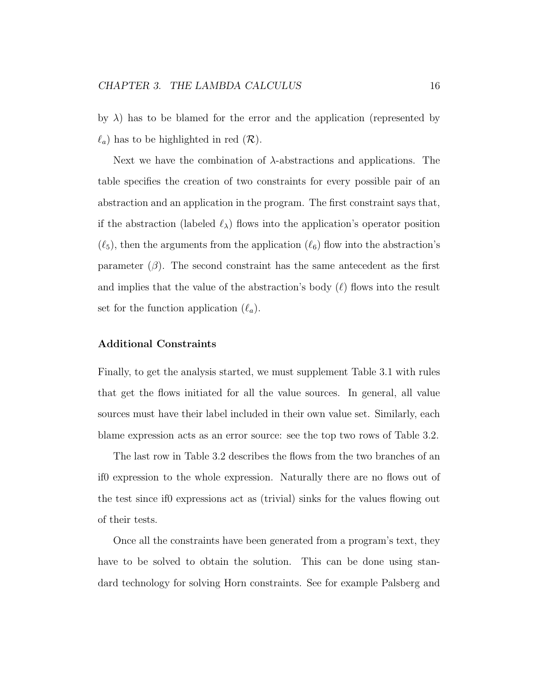by  $\lambda$ ) has to be blamed for the error and the application (represented by  $\ell_a$ ) has to be highlighted in red  $(\mathcal{R})$ .

Next we have the combination of  $\lambda$ -abstractions and applications. The table specifies the creation of two constraints for every possible pair of an abstraction and an application in the program. The first constraint says that, if the abstraction (labeled  $\ell_{\lambda}$ ) flows into the application's operator position  $(\ell_5)$ , then the arguments from the application  $(\ell_6)$  flow into the abstraction's parameter  $(\beta)$ . The second constraint has the same antecedent as the first and implies that the value of the abstraction's body  $(\ell)$  flows into the result set for the function application  $(\ell_a)$ .

#### Additional Constraints

Finally, to get the analysis started, we must supplement Table 3.1 with rules that get the flows initiated for all the value sources. In general, all value sources must have their label included in their own value set. Similarly, each blame expression acts as an error source: see the top two rows of Table 3.2.

The last row in Table 3.2 describes the flows from the two branches of an if0 expression to the whole expression. Naturally there are no flows out of the test since if0 expressions act as (trivial) sinks for the values flowing out of their tests.

Once all the constraints have been generated from a program's text, they have to be solved to obtain the solution. This can be done using standard technology for solving Horn constraints. See for example Palsberg and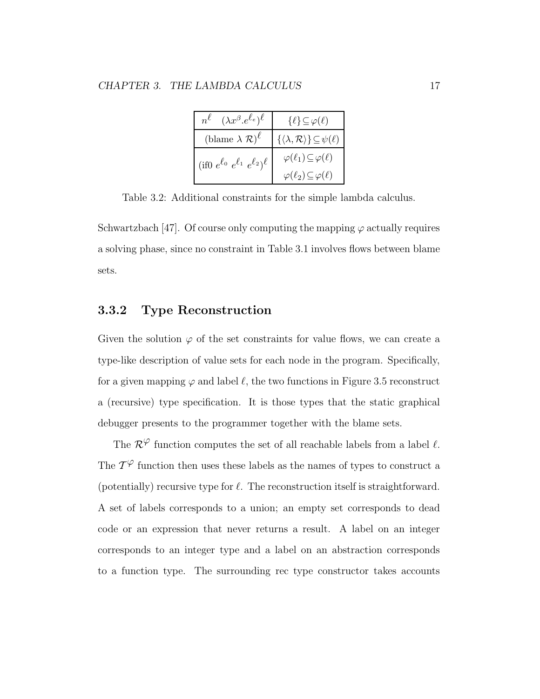| $(\lambda x^{\beta} . e^{\ell_e})^{\ell}$<br>$n^{\ell}$     | $\{\ell\} \subseteq \varphi(\ell)$                                  |
|-------------------------------------------------------------|---------------------------------------------------------------------|
| (blame $\lambda \mathcal{R}$ ) <sup><math>\ell</math></sup> | $\{\langle \lambda, \mathcal{R} \rangle\} \!\subseteq\! \psi(\ell)$ |
| (if0 $e^{\ell_0} e^{\ell_1} e^{\ell_2}$ ) $\ell$            | $\varphi(\ell_1) \subseteq \varphi(\ell)$                           |
|                                                             | $\varphi(\ell_2) \subseteq \varphi(\ell)$                           |

Table 3.2: Additional constraints for the simple lambda calculus.

Schwartzbach [47]. Of course only computing the mapping  $\varphi$  actually requires a solving phase, since no constraint in Table 3.1 involves flows between blame sets.

#### 3.3.2 Type Reconstruction

Given the solution  $\varphi$  of the set constraints for value flows, we can create a type-like description of value sets for each node in the program. Specifically, for a given mapping  $\varphi$  and label  $\ell$ , the two functions in Figure 3.5 reconstruct a (recursive) type specification. It is those types that the static graphical debugger presents to the programmer together with the blame sets.

The  $\mathcal{R}^{\varphi}$  function computes the set of all reachable labels from a label  $\ell$ . The  $\mathcal{T}^{\varphi}$  function then uses these labels as the names of types to construct a (potentially) recursive type for  $\ell$ . The reconstruction itself is straightforward. A set of labels corresponds to a union; an empty set corresponds to dead code or an expression that never returns a result. A label on an integer corresponds to an integer type and a label on an abstraction corresponds to a function type. The surrounding rec type constructor takes accounts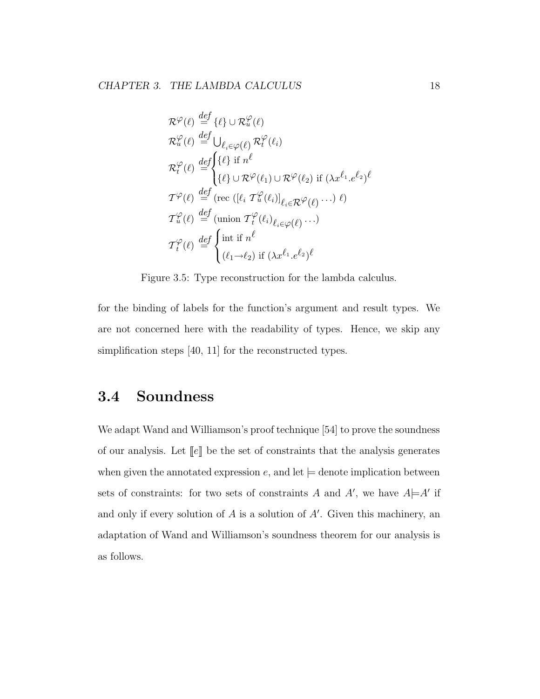$$
\mathcal{R}^{\varphi}(\ell) \stackrel{def}{=} {\{\ell\}} \cup \mathcal{R}^{\varphi}_{u}(\ell)
$$
  
\n
$$
\mathcal{R}^{\varphi}_{u}(\ell) \stackrel{def}{=} \bigcup_{\ell_{i} \in \varphi(\ell)} \mathcal{R}^{\varphi}_{t}(\ell_{i})
$$
  
\n
$$
\mathcal{R}^{\varphi}_{t}(\ell) \stackrel{def}{=} {\{\ell\}} \text{if } n^{\ell}
$$
  
\n
$$
\mathcal{R}^{\varphi}_{t}(\ell) \stackrel{def}{=} {\{\ell\}} \cup \mathcal{R}^{\varphi}(\ell_{1}) \cup \mathcal{R}^{\varphi}(\ell_{2}) \text{ if } (\lambda x^{\ell_{1}} . e^{\ell_{2}})^{\ell}
$$
  
\n
$$
\mathcal{T}^{\varphi}(\ell) \stackrel{def}{=} (\text{rec } ([\ell_{i} \ T^{\varphi}_{u}(\ell_{i})]_{\ell_{i} \in \mathcal{R}} \varphi(\ell) \cdots) \ell)
$$
  
\n
$$
\mathcal{T}^{\varphi}_{u}(\ell) \stackrel{def}{=} (\text{union } \mathcal{T}^{\varphi}_{t}(\ell_{i})_{\ell_{i} \in \varphi(\ell)} \cdots)
$$
  
\n
$$
\mathcal{T}^{\varphi}_{t}(\ell) \stackrel{def}{=} {\{\text{int if } n^{\ell}
$$
  
\n
$$
(\ell_{1} \rightarrow \ell_{2}) \text{ if } (\lambda x^{\ell_{1}} . e^{\ell_{2}})^{\ell}
$$

Figure 3.5: Type reconstruction for the lambda calculus.

for the binding of labels for the function's argument and result types. We are not concerned here with the readability of types. Hence, we skip any simplification steps [40, 11] for the reconstructed types.

## 3.4 Soundness

We adapt Wand and Williamson's proof technique [54] to prove the soundness of our analysis. Let  $\llbracket e \rrbracket$  be the set of constraints that the analysis generates when given the annotated expression  $e$ , and let  $\models$  denote implication between sets of constraints: for two sets of constraints A and A', we have  $A \models A'$  if and only if every solution of  $A$  is a solution of  $A'$ . Given this machinery, an adaptation of Wand and Williamson's soundness theorem for our analysis is as follows.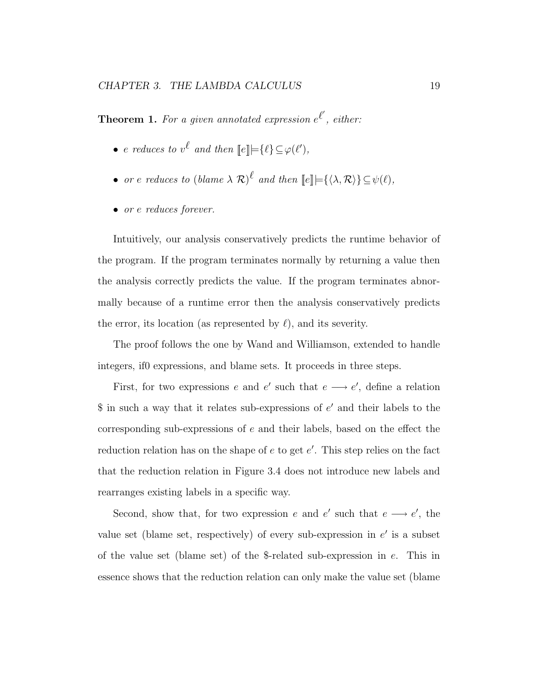**Theorem 1.** For a given annotated expression  $e^{l'}$ , either:

- e reduces to  $v^{\ell}$  and then  $\llbracket e \rrbracket \models \{\ell\} \subseteq \varphi(\ell'),$
- or e reduces to  $(blame \lambda \mathcal{R})^{\ell}$  and then  $[\ell] \models {\langle \lambda, \mathcal{R} \rangle} {\subseteq \psi(\ell)}$ ,
- or e reduces forever.

Intuitively, our analysis conservatively predicts the runtime behavior of the program. If the program terminates normally by returning a value then the analysis correctly predicts the value. If the program terminates abnormally because of a runtime error then the analysis conservatively predicts the error, its location (as represented by  $\ell$ ), and its severity.

The proof follows the one by Wand and Williamson, extended to handle integers, if0 expressions, and blame sets. It proceeds in three steps.

First, for two expressions e and e' such that  $e \longrightarrow e'$ , define a relation  $$$  in such a way that it relates sub-expressions of  $e'$  and their labels to the corresponding sub-expressions of  $e$  and their labels, based on the effect the reduction relation has on the shape of  $e$  to get  $e'$ . This step relies on the fact that the reduction relation in Figure 3.4 does not introduce new labels and rearranges existing labels in a specific way.

Second, show that, for two expression e and e' such that  $e \longrightarrow e'$ , the value set (blame set, respectively) of every sub-expression in  $e'$  is a subset of the value set (blame set) of the \$-related sub-expression in e. This in essence shows that the reduction relation can only make the value set (blame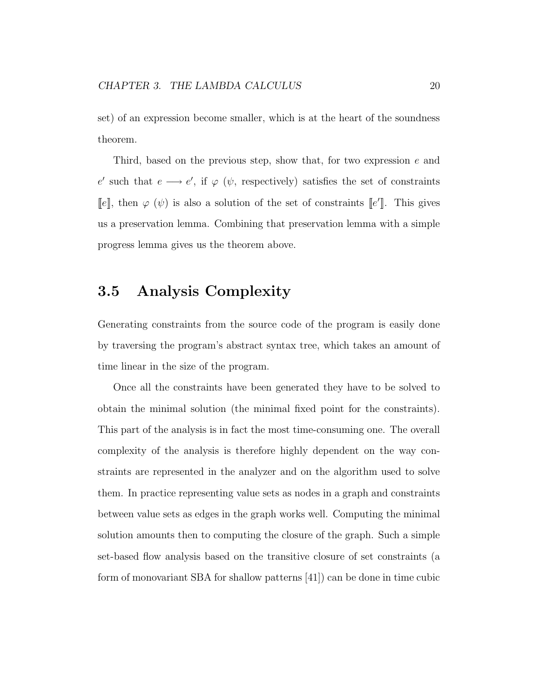set) of an expression become smaller, which is at the heart of the soundness theorem.

Third, based on the previous step, show that, for two expression e and e' such that  $e \longrightarrow e'$ , if  $\varphi$  ( $\psi$ , respectively) satisfies the set of constraints [e], then  $\varphi(\psi)$  is also a solution of the set of constraints [e']. This gives us a preservation lemma. Combining that preservation lemma with a simple progress lemma gives us the theorem above.

## 3.5 Analysis Complexity

Generating constraints from the source code of the program is easily done by traversing the program's abstract syntax tree, which takes an amount of time linear in the size of the program.

Once all the constraints have been generated they have to be solved to obtain the minimal solution (the minimal fixed point for the constraints). This part of the analysis is in fact the most time-consuming one. The overall complexity of the analysis is therefore highly dependent on the way constraints are represented in the analyzer and on the algorithm used to solve them. In practice representing value sets as nodes in a graph and constraints between value sets as edges in the graph works well. Computing the minimal solution amounts then to computing the closure of the graph. Such a simple set-based flow analysis based on the transitive closure of set constraints (a form of monovariant SBA for shallow patterns [41]) can be done in time cubic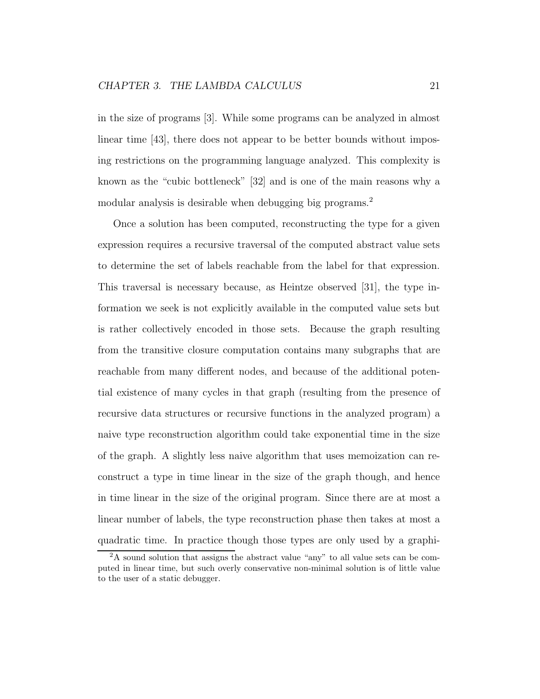in the size of programs [3]. While some programs can be analyzed in almost linear time [43], there does not appear to be better bounds without imposing restrictions on the programming language analyzed. This complexity is known as the "cubic bottleneck" [32] and is one of the main reasons why a modular analysis is desirable when debugging big programs.<sup>2</sup>

Once a solution has been computed, reconstructing the type for a given expression requires a recursive traversal of the computed abstract value sets to determine the set of labels reachable from the label for that expression. This traversal is necessary because, as Heintze observed [31], the type information we seek is not explicitly available in the computed value sets but is rather collectively encoded in those sets. Because the graph resulting from the transitive closure computation contains many subgraphs that are reachable from many different nodes, and because of the additional potential existence of many cycles in that graph (resulting from the presence of recursive data structures or recursive functions in the analyzed program) a naive type reconstruction algorithm could take exponential time in the size of the graph. A slightly less naive algorithm that uses memoization can reconstruct a type in time linear in the size of the graph though, and hence in time linear in the size of the original program. Since there are at most a linear number of labels, the type reconstruction phase then takes at most a quadratic time. In practice though those types are only used by a graphi-

<sup>2</sup>A sound solution that assigns the abstract value "any" to all value sets can be computed in linear time, but such overly conservative non-minimal solution is of little value to the user of a static debugger.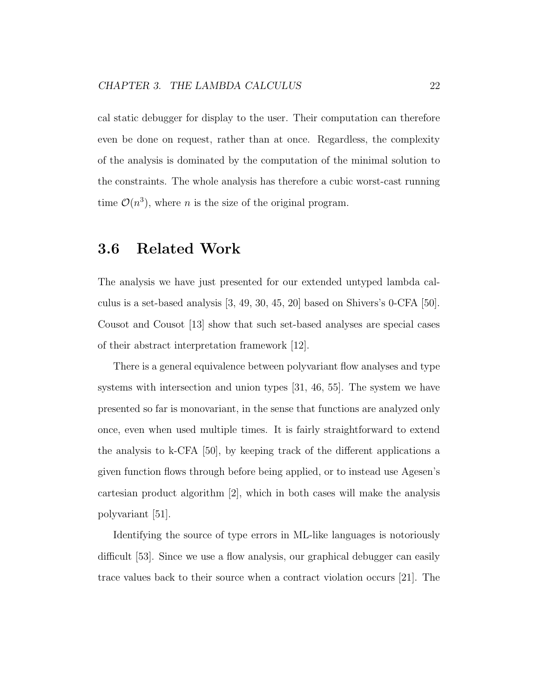cal static debugger for display to the user. Their computation can therefore even be done on request, rather than at once. Regardless, the complexity of the analysis is dominated by the computation of the minimal solution to the constraints. The whole analysis has therefore a cubic worst-cast running time  $\mathcal{O}(n^3)$ , where *n* is the size of the original program.

## 3.6 Related Work

The analysis we have just presented for our extended untyped lambda calculus is a set-based analysis  $[3, 49, 30, 45, 20]$  based on Shivers's 0-CFA  $[50]$ . Cousot and Cousot [13] show that such set-based analyses are special cases of their abstract interpretation framework [12].

There is a general equivalence between polyvariant flow analyses and type systems with intersection and union types [31, 46, 55]. The system we have presented so far is monovariant, in the sense that functions are analyzed only once, even when used multiple times. It is fairly straightforward to extend the analysis to k-CFA [50], by keeping track of the different applications a given function flows through before being applied, or to instead use Agesen's cartesian product algorithm [2], which in both cases will make the analysis polyvariant [51].

Identifying the source of type errors in ML-like languages is notoriously difficult [53]. Since we use a flow analysis, our graphical debugger can easily trace values back to their source when a contract violation occurs [21]. The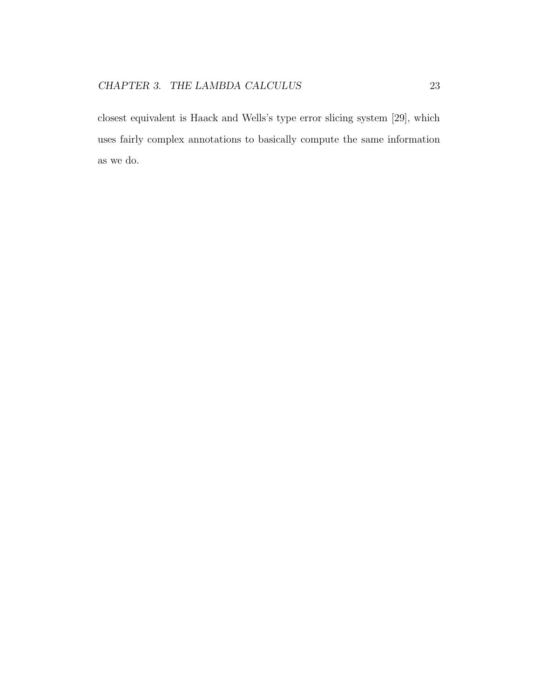closest equivalent is Haack and Wells's type error slicing system [29], which uses fairly complex annotations to basically compute the same information as we do.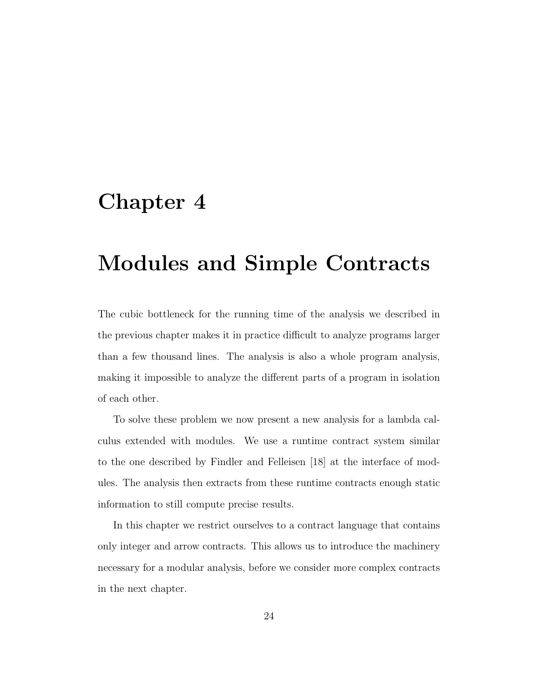# Chapter 4

# Modules and Simple Contracts

The cubic bottleneck for the running time of the analysis we described in the previous chapter makes it in practice difficult to analyze programs larger than a few thousand lines. The analysis is also a whole program analysis, making it impossible to analyze the different parts of a program in isolation of each other.

To solve these problem we now present a new analysis for a lambda calculus extended with modules. We use a runtime contract system similar to the one described by Findler and Felleisen [18] at the interface of modules. The analysis then extracts from these runtime contracts enough static information to still compute precise results.

In this chapter we restrict ourselves to a contract language that contains only integer and arrow contracts. This allows us to introduce the machinery necessary for a modular analysis, before we consider more complex contracts in the next chapter.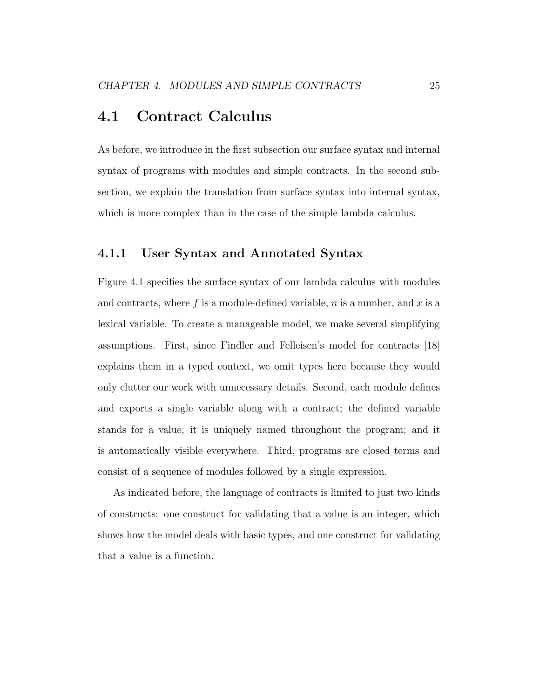## 4.1 Contract Calculus

As before, we introduce in the first subsection our surface syntax and internal syntax of programs with modules and simple contracts. In the second subsection, we explain the translation from surface syntax into internal syntax, which is more complex than in the case of the simple lambda calculus.

#### 4.1.1 User Syntax and Annotated Syntax

Figure 4.1 specifies the surface syntax of our lambda calculus with modules and contracts, where f is a module-defined variable,  $n$  is a number, and  $x$  is a lexical variable. To create a manageable model, we make several simplifying assumptions. First, since Findler and Felleisen's model for contracts [18] explains them in a typed context, we omit types here because they would only clutter our work with unnecessary details. Second, each module defines and exports a single variable along with a contract; the defined variable stands for a value; it is uniquely named throughout the program; and it is automatically visible everywhere. Third, programs are closed terms and consist of a sequence of modules followed by a single expression.

As indicated before, the language of contracts is limited to just two kinds of constructs: one construct for validating that a value is an integer, which shows how the model deals with basic types, and one construct for validating that a value is a function.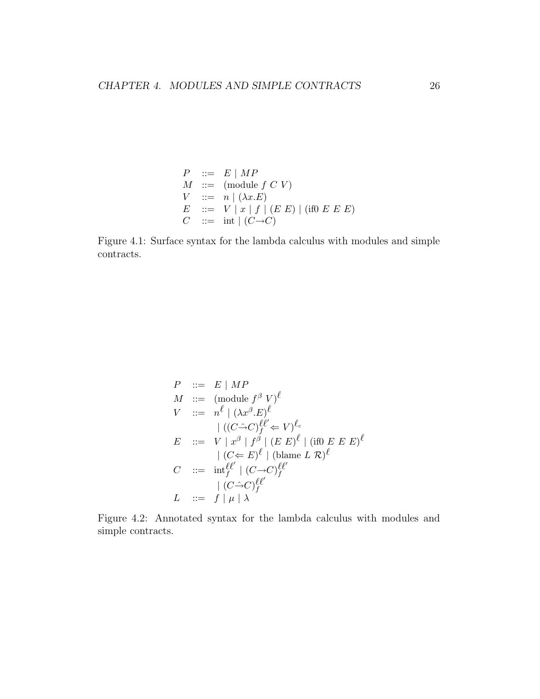$$
P ::= E | MP
$$
  
\n
$$
M ::= (module f C V)
$$
  
\n
$$
V ::= n | (\lambda x.E)
$$
  
\n
$$
E ::= V | x | f | (E E) | (if0 E E E)
$$
  
\n
$$
C ::= int | (C \rightarrow C)
$$

Figure 4.1: Surface syntax for the lambda calculus with modules and simple contracts.

$$
P ::= E | MP
$$
  
\n
$$
M ::= (\text{module } f^{\beta} V)^{\ell}
$$
  
\n
$$
V ::= n^{\ell} | (\lambda x^{\beta} . E)^{\ell}
$$
  
\n
$$
| ((C \hat{\rightarrow} C)^{\ell \ell} \iff V)^{\ell \circ}
$$
  
\n
$$
E ::= V | x^{\beta} | f^{\beta} | (E E)^{\ell} | (\text{if} 0 E E E)^{\ell}
$$
  
\n
$$
| (C \iff E)^{\ell} | (\text{blame } L R)^{\ell}
$$
  
\n
$$
C ::= \text{int}_{f}^{\ell \ell'} | (C \Rightarrow C)^{\ell \ell'} \iff (C \Rightarrow C)^{\ell \ell'} \iff (C \Rightarrow C)^{\ell \ell'} \iff (C \Rightarrow C)^{\ell \ell'} \iff (C \Rightarrow C)^{\ell \ell'} \iff (C \Rightarrow C)^{\ell \ell'} \iff (C \Rightarrow C)^{\ell \ell'} \iff (C \Rightarrow C)^{\ell \ell'} \iff (C \Rightarrow C)^{\ell \ell'} \iff (C \Rightarrow C)^{\ell \ell'} \iff (C \Rightarrow C)^{\ell \ell'} \iff (C \Rightarrow C)^{\ell \ell'} \iff (C \Rightarrow C)^{\ell \ell'} \iff (C \Rightarrow C)^{\ell \ell'} \iff (C \Rightarrow C)^{\ell \ell'} \iff (C \Rightarrow C)^{\ell \ell'} \iff (C \Rightarrow C)^{\ell \ell'} \iff (C \Rightarrow C)^{\ell \ell'} \iff (C \Rightarrow C)^{\ell \ell'} \iff (C \Rightarrow C)^{\ell \ell'} \iff (C \Rightarrow C)^{\ell \ell'} \iff (C \Rightarrow C)^{\ell \ell'} \iff (C \Rightarrow C)^{\ell \ell'} \iff (C \Rightarrow C)^{\ell \ell'} \iff (C \Rightarrow C)^{\ell \ell'} \iff (C \Rightarrow C)^{\ell \ell'} \iff (C \Rightarrow C)^{\ell \ell'} \iff (C \Rightarrow C)^{\ell \ell'} \iff (C \Rightarrow C)^{\ell \ell'} \iff (C \Rightarrow C)^{\ell \ell'} \iff (C \Rightarrow C)^{\ell \ell'} \iff (C \Rightarrow C)^{\ell \ell'} \iff (C \Rightarrow C)^{\ell \ell'} \iff (C \Rightarrow C)^{\ell \ell'} \iff (C \Rightarrow C)^{\ell \ell'} \iff (C \Rightarrow C)^{\ell \ell'} \iff (C \Rightarrow C)^{\ell \ell'} \iff (C \Rightarrow C)^{\ell \ell'} \iff (C \Rightarrow C)^{\ell \ell'} \iff (C \Rightarrow C)^{\ell \ell'} \iff (C \Rightarrow C)^{\ell \ell'} \iff (C \Rightarrow C)^{\ell \ell'} \iff (C
$$

Figure 4.2: Annotated syntax for the lambda calculus with modules and simple contracts.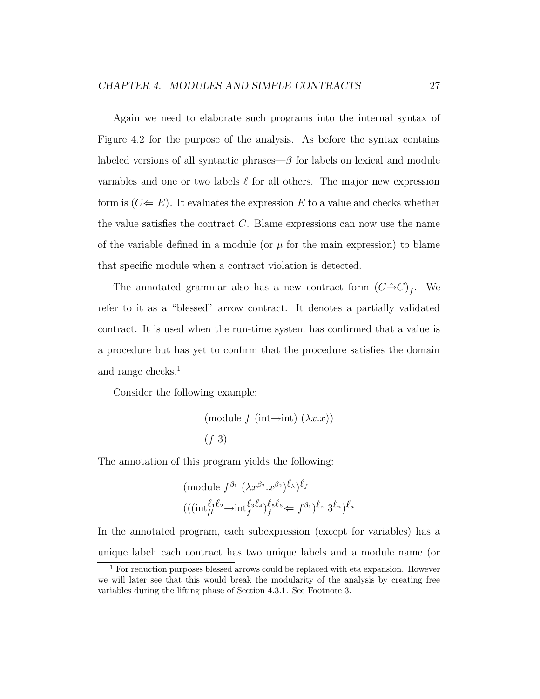Again we need to elaborate such programs into the internal syntax of Figure 4.2 for the purpose of the analysis. As before the syntax contains labeled versions of all syntactic phrases— $\beta$  for labels on lexical and module variables and one or two labels  $\ell$  for all others. The major new expression form is  $(C \leftarrow E)$ . It evaluates the expression E to a value and checks whether the value satisfies the contract  $C$ . Blame expressions can now use the name of the variable defined in a module (or  $\mu$  for the main expression) to blame that specific module when a contract violation is detected.

The annotated grammar also has a new contract form  $(C \hat{\rightarrow} C)_f$ . We refer to it as a "blessed" arrow contract. It denotes a partially validated contract. It is used when the run-time system has confirmed that a value is a procedure but has yet to confirm that the procedure satisfies the domain and range checks.<sup>1</sup>

Consider the following example:

$$
\text{(module } f \text{ (int}\rightarrow \text{int}) (\lambda x.x))
$$

$$
(f\ 3)
$$

The annotation of this program yields the following:

(module 
$$
f^{\beta_1} (\lambda x^{\beta_2} \cdot x^{\beta_2})^{\ell_{\lambda}} f
$$
  

$$
(((\text{int}_{\mu}^{\ell_1 \ell_2} \rightarrow \text{int}_{f}^{\ell_3 \ell_4})^{\ell_5 \ell_6} \leftarrow f^{\beta_1})^{\ell_c} 3^{\ell_n})^{\ell_a}
$$

In the annotated program, each subexpression (except for variables) has a unique label; each contract has two unique labels and a module name (or

<sup>1</sup> For reduction purposes blessed arrows could be replaced with eta expansion. However we will later see that this would break the modularity of the analysis by creating free variables during the lifting phase of Section 4.3.1. See Footnote 3.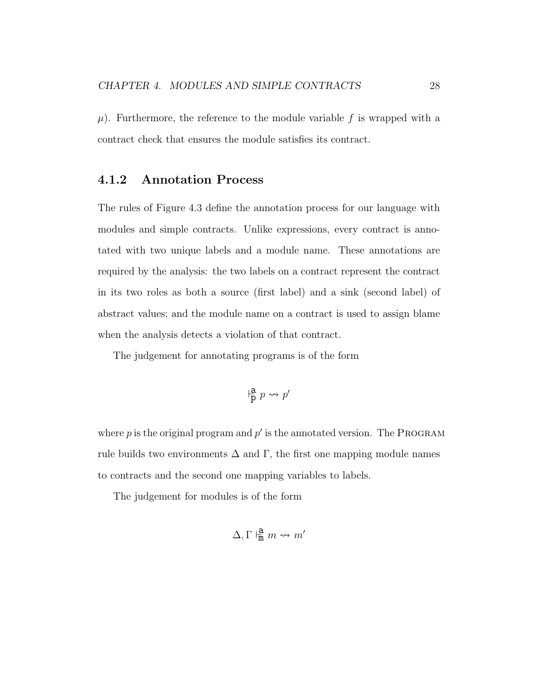$\mu$ ). Furthermore, the reference to the module variable f is wrapped with a contract check that ensures the module satisfies its contract.

#### 4.1.2 Annotation Process

The rules of Figure 4.3 define the annotation process for our language with modules and simple contracts. Unlike expressions, every contract is annotated with two unique labels and a module name. These annotations are required by the analysis: the two labels on a contract represent the contract in its two roles as both a source (first label) and a sink (second label) of abstract values; and the module name on a contract is used to assign blame when the analysis detects a violation of that contract.

The judgement for annotating programs is of the form

$$
\mathop{\rm P{a}}\limits^a p \leadsto p'
$$

where  $p$  is the original program and  $p'$  is the annotated version. The PROGRAM rule builds two environments  $\Delta$  and  $\Gamma$ , the first one mapping module names to contracts and the second one mapping variables to labels.

The judgement for modules is of the form

$$
\Delta, \Gamma \Vdash^{\mathbf{a}}_{\mathbf{m}} m \leadsto m'
$$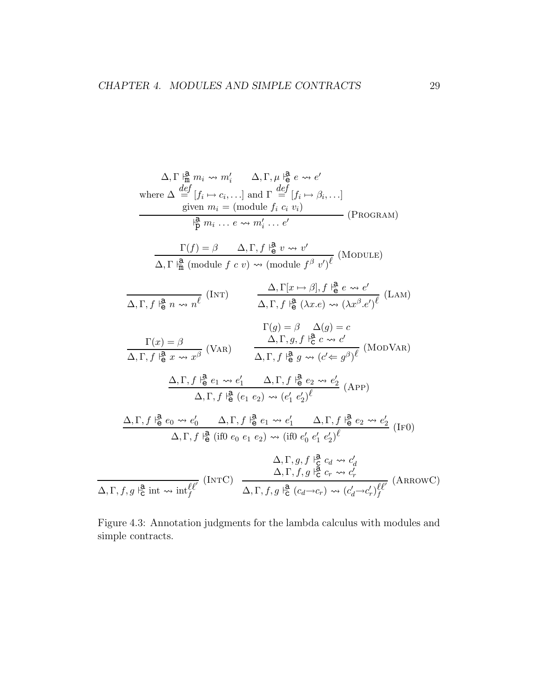$$
\Delta, \Gamma \stackrel{\mathbf{i}^{\mathbf{a}}_{\mathbf{m}}} {\Delta, \Gamma, \mu} \stackrel{\mathbf{i}^{\mathbf{a}}_{\mathbf{m}}} {\Delta, \Gamma, \mu} \stackrel{\mathbf{i}^{\mathbf{a}}_{\mathbf{m}}} {\partial} e \rightsquigarrow e'
$$
\nwhere 
$$
\Delta \stackrel{\mathbf{def}}{=} [f_i \mapsto c_i, \ldots]
$$
 and 
$$
\Gamma \stackrel{\mathbf{def}}{=} [f_i \mapsto \beta_i, \ldots]
$$
\ngiven  $m_i = (\text{module } f_i \ c_i \ v_i)$  (PROGRAM)\n
$$
\stackrel{\mathbf{i}^{\mathbf{a}}_{\mathbf{p}}} {\Delta, \Gamma \stackrel{\mathbf{i}^{\mathbf{a}}_{\mathbf{m}}} (\text{module } f \ c \ v) \rightsquigarrow (\text{module } f^g \ v')^{\ell}
$$
 (MODULE)\n
$$
\Delta, \Gamma, f \stackrel{\mathbf{i}^{\mathbf{a}}_{\mathbf{m}}} {\Delta, \Gamma, f \stackrel{\mathbf{i}^{\mathbf{a}}_{\mathbf{m}}} (\text{module } f \ c \ v) \rightsquigarrow (\text{module } f^g \ v')^{\ell}
$$
 (MODULE)\n
$$
\frac{\Delta, \Gamma[x \mapsto \beta], f \stackrel{\mathbf{a}}{\mathbf{a}} e \rightsquigarrow e'}{\Delta, \Gamma, f \stackrel{\mathbf{a}}{\mathbf{a}} (x.e) \rightsquigarrow (\lambda x^g \cdot e')^{\ell}} (\text{LAM})
$$
\n
$$
\Gamma(g) = \beta \quad \Delta(g) = c
$$
\n
$$
\frac{\Gamma(x) = \beta}{\Delta, \Gamma, f \stackrel{\mathbf{a}}{\mathbf{a}} x \rightsquigarrow x^{\beta}}
$$
 (VAR)\n
$$
\frac{\Delta, \Gamma, g, f \stackrel{\mathbf{i}^{\mathbf{a}}_{\mathbf{p}}} {\Delta, \Gamma, f \stackrel{\mathbf{i}^{\mathbf{a}}_{\mathbf{p}}} (g \rightsquigarrow (c' \Leftarrow g^{\beta})^{\ell}} (\text{MODVAR})
$$
\n
$$
\Delta, \Gamma, f \stackrel{\mathbf{a}}{\mathbf{a}} e_1 \rightsquigarrow e'_1 \quad \Delta, \Gamma, f \stackrel{\mathbf{i}^{\mathbf{a}}_{\mathbf{a}}} (e_1 \ e_2) \rightsquigarrow (e'_1 \ e'_
$$

Figure 4.3: Annotation judgments for the lambda calculus with modules and simple contracts.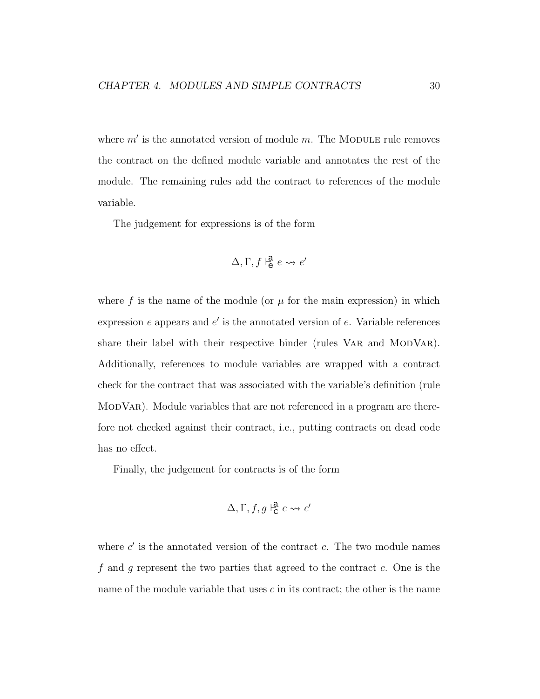where  $m'$  is the annotated version of module  $m$ . The MODULE rule removes the contract on the defined module variable and annotates the rest of the module. The remaining rules add the contract to references of the module variable.

The judgement for expressions is of the form

$$
\Delta, \Gamma, f \models^{\mathbf{a}}_{\mathbf{e}} e \leadsto e'
$$

where f is the name of the module (or  $\mu$  for the main expression) in which expression  $e$  appears and  $e'$  is the annotated version of  $e$ . Variable references share their label with their respective binder (rules VAR and MODVAR). Additionally, references to module variables are wrapped with a contract check for the contract that was associated with the variable's definition (rule ModVar). Module variables that are not referenced in a program are therefore not checked against their contract, i.e., putting contracts on dead code has no effect.

Finally, the judgement for contracts is of the form

$$
\Delta, \Gamma, f, g \vdash^{\mathbf{a}}_{\mathbf{C}} c \leadsto c'
$$

where  $c'$  is the annotated version of the contract  $c$ . The two module names f and g represent the two parties that agreed to the contract  $c$ . One is the name of the module variable that uses  $c$  in its contract; the other is the name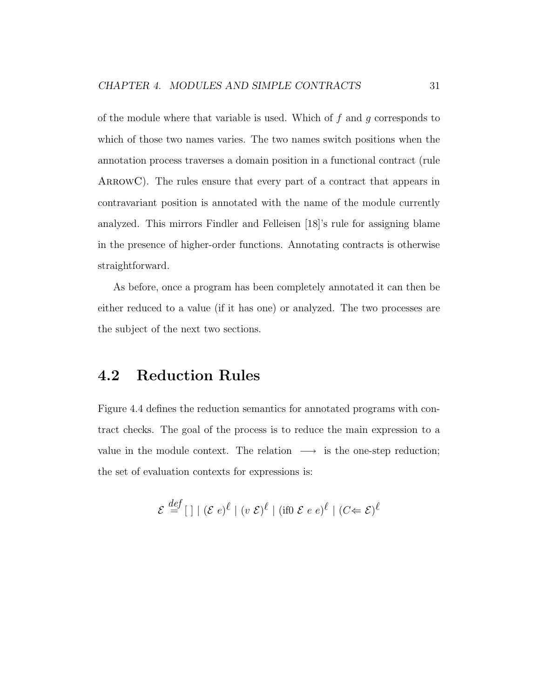of the module where that variable is used. Which of  $f$  and  $g$  corresponds to which of those two names varies. The two names switch positions when the annotation process traverses a domain position in a functional contract (rule ARROWC). The rules ensure that every part of a contract that appears in contravariant position is annotated with the name of the module currently analyzed. This mirrors Findler and Felleisen [18]'s rule for assigning blame in the presence of higher-order functions. Annotating contracts is otherwise straightforward.

As before, once a program has been completely annotated it can then be either reduced to a value (if it has one) or analyzed. The two processes are the subject of the next two sections.

## 4.2 Reduction Rules

Figure 4.4 defines the reduction semantics for annotated programs with contract checks. The goal of the process is to reduce the main expression to a value in the module context. The relation  $\longrightarrow$  is the one-step reduction; the set of evaluation contexts for expressions is:

$$
\mathcal{E} \stackrel{def}{=} [\ ] \mid (\mathcal{E} e)^{\ell} \mid (v \ \mathcal{E})^{\ell} \mid (\text{if} 0 \ \mathcal{E} e e)^{\ell} \mid (C \Leftarrow \mathcal{E})^{\ell}
$$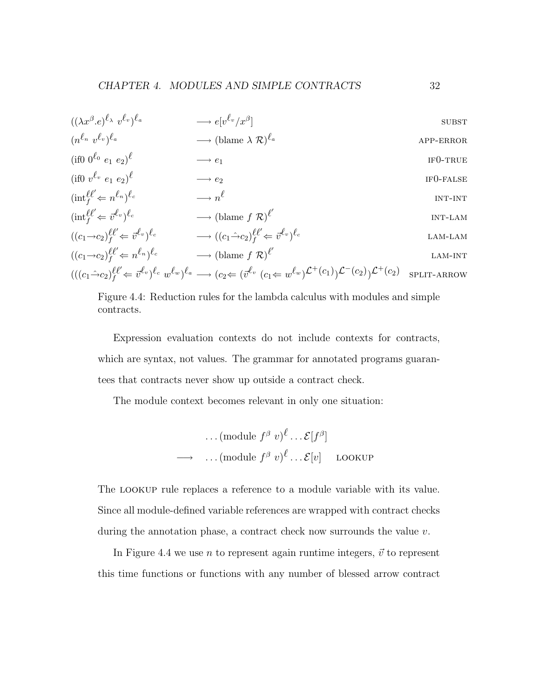$$
((\lambda x^{\beta} \cdot e)^{\ell_{\lambda}} v^{\ell_{v}})^{\ell_{a}} \longrightarrow e[v^{\ell_{v}}/x^{\beta}] \qquad \text{SUBST}
$$
\n
$$
(n^{\ell_{n}} v^{\ell_{v}})^{\ell_{a}} \longrightarrow (\text{blame } \lambda \mathcal{R})^{\ell_{a}} \qquad \text{APP-ERROR}
$$
\n
$$
(if0 \ v^{\ell_{v}} e_{1} e_{2})^{\ell} \longrightarrow e_{1} \qquad \text{IF0-TRUE}
$$
\n
$$
(if0 \ v^{\ell_{v}} e_{1} e_{2})^{\ell} \longrightarrow e_{2} \qquad \text{IF0-FALSE}
$$
\n
$$
(inf_{f}^{\ell} \leftarrow n^{\ell_{n}})^{\ell_{c}} \longrightarrow n^{\ell} \qquad \text{INT-INT}
$$
\n
$$
((\alpha_{1} \rightarrow c_{2})_{f}^{\ell \ell} \leftarrow \overline{v}^{\ell_{v}})^{\ell_{c}} \longrightarrow (\text{blame } f \mathcal{R})^{\ell'} \qquad \text{INT-LAM}
$$
\n
$$
((c_{1} \rightarrow c_{2})_{f}^{\ell \ell'} \leftarrow \overline{v}^{\ell_{v}})^{\ell_{c}} \longrightarrow (\text{blame } f \mathcal{R})^{\ell'} \qquad \text{LAM-LAM}
$$
\n
$$
((c_{1} \rightarrow c_{2})_{f}^{\ell \ell'} \leftarrow n^{\ell_{n}})^{\ell_{c}} \longrightarrow (\text{blame } f \mathcal{R})^{\ell'} \qquad \text{LAM-LAM}
$$
\n
$$
(((c_{1} \rightarrow c_{2})_{f}^{\ell \ell'} \leftarrow \overline{v}^{\ell_{v}})^{\ell_{c}} \cup \text{blame } f \mathcal{R})^{\ell'} \qquad \text{LAM-INT}
$$
\n
$$
(((c_{1} \rightarrow c_{2})_{f}^{\ell \ell'} \leftarrow \overline{v}^{\ell_{v}})^{\ell_{c}} \cup \text{V}^{\ell_{v}} \cup (c_{1} \leftarrow \overline{v}^{\ell_{v}})^{\ell_{c}}) \qquad \text{LAM-INT}
$$

Figure 4.4: Reduction rules for the lambda calculus with modules and simple contracts.

Expression evaluation contexts do not include contexts for contracts, which are syntax, not values. The grammar for annotated programs guarantees that contracts never show up outside a contract check.

The module context becomes relevant in only one situation:

$$
\cdots \text{(module } f^{\beta} \ v)^{\ell} \cdots \mathcal{E}[f^{\beta}]
$$
  

$$
\longrightarrow \quad \cdots \text{(module } f^{\beta} \ v)^{\ell} \cdots \mathcal{E}[v] \quad \text{LOOKUP}
$$

The lookup rule replaces a reference to a module variable with its value. Since all module-defined variable references are wrapped with contract checks during the annotation phase, a contract check now surrounds the value  $v$ .

In Figure 4.4 we use *n* to represent again runtime integers,  $\vec{v}$  to represent this time functions or functions with any number of blessed arrow contract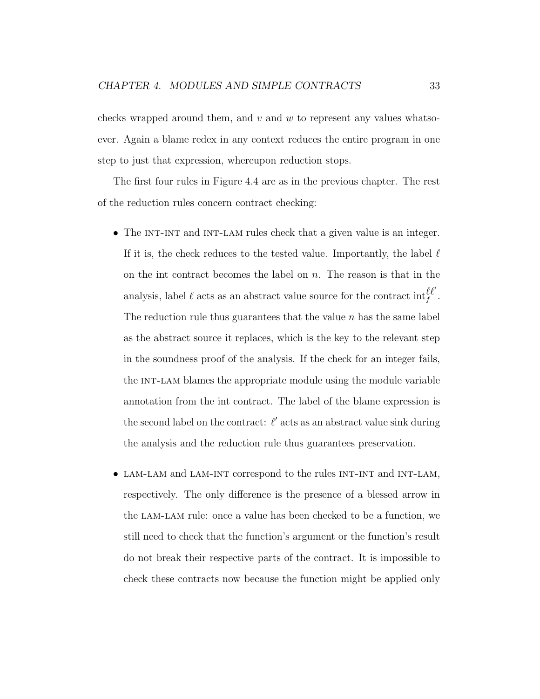checks wrapped around them, and  $v$  and  $w$  to represent any values whatsoever. Again a blame redex in any context reduces the entire program in one step to just that expression, whereupon reduction stops.

The first four rules in Figure 4.4 are as in the previous chapter. The rest of the reduction rules concern contract checking:

- The INT-INT and INT-LAM rules check that a given value is an integer. If it is, the check reduces to the tested value. Importantly, the label  $\ell$ on the int contract becomes the label on  $n$ . The reason is that in the analysis, label  $\ell$  acts as an abstract value source for the contract  $\mathrm{int}_f^{\ell\ell'}$ . The reduction rule thus guarantees that the value  $n$  has the same label as the abstract source it replaces, which is the key to the relevant step in the soundness proof of the analysis. If the check for an integer fails, the INT-LAM blames the appropriate module using the module variable annotation from the int contract. The label of the blame expression is the second label on the contract:  $\ell'$  acts as an abstract value sink during the analysis and the reduction rule thus guarantees preservation.
- LAM-LAM and LAM-INT correspond to the rules INT-INT and INT-LAM, respectively. The only difference is the presence of a blessed arrow in the lam-lam rule: once a value has been checked to be a function, we still need to check that the function's argument or the function's result do not break their respective parts of the contract. It is impossible to check these contracts now because the function might be applied only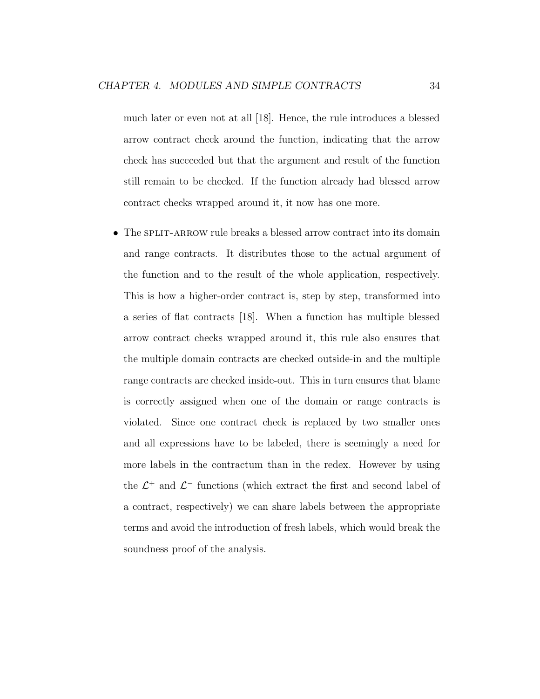much later or even not at all [18]. Hence, the rule introduces a blessed arrow contract check around the function, indicating that the arrow check has succeeded but that the argument and result of the function still remain to be checked. If the function already had blessed arrow contract checks wrapped around it, it now has one more.

• The SPLIT-ARROW rule breaks a blessed arrow contract into its domain and range contracts. It distributes those to the actual argument of the function and to the result of the whole application, respectively. This is how a higher-order contract is, step by step, transformed into a series of flat contracts [18]. When a function has multiple blessed arrow contract checks wrapped around it, this rule also ensures that the multiple domain contracts are checked outside-in and the multiple range contracts are checked inside-out. This in turn ensures that blame is correctly assigned when one of the domain or range contracts is violated. Since one contract check is replaced by two smaller ones and all expressions have to be labeled, there is seemingly a need for more labels in the contractum than in the redex. However by using the  $\mathcal{L}^+$  and  $\mathcal{L}^-$  functions (which extract the first and second label of a contract, respectively) we can share labels between the appropriate terms and avoid the introduction of fresh labels, which would break the soundness proof of the analysis.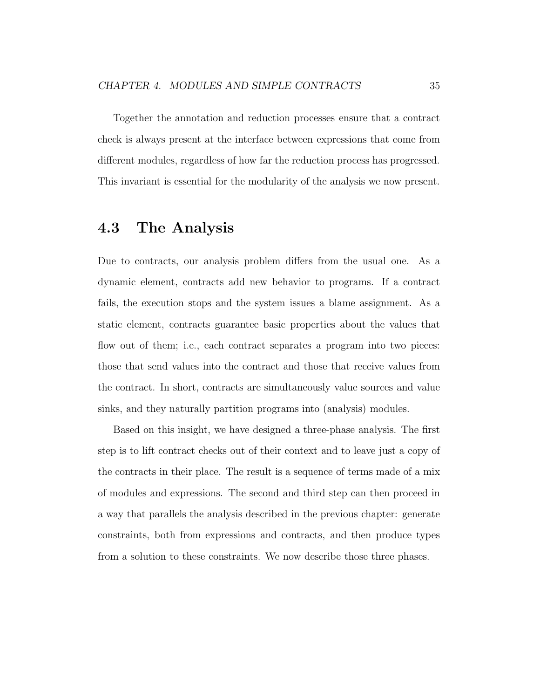Together the annotation and reduction processes ensure that a contract check is always present at the interface between expressions that come from different modules, regardless of how far the reduction process has progressed. This invariant is essential for the modularity of the analysis we now present.

### 4.3 The Analysis

Due to contracts, our analysis problem differs from the usual one. As a dynamic element, contracts add new behavior to programs. If a contract fails, the execution stops and the system issues a blame assignment. As a static element, contracts guarantee basic properties about the values that flow out of them; i.e., each contract separates a program into two pieces: those that send values into the contract and those that receive values from the contract. In short, contracts are simultaneously value sources and value sinks, and they naturally partition programs into (analysis) modules.

Based on this insight, we have designed a three-phase analysis. The first step is to lift contract checks out of their context and to leave just a copy of the contracts in their place. The result is a sequence of terms made of a mix of modules and expressions. The second and third step can then proceed in a way that parallels the analysis described in the previous chapter: generate constraints, both from expressions and contracts, and then produce types from a solution to these constraints. We now describe those three phases.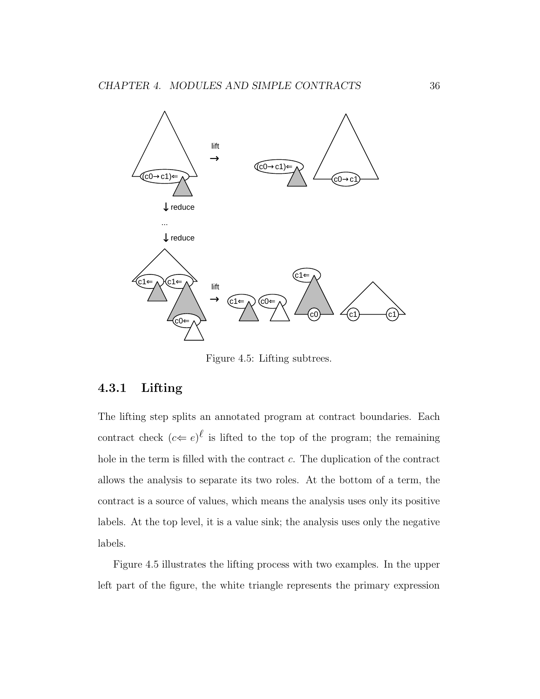

Figure 4.5: Lifting subtrees.

#### 4.3.1 Lifting

The lifting step splits an annotated program at contract boundaries. Each contract check  $(c \leftarrow e)^{\ell}$  is lifted to the top of the program; the remaining hole in the term is filled with the contract c. The duplication of the contract allows the analysis to separate its two roles. At the bottom of a term, the contract is a source of values, which means the analysis uses only its positive labels. At the top level, it is a value sink; the analysis uses only the negative labels.

Figure 4.5 illustrates the lifting process with two examples. In the upper left part of the figure, the white triangle represents the primary expression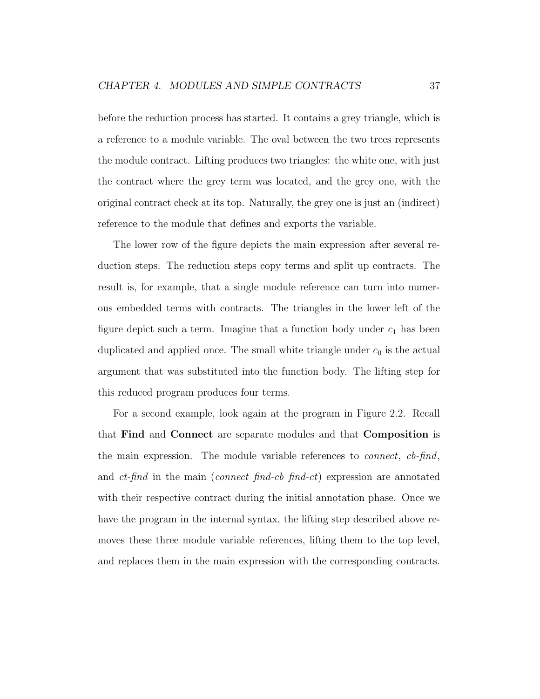before the reduction process has started. It contains a grey triangle, which is a reference to a module variable. The oval between the two trees represents the module contract. Lifting produces two triangles: the white one, with just the contract where the grey term was located, and the grey one, with the original contract check at its top. Naturally, the grey one is just an (indirect) reference to the module that defines and exports the variable.

The lower row of the figure depicts the main expression after several reduction steps. The reduction steps copy terms and split up contracts. The result is, for example, that a single module reference can turn into numerous embedded terms with contracts. The triangles in the lower left of the figure depict such a term. Imagine that a function body under  $c_1$  has been duplicated and applied once. The small white triangle under  $c_0$  is the actual argument that was substituted into the function body. The lifting step for this reduced program produces four terms.

For a second example, look again at the program in Figure 2.2. Recall that Find and Connect are separate modules and that Composition is the main expression. The module variable references to connect, cb-find, and  $ct$ -find in the main (connect find-cb find-ct) expression are annotated with their respective contract during the initial annotation phase. Once we have the program in the internal syntax, the lifting step described above removes these three module variable references, lifting them to the top level, and replaces them in the main expression with the corresponding contracts.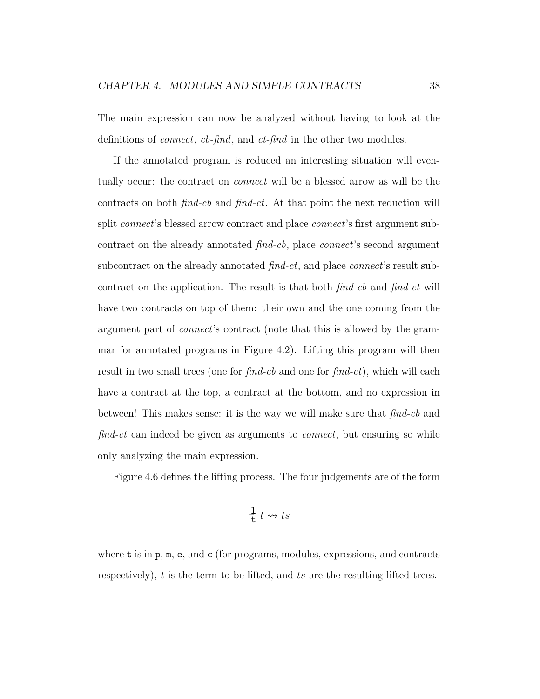The main expression can now be analyzed without having to look at the definitions of *connect*, *cb-find*, and *ct-find* in the other two modules.

If the annotated program is reduced an interesting situation will eventually occur: the contract on connect will be a blessed arrow as will be the contracts on both find-cb and find-ct. At that point the next reduction will split *connect*'s blessed arrow contract and place *connect*'s first argument subcontract on the already annotated find-cb, place connect's second argument subcontract on the already annotated  $find-ct$ , and place *connect*'s result subcontract on the application. The result is that both  $\hat{p}$  find-ch and  $\hat{p}$  find-ct will have two contracts on top of them: their own and the one coming from the argument part of connect's contract (note that this is allowed by the grammar for annotated programs in Figure 4.2). Lifting this program will then result in two small trees (one for  $find-cb$  and one for  $find-ct)$ , which will each have a contract at the top, a contract at the bottom, and no expression in between! This makes sense: it is the way we will make sure that find-cb and find-ct can indeed be given as arguments to *connect*, but ensuring so while only analyzing the main expression.

Figure 4.6 defines the lifting process. The four judgements are of the form

$$
\frac{1}{t} t \leadsto ts
$$

where  $t$  is in  $p, m, e$ , and  $c$  (for programs, modules, expressions, and contracts respectively),  $t$  is the term to be lifted, and  $ts$  are the resulting lifted trees.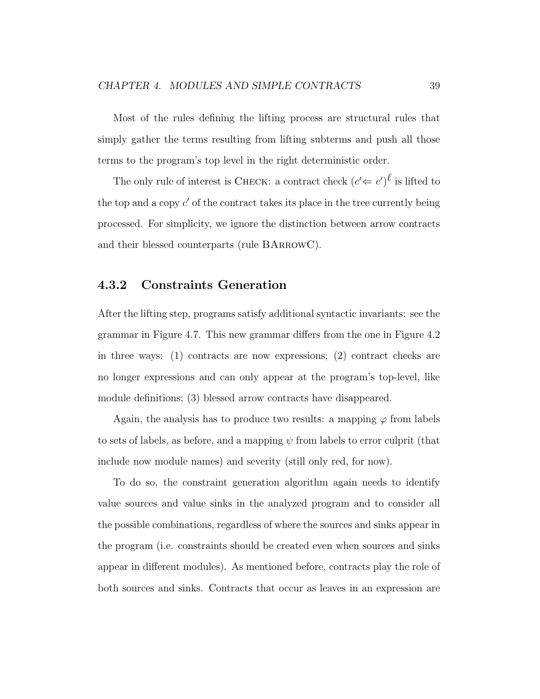Most of the rules defining the lifting process are structural rules that simply gather the terms resulting from lifting subterms and push all those terms to the program's top level in the right deterministic order.

The only rule of interest is CHECK: a contract check  $(c' \leftarrow e')^{\ell}$  is lifted to the top and a copy  $c'$  of the contract takes its place in the tree currently being processed. For simplicity, we ignore the distinction between arrow contracts and their blessed counterparts (rule BArrowC).

#### 4.3.2 Constraints Generation

After the lifting step, programs satisfy additional syntactic invariants: see the grammar in Figure 4.7. This new grammar differs from the one in Figure 4.2 in three ways: (1) contracts are now expressions; (2) contract checks are no longer expressions and can only appear at the program's top-level, like module definitions; (3) blessed arrow contracts have disappeared.

Again, the analysis has to produce two results: a mapping  $\varphi$  from labels to sets of labels, as before, and a mapping  $\psi$  from labels to error culprit (that include now module names) and severity (still only red, for now).

To do so, the constraint generation algorithm again needs to identify value sources and value sinks in the analyzed program and to consider all the possible combinations, regardless of where the sources and sinks appear in the program (i.e. constraints should be created even when sources and sinks appear in different modules). As mentioned before, contracts play the role of both sources and sinks. Contracts that occur as leaves in an expression are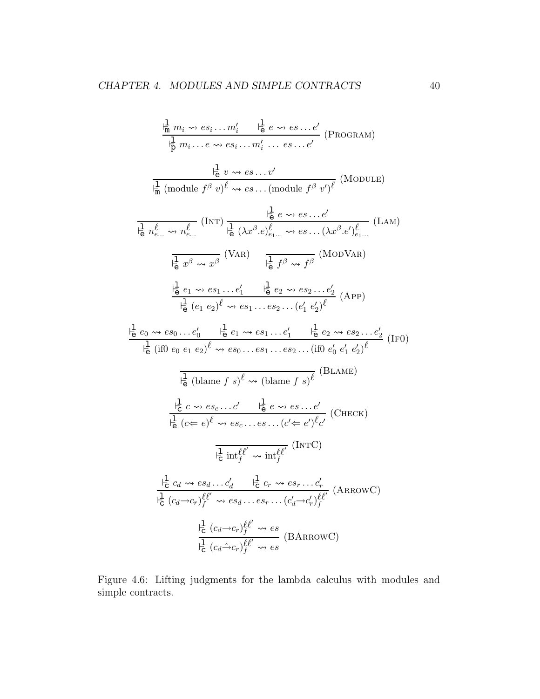$$
\frac{1}{n} m_i \rightsquigarrow es_i ... m_i' \quad \frac{1}{n} e \rightsquigarrow es...e' \quad (\text{PROGRAM})
$$
\n
$$
\frac{1}{n} m_i ... e \rightsquigarrow esi ... m_i' ... es...e' \quad (\text{PROGRAM})
$$
\n
$$
\frac{1}{n} \frac{1}{n} (\text{module } f^{\beta} v)^{\ell} \rightsquigarrow es... (\text{module } f^{\beta} v^{\prime})^{\ell} \quad (\text{MODULE})
$$
\n
$$
\frac{1}{n} \frac{1}{n} \frac{1}{n} \frac{1}{n} \frac{1}{n} \frac{1}{n} \frac{1}{n} \frac{1}{n} \frac{1}{n} \frac{1}{n} \frac{1}{n} \frac{1}{n} \frac{1}{n} \frac{1}{n} \frac{1}{n} \frac{1}{n} \frac{1}{n} \frac{1}{n} \frac{1}{n} \frac{1}{n} \frac{1}{n} \frac{1}{n} \frac{1}{n} \frac{1}{n} \frac{1}{n} \frac{1}{n} \frac{1}{n} \frac{1}{n} \frac{1}{n} \frac{1}{n} \frac{1}{n} \frac{1}{n} \frac{1}{n} \frac{1}{n} \frac{1}{n} \frac{1}{n} \frac{1}{n} \frac{1}{n} \frac{1}{n} \frac{1}{n} \frac{1}{n} \frac{1}{n} \frac{1}{n} \frac{1}{n} \frac{1}{n} \frac{1}{n} \frac{1}{n} \frac{1}{n} \frac{1}{n} \frac{1}{n} \frac{1}{n} \frac{1}{n} \frac{1}{n} \frac{1}{n} \frac{1}{n} \frac{1}{n} \frac{1}{n} \frac{1}{n} \frac{1}{n} \frac{1}{n} \frac{1}{n} \frac{1}{n} \frac{1}{n} \frac{1}{n} \frac{1}{n} \frac{1}{n} \frac{1}{n} \frac{1}{n} \frac{1}{n} \frac{1}{n} \frac{1}{n} \frac{1}{n} \frac{1}{n} \frac{1}{n} \frac{1}{n} \frac{1}{n} \frac{1}{n} \frac{1}{n} \frac{1}{n} \frac{1}{n} \frac{1}{n} \frac{1}{n} \frac{1}{n} \frac{1}{
$$

Figure 4.6: Lifting judgments for the lambda calculus with modules and simple contracts.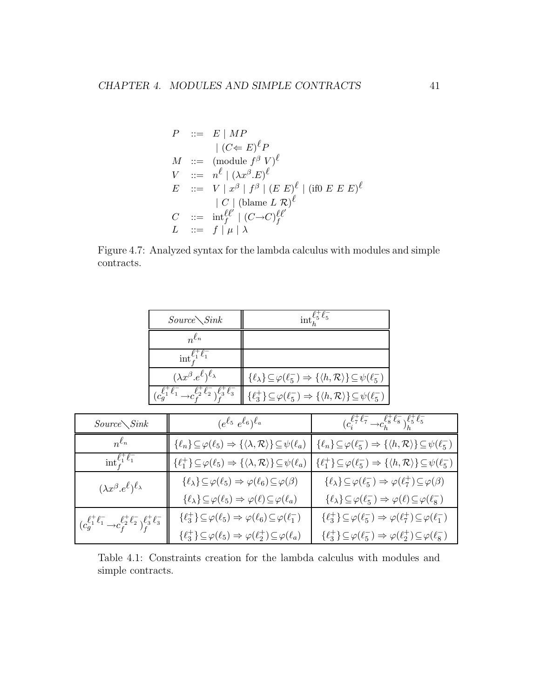$$
P ::= E | MP
$$
  
\n
$$
| (C \leftarrow E)^{\ell} P
$$
  
\n
$$
M ::= (module f^{\beta} V)^{\ell}
$$
  
\n
$$
V ::= n^{\ell} | (\lambda x^{\beta} . E)^{\ell}
$$
  
\n
$$
E ::= V | x^{\beta} | f^{\beta} | (E E)^{\ell} | (if 0 E E E)^{\ell}
$$
  
\n
$$
| C | (blame L R)^{\ell}
$$
  
\n
$$
C ::= int_f^{\ell \ell'} | (C \rightarrow C)^{\ell \ell'}_f
$$
  
\n
$$
L ::= f | \mu | \lambda
$$

Figure 4.7: Analyzed syntax for the lambda calculus with modules and simple contracts.

| $Source\diagdown$ Sink                                                              | $\mathrm{int}^{\boldsymbol{\iota}_{5}}$                                                                                  |  |
|-------------------------------------------------------------------------------------|--------------------------------------------------------------------------------------------------------------------------|--|
| $n^{\ell_n}$                                                                        |                                                                                                                          |  |
| $\int_{t_1}^{\ell_1} \ell_1$                                                        |                                                                                                                          |  |
| $(\lambda x^{\beta} . e^{\ell})^{\ell_{\lambda}}$                                   | $\{\ell_{\lambda}\}\subseteq\varphi(\ell_{5}^{-})\Rightarrow\{\langle h,\mathcal{R}\rangle\}\subseteq\psi(\ell_{5}^{-})$ |  |
| $(c_a^{\ell_1^+ \ell_1^-} \rightarrow c_s^{\ell_2^+ \ell_2^-})^{\ell_3^+ \ell_3^-}$ | $\{\ell_3^+\}\subseteq\varphi(\ell_5^-)\Rightarrow\{\langle h,\mathcal{R}\rangle\}\subseteq\psi(\ell_5^-)$               |  |

| $Source\diagdown Sink$                                                                                   | $(e^{\ell_5} \ e^{\ell_6})^{\ell_a}$                                                                              | $(c_s^{\ell^+_\tau \ell^-_\tau} {\rightarrow} c_s^{\ell^+_\tau \ell^-_s})_b^{\ell^+_\tau \ell^-_\tau}$           |
|----------------------------------------------------------------------------------------------------------|-------------------------------------------------------------------------------------------------------------------|------------------------------------------------------------------------------------------------------------------|
| $n^{\ell_n}$                                                                                             | $\{\ell_n\}\!\subseteq\!\varphi(\ell_5)\Rightarrow\{\langle\lambda,\mathcal{R}\rangle\}\!\subseteq\!\psi(\ell_a)$ | $\{\ell_n\} \subseteq \varphi(\ell_5^-) \Rightarrow \{\langle h, \mathcal{R} \rangle\} \subseteq \psi(\ell_5^-)$ |
| $\mathrm{int}_f^{\ell_1^+ \ell_1^-}$                                                                     | $\{\ell_1^+\}\subseteq\varphi(\ell_5)\Rightarrow\{\langle\lambda,\mathcal{R}\rangle\}\subseteq\psi(\ell_a)$       | $\{\ell_1^+\}\subseteq\varphi(\ell_5^-)\Rightarrow\{\langle h,\mathcal{R}\rangle\}\subseteq\psi(\ell_5^-)$       |
| $(\lambda x^{\beta}.e^{\ell})^{\ell_{\lambda}}$                                                          | $\{\ell_\lambda\}\!\subseteq\!\varphi(\ell_5)\Rightarrow\varphi(\ell_6)\!\subseteq\!\varphi(\beta)$               | $\{\ell_{\lambda}\}\subseteq\varphi(\ell_5^-)\Rightarrow\varphi(\ell_7^+)\subseteq\varphi(\beta)$                |
|                                                                                                          | $\{\ell_\lambda\}\!\subseteq\!\varphi(\ell_5)\Rightarrow\varphi(\ell)\!\subseteq\!\varphi(\ell_a)$                | $\{\ell_{\lambda}\}\subseteq\varphi(\ell_5^-)\Rightarrow\varphi(\ell)\subseteq\varphi(\ell_8^-)$                 |
| $(c_{g}^{\ell_{1}^{+}\ell_{1}^{-}}{\to}c_{f}^{\ell_{2}^{+}\ell_{2}^{-}})_{f}^{\ell_{3}^{+}\ell_{3}^{-}}$ | $\{\ell_3^+\}\subseteq\varphi(\ell_5)\Rightarrow\varphi(\ell_6)\subseteq\varphi(\ell_1^-)$                        | $\{\ell_3^+\}\subseteq\varphi(\ell_5^-)\Rightarrow\varphi(\ell_7^+)\subseteq\varphi(\ell_1^-)$                   |
|                                                                                                          | $\{\ell_3^+\}\subseteq\varphi(\ell_5)\Rightarrow\varphi(\ell_2^+)\subseteq\varphi(\ell_a)$                        | $\{\ell_3^+\}\subseteq\varphi(\ell_5^-)\Rightarrow\varphi(\ell_2^+)\subseteq\varphi(\ell_8^-)$                   |

Table 4.1: Constraints creation for the lambda calculus with modules and simple contracts.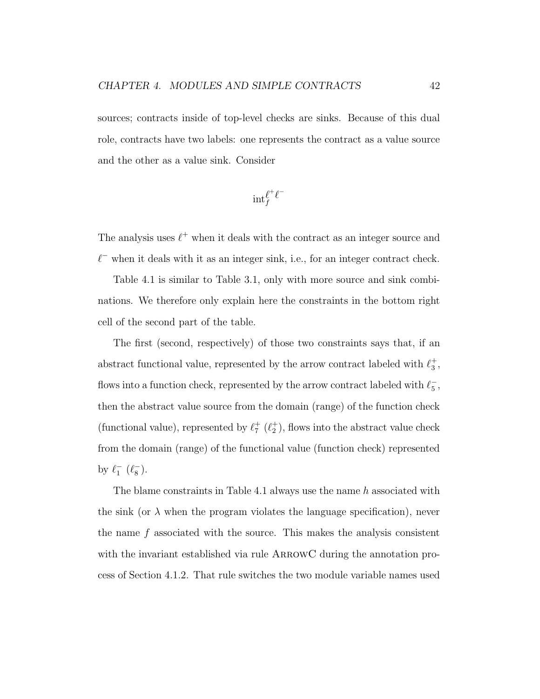sources; contracts inside of top-level checks are sinks. Because of this dual role, contracts have two labels: one represents the contract as a value source and the other as a value sink. Consider

$$
\mathrm{int}_f^{\ell^+ \ell^-}
$$

The analysis uses  $\ell^+$  when it deals with the contract as an integer source and  $\ell^-$  when it deals with it as an integer sink, i.e., for an integer contract check.

Table 4.1 is similar to Table 3.1, only with more source and sink combinations. We therefore only explain here the constraints in the bottom right cell of the second part of the table.

The first (second, respectively) of those two constraints says that, if an abstract functional value, represented by the arrow contract labeled with  $\ell_3^+$  $_3^+$  , flows into a function check, represented by the arrow contract labeled with  $\ell_5^-$ 5 , then the abstract value source from the domain (range) of the function check (functional value), represented by  $\ell_7^+$  $_{7}^{+}$   $(\ell_{2}^{+})$  $_2^{\text{+}}$ ), flows into the abstract value check from the domain (range) of the functional value (function check) represented by  $\ell_1^ ^{-}_{1}$   $(\ell_{8}^{-})$  $_{8}^{-}$ ).

The blame constraints in Table 4.1 always use the name h associated with the sink (or  $\lambda$  when the program violates the language specification), never the name  $f$  associated with the source. This makes the analysis consistent with the invariant established via rule ARROWC during the annotation process of Section 4.1.2. That rule switches the two module variable names used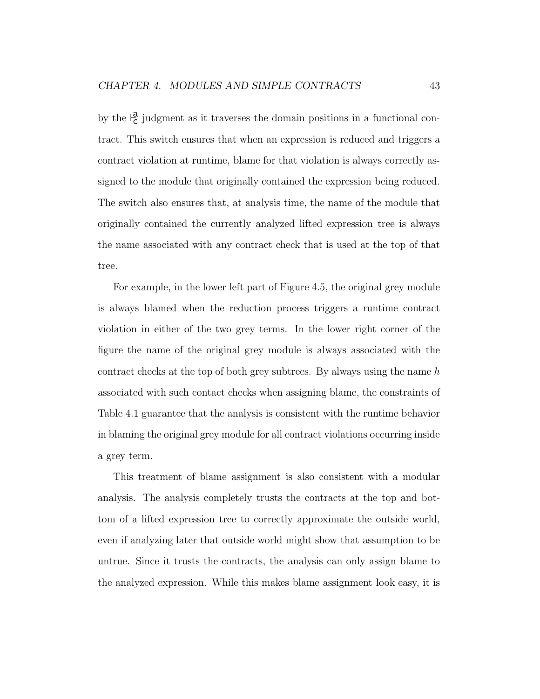by the  $\frac{a}{c}$  judgment as it traverses the domain positions in a functional contract. This switch ensures that when an expression is reduced and triggers a contract violation at runtime, blame for that violation is always correctly assigned to the module that originally contained the expression being reduced. The switch also ensures that, at analysis time, the name of the module that originally contained the currently analyzed lifted expression tree is always the name associated with any contract check that is used at the top of that tree.

For example, in the lower left part of Figure 4.5, the original grey module is always blamed when the reduction process triggers a runtime contract violation in either of the two grey terms. In the lower right corner of the figure the name of the original grey module is always associated with the contract checks at the top of both grey subtrees. By always using the name  $h$ associated with such contact checks when assigning blame, the constraints of Table 4.1 guarantee that the analysis is consistent with the runtime behavior in blaming the original grey module for all contract violations occurring inside a grey term.

This treatment of blame assignment is also consistent with a modular analysis. The analysis completely trusts the contracts at the top and bottom of a lifted expression tree to correctly approximate the outside world, even if analyzing later that outside world might show that assumption to be untrue. Since it trusts the contracts, the analysis can only assign blame to the analyzed expression. While this makes blame assignment look easy, it is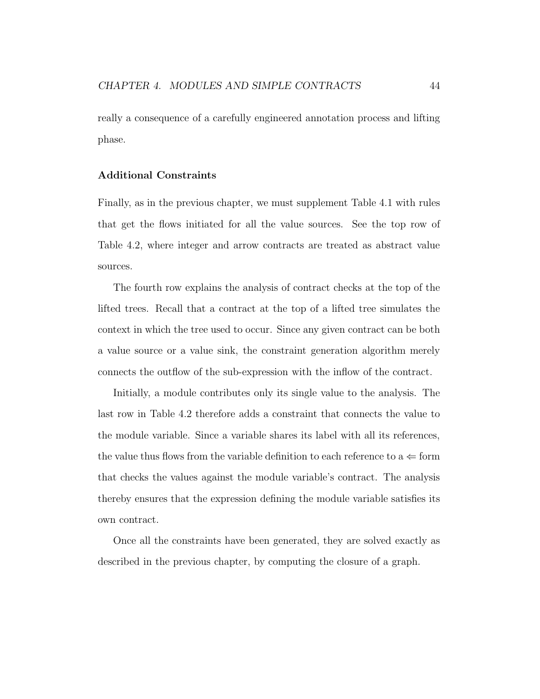really a consequence of a carefully engineered annotation process and lifting phase.

#### Additional Constraints

Finally, as in the previous chapter, we must supplement Table 4.1 with rules that get the flows initiated for all the value sources. See the top row of Table 4.2, where integer and arrow contracts are treated as abstract value sources.

The fourth row explains the analysis of contract checks at the top of the lifted trees. Recall that a contract at the top of a lifted tree simulates the context in which the tree used to occur. Since any given contract can be both a value source or a value sink, the constraint generation algorithm merely connects the outflow of the sub-expression with the inflow of the contract.

Initially, a module contributes only its single value to the analysis. The last row in Table 4.2 therefore adds a constraint that connects the value to the module variable. Since a variable shares its label with all its references, the value thus flows from the variable definition to each reference to  $a \leftarrow$  form that checks the values against the module variable's contract. The analysis thereby ensures that the expression defining the module variable satisfies its own contract.

Once all the constraints have been generated, they are solved exactly as described in the previous chapter, by computing the closure of a graph.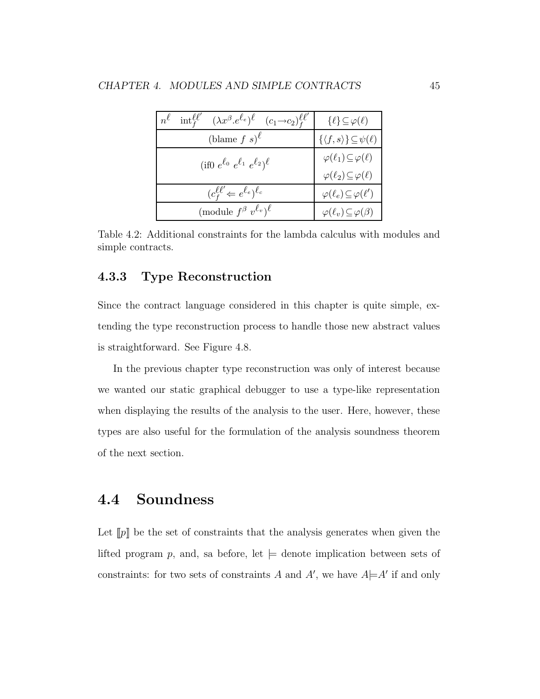| $(\lambda x^{\beta} . e^{\ell_e})^{\ell}$<br>$\mathrm{int}_f^{\ell\ell'}$<br>$(c_1 \rightarrow c_2)_{f}^{\ell \ell'}$<br>$n^{\ell}$ | $\{\ell\} \subseteq \varphi(\ell)$              |
|-------------------------------------------------------------------------------------------------------------------------------------|-------------------------------------------------|
| (blame $f s$ ) <sup><math>\ell</math></sup>                                                                                         | $\{\langle f, s \rangle\} \subseteq \psi(\ell)$ |
| (if0 $e^{\ell_0} e^{\ell_1} e^{\ell_2}$ ) $\ell$                                                                                    | $\varphi(\ell_1) \subseteq \varphi(\ell)$       |
|                                                                                                                                     | $\varphi(\ell_2) \subseteq \varphi(\ell)$       |
| $(c_f^{\ell\ell'} \leftarrow e^{\ell_e})^{\ell_c}$                                                                                  | $\varphi(\ell_e) \subseteq \varphi(\ell')$      |
| (module $f^{\beta} v^{\ell_v}$ ) <sup><math>\ell</math></sup>                                                                       | $\varphi(\ell_v) \subseteq \varphi(\beta)$      |

Table 4.2: Additional constraints for the lambda calculus with modules and simple contracts.

#### 4.3.3 Type Reconstruction

Since the contract language considered in this chapter is quite simple, extending the type reconstruction process to handle those new abstract values is straightforward. See Figure 4.8.

In the previous chapter type reconstruction was only of interest because we wanted our static graphical debugger to use a type-like representation when displaying the results of the analysis to the user. Here, however, these types are also useful for the formulation of the analysis soundness theorem of the next section.

## 4.4 Soundness

Let  $[p]$  be the set of constraints that the analysis generates when given the lifted program p, and, sa before, let  $\models$  denote implication between sets of constraints: for two sets of constraints A and A', we have  $A \models A'$  if and only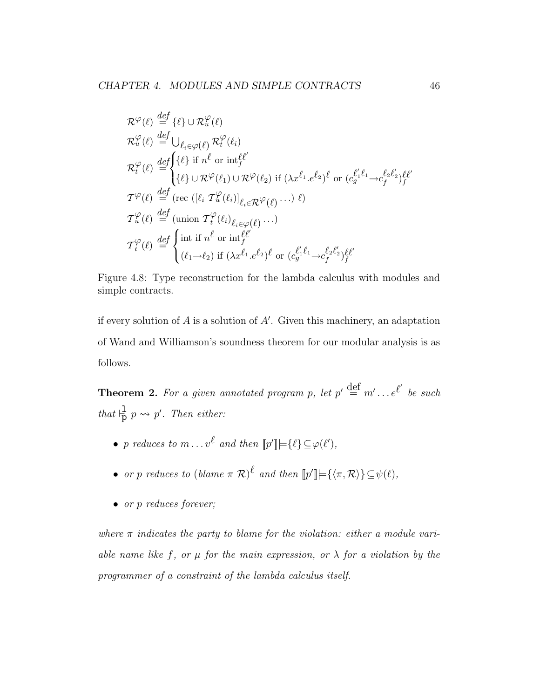$$
\mathcal{R}^{\varphi}(\ell) \stackrel{def}{=} {\{\ell\} \cup \mathcal{R}^{\varphi}_{u}(\ell)}
$$
  
\n
$$
\mathcal{R}^{\varphi}_{u}(\ell) \stackrel{def}{=} \bigcup_{\ell_{i} \in \varphi(\ell)} \mathcal{R}^{\varphi}_{t}(\ell_{i})
$$
  
\n
$$
\mathcal{R}^{\varphi}_{t}(\ell) \stackrel{def}{=} {\{\ell\} \text{ if } n^{\ell} \text{ or } \text{inf}^{\ell}_{f}}^{\{\ell\}}
$$
  
\n
$$
\{\ell\} \cup \mathcal{R}^{\varphi}(\ell_{1}) \cup \mathcal{R}^{\varphi}(\ell_{2}) \text{ if } (\lambda x^{\ell_{1}} \cdot e^{\ell_{2}})^{\ell} \text{ or } (c_{g}^{\ell_{1}\ell_{1}} \rightarrow c_{f}^{\ell_{2}\ell_{2}})^{\ell}_{f}}
$$
  
\n
$$
\mathcal{T}^{\varphi}(\ell) \stackrel{def}{=} (\text{rec } ([\ell_{i} \mathcal{T}^{\varphi}_{u}(\ell_{i})]_{\ell_{i} \in \mathcal{R}} \varphi(\ell) \cdots) \ell)
$$
  
\n
$$
\mathcal{T}^{\varphi}_{u}(\ell) \stackrel{def}{=} (\text{union } \mathcal{T}^{\varphi}_{t}(\ell_{i})_{\ell_{i} \in \varphi(\ell)} \cdots)
$$
  
\n
$$
\mathcal{T}^{\varphi}_{t}(\ell) \stackrel{def}{=} \begin{cases} \text{int if } n^{\ell} \text{ or } \text{int}^{\ell}_{f} \\ (\ell_{1} \rightarrow \ell_{2}) \text{ if } (\lambda x^{\ell_{1}} \cdot e^{\ell_{2}})^{\ell} \text{ or } (c_{g}^{\ell_{1}\ell_{1}} \rightarrow c_{f}^{\ell_{2}\ell_{2}})^{\ell}_{f} \end{cases}
$$

Figure 4.8: Type reconstruction for the lambda calculus with modules and simple contracts.

if every solution of  $A$  is a solution of  $A'$ . Given this machinery, an adaptation of Wand and Williamson's soundness theorem for our modular analysis is as follows.

**Theorem 2.** For a given annotated program p, let  $p' \stackrel{\text{def}}{=} m' \dots e^{\ell'}$  be such that  $\frac{1}{p} p \leadsto p'$ . Then either:

- p reduces to  $m \dots v^{\ell}$  and then  $[ p' ] \models \{\ell\} \subseteq \varphi(\ell'),$
- or p reduces to  $(blame \pi \mathcal{R})^{\ell}$  and then  $[\![p']\!] = {\langle \pi, \mathcal{R} \rangle} {\subseteq \psi(\ell)}$ ,
- or p reduces forever;

where  $\pi$  indicates the party to blame for the violation: either a module variable name like f, or  $\mu$  for the main expression, or  $\lambda$  for a violation by the programmer of a constraint of the lambda calculus itself.

 $\overline{1}$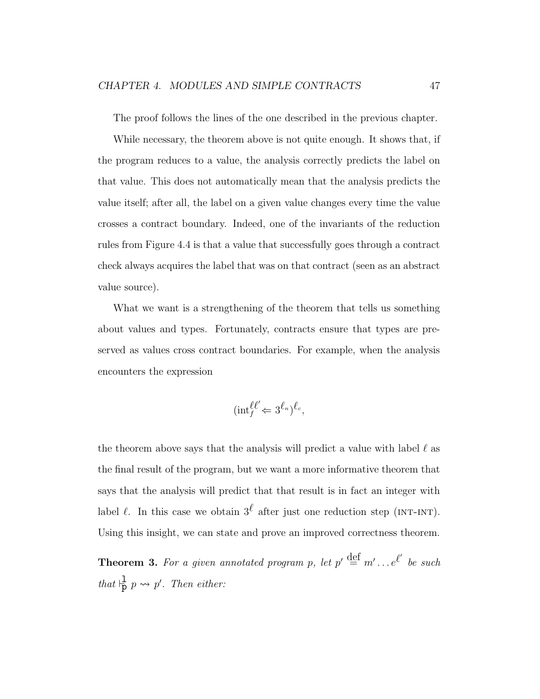The proof follows the lines of the one described in the previous chapter.

While necessary, the theorem above is not quite enough. It shows that, if the program reduces to a value, the analysis correctly predicts the label on that value. This does not automatically mean that the analysis predicts the value itself; after all, the label on a given value changes every time the value crosses a contract boundary. Indeed, one of the invariants of the reduction rules from Figure 4.4 is that a value that successfully goes through a contract check always acquires the label that was on that contract (seen as an abstract value source).

What we want is a strengthening of the theorem that tells us something about values and types. Fortunately, contracts ensure that types are preserved as values cross contract boundaries. For example, when the analysis encounters the expression

$$
(\text{int}_{f}^{\ell \ell'} \Leftarrow 3^{\ell_n})^{\ell_c},
$$

the theorem above says that the analysis will predict a value with label  $\ell$  as the final result of the program, but we want a more informative theorem that says that the analysis will predict that that result is in fact an integer with label  $\ell$ . In this case we obtain  $3^{\ell}$  after just one reduction step (INT-INT). Using this insight, we can state and prove an improved correctness theorem.

**Theorem 3.** For a given annotated program p, let  $p' \stackrel{\text{def}}{=} m' \dots e^{\ell'}$  be such that  $\frac{1}{p} p \leadsto p'$ . Then either: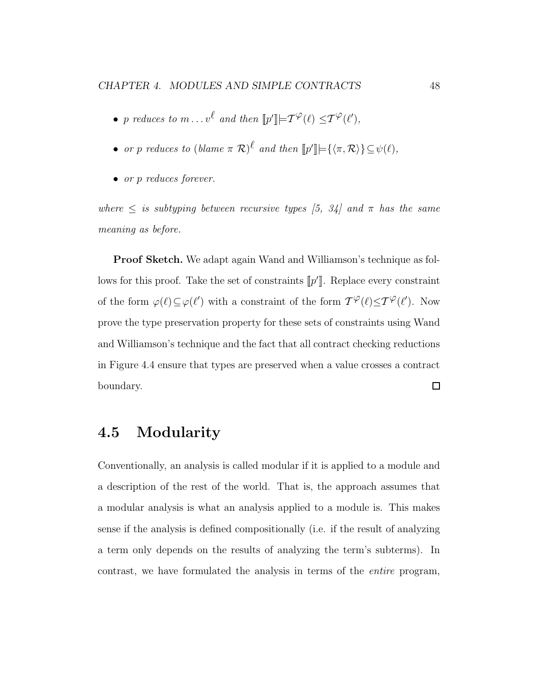- p reduces to  $m \dots v^{\ell}$  and then  $[![p']!] \models \mathcal{T}^{\varphi}(\ell) \leq \mathcal{T}^{\varphi}(\ell'),$
- or p reduces to  $(blame \pi \mathcal{R})^{\ell}$  and then  $[\![p']\!] = {\langle \pi, \mathcal{R} \rangle} {\subseteq \psi(\ell)}$ ,
- or p reduces forever.

where  $\leq$  is subtyping between recursive types [5, 34] and  $\pi$  has the same meaning as before.

Proof Sketch. We adapt again Wand and Williamson's technique as follows for this proof. Take the set of constraints  $[\![p']\!]$ . Replace every constraint of the form  $\varphi(\ell) \subseteq \varphi(\ell')$  with a constraint of the form  $T^{\varphi}(\ell) \leq T^{\varphi}(\ell')$ . Now prove the type preservation property for these sets of constraints using Wand and Williamson's technique and the fact that all contract checking reductions in Figure 4.4 ensure that types are preserved when a value crosses a contract boundary.  $\Box$ 

## 4.5 Modularity

Conventionally, an analysis is called modular if it is applied to a module and a description of the rest of the world. That is, the approach assumes that a modular analysis is what an analysis applied to a module is. This makes sense if the analysis is defined compositionally (i.e. if the result of analyzing a term only depends on the results of analyzing the term's subterms). In contrast, we have formulated the analysis in terms of the entire program,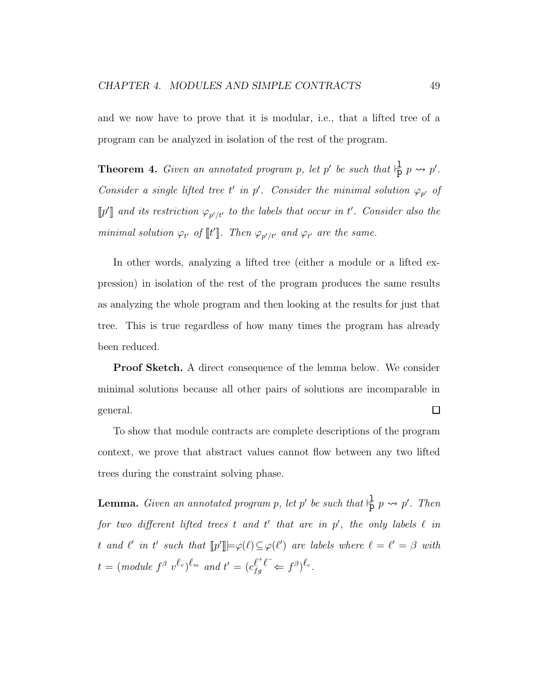and we now have to prove that it is modular, i.e., that a lifted tree of a program can be analyzed in isolation of the rest of the program.

**Theorem 4.** Given an annotated program p, let p' be such that  $\frac{1}{p}$  p  $\rightarrow$  p'. Consider a single lifted tree t' in p'. Consider the minimal solution  $\varphi_{p'}$  of  $\llbracket p' \rrbracket$  and its restriction  $\varphi_{p'/t'}$  to the labels that occur in t'. Consider also the minimal solution  $\varphi_{t'}$  of  $\llbracket t \rrbracket$ . Then  $\varphi_{p'/t'}$  and  $\varphi_{t'}$  are the same.

In other words, analyzing a lifted tree (either a module or a lifted expression) in isolation of the rest of the program produces the same results as analyzing the whole program and then looking at the results for just that tree. This is true regardless of how many times the program has already been reduced.

Proof Sketch. A direct consequence of the lemma below. We consider minimal solutions because all other pairs of solutions are incomparable in  $\Box$ general.

To show that module contracts are complete descriptions of the program context, we prove that abstract values cannot flow between any two lifted trees during the constraint solving phase.

**Lemma.** Given an annotated program p, let p' be such that  $\frac{1}{p}$  p  $\rightsquigarrow$  p'. Then for two different lifted trees t and t' that are in  $p'$ , the only labels  $\ell$  in t and  $\ell'$  in t' such that  $[\![p']\!] \models \varphi(\ell) \subseteq \varphi(\ell')$  are labels where  $\ell = \ell' = \beta$  with  $t = (\text{module } f^{\beta} \text{ } v^{\ell_v})^{\ell_m} \text{ and } t' = (c_{fg}^{\ell^+ \ell^-} \Leftarrow f^{\beta})^{\ell_c}.$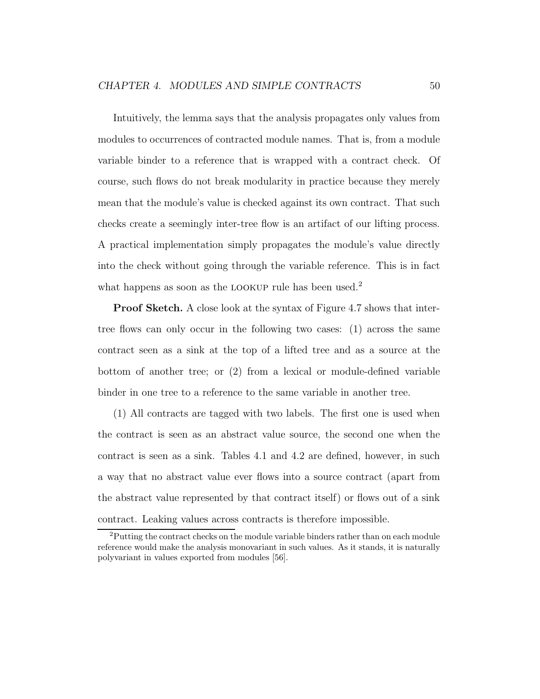Intuitively, the lemma says that the analysis propagates only values from modules to occurrences of contracted module names. That is, from a module variable binder to a reference that is wrapped with a contract check. Of course, such flows do not break modularity in practice because they merely mean that the module's value is checked against its own contract. That such checks create a seemingly inter-tree flow is an artifact of our lifting process. A practical implementation simply propagates the module's value directly into the check without going through the variable reference. This is in fact what happens as soon as the LOOKUP rule has been used.<sup>2</sup>

Proof Sketch. A close look at the syntax of Figure 4.7 shows that intertree flows can only occur in the following two cases: (1) across the same contract seen as a sink at the top of a lifted tree and as a source at the bottom of another tree; or (2) from a lexical or module-defined variable binder in one tree to a reference to the same variable in another tree.

(1) All contracts are tagged with two labels. The first one is used when the contract is seen as an abstract value source, the second one when the contract is seen as a sink. Tables 4.1 and 4.2 are defined, however, in such a way that no abstract value ever flows into a source contract (apart from the abstract value represented by that contract itself) or flows out of a sink contract. Leaking values across contracts is therefore impossible.

<sup>&</sup>lt;sup>2</sup>Putting the contract checks on the module variable binders rather than on each module reference would make the analysis monovariant in such values. As it stands, it is naturally polyvariant in values exported from modules [56].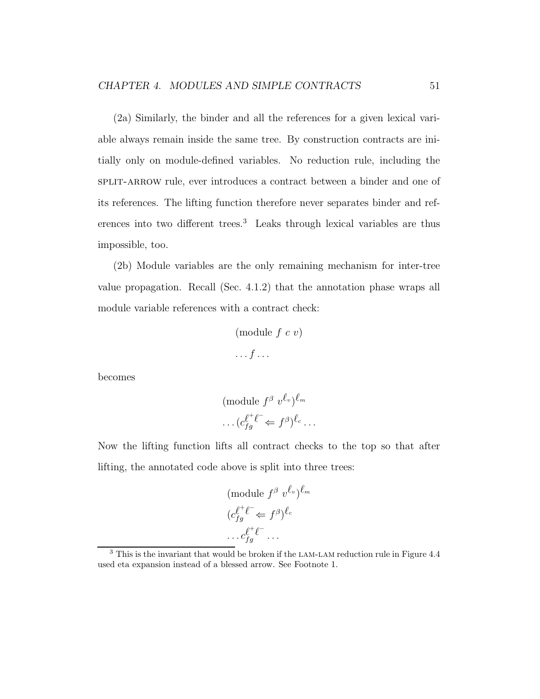(2a) Similarly, the binder and all the references for a given lexical variable always remain inside the same tree. By construction contracts are initially only on module-defined variables. No reduction rule, including the split-arrow rule, ever introduces a contract between a binder and one of its references. The lifting function therefore never separates binder and references into two different trees.<sup>3</sup> Leaks through lexical variables are thus impossible, too.

(2b) Module variables are the only remaining mechanism for inter-tree value propagation. Recall (Sec. 4.1.2) that the annotation phase wraps all module variable references with a contract check:

$$
\begin{array}{c} \text{(module } f \ c \ v) \\ \cdots f \cdots \end{array}
$$

becomes

$$
(\text{module } f^{\beta} \ v^{\ell_v})^{\ell_m}
$$

$$
\dots (c_{fg}^{\ell^+ \ell^-} \Leftarrow f^{\beta})^{\ell_c} \dots
$$

Now the lifting function lifts all contract checks to the top so that after lifting, the annotated code above is split into three trees:

$$
(\text{module } f^{\beta} \ v^{\ell_v})^{\ell_m}
$$

$$
(c_{fg}^{\ell^+ \ell^-} \Leftarrow f^{\beta})^{\ell_c}
$$

$$
\dots c_{fg}^{\ell^+ \ell^-} \dots
$$

<sup>&</sup>lt;sup>3</sup> This is the invariant that would be broken if the LAM-LAM reduction rule in Figure 4.4 used eta expansion instead of a blessed arrow. See Footnote 1.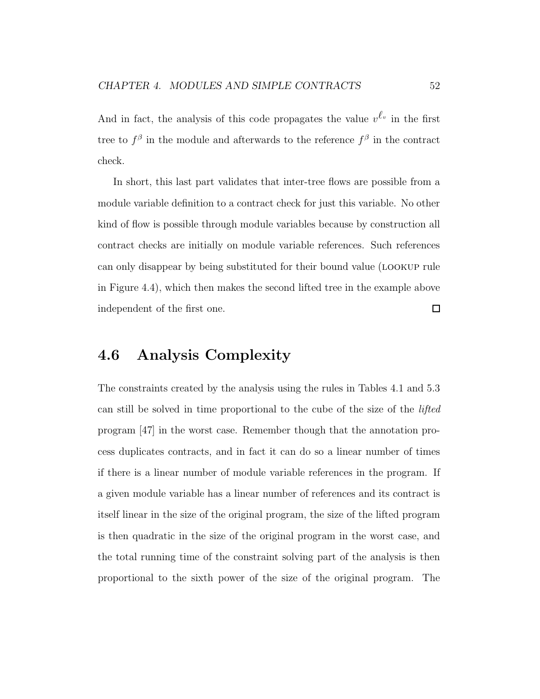And in fact, the analysis of this code propagates the value  $v^{\ell_v}$  in the first tree to  $f^{\beta}$  in the module and afterwards to the reference  $f^{\beta}$  in the contract check.

In short, this last part validates that inter-tree flows are possible from a module variable definition to a contract check for just this variable. No other kind of flow is possible through module variables because by construction all contract checks are initially on module variable references. Such references can only disappear by being substituted for their bound value (lookup rule in Figure 4.4), which then makes the second lifted tree in the example above  $\Box$ independent of the first one.

## 4.6 Analysis Complexity

The constraints created by the analysis using the rules in Tables 4.1 and 5.3 can still be solved in time proportional to the cube of the size of the lifted program [47] in the worst case. Remember though that the annotation process duplicates contracts, and in fact it can do so a linear number of times if there is a linear number of module variable references in the program. If a given module variable has a linear number of references and its contract is itself linear in the size of the original program, the size of the lifted program is then quadratic in the size of the original program in the worst case, and the total running time of the constraint solving part of the analysis is then proportional to the sixth power of the size of the original program. The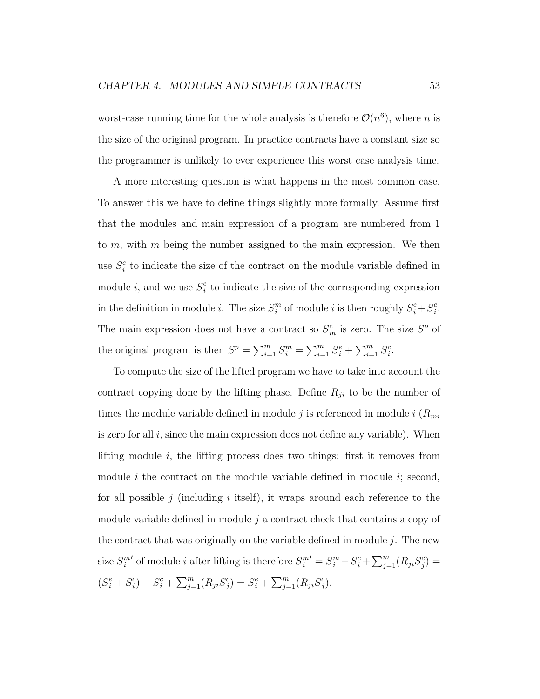worst-case running time for the whole analysis is therefore  $\mathcal{O}(n^6)$ , where n is the size of the original program. In practice contracts have a constant size so the programmer is unlikely to ever experience this worst case analysis time.

A more interesting question is what happens in the most common case. To answer this we have to define things slightly more formally. Assume first that the modules and main expression of a program are numbered from 1 to  $m$ , with  $m$  being the number assigned to the main expression. We then use  $S_i^c$  to indicate the size of the contract on the module variable defined in module *i*, and we use  $S_i^e$  to indicate the size of the corresponding expression in the definition in module *i*. The size  $S_i^m$  $_i^m$  of module *i* is then roughly  $S_i^e + S_i^c$  $\frac{c}{i}$ . The main expression does not have a contract so  $S_m^c$  is zero. The size  $S_p^p$  of the original program is then  $S^p = \sum_{i=1}^m S_i^m = \sum_{i=1}^m S_i^e + \sum_{i=1}^m S_i^c$ .

To compute the size of the lifted program we have to take into account the contract copying done by the lifting phase. Define  $R_{ji}$  to be the number of times the module variable defined in module j is referenced in module i  $(R_{mi})$ is zero for all  $i$ , since the main expression does not define any variable). When lifting module  $i$ , the lifting process does two things: first it removes from module i the contract on the module variable defined in module i; second, for all possible j (including i itself), it wraps around each reference to the module variable defined in module  $j$  a contract check that contains a copy of the contract that was originally on the variable defined in module  $i$ . The new size  $S_i^m$ ' of module *i* after lifting is therefore  $S_i^{m'} = S_i^m - S_i^c + \sum_{j=1}^m (R_{ji}S_j^c)$  $(S_i^e + S_i^c$  $s_i^c$ ) –  $S_i^c$  +  $\sum_{j=1}^m (R_{ji}S_j^c)$  $g_j^c$ ) =  $S_i^e$  +  $\sum_{j=1}^m (R_{ji}S_j^c)$  $_{j}^{c}).$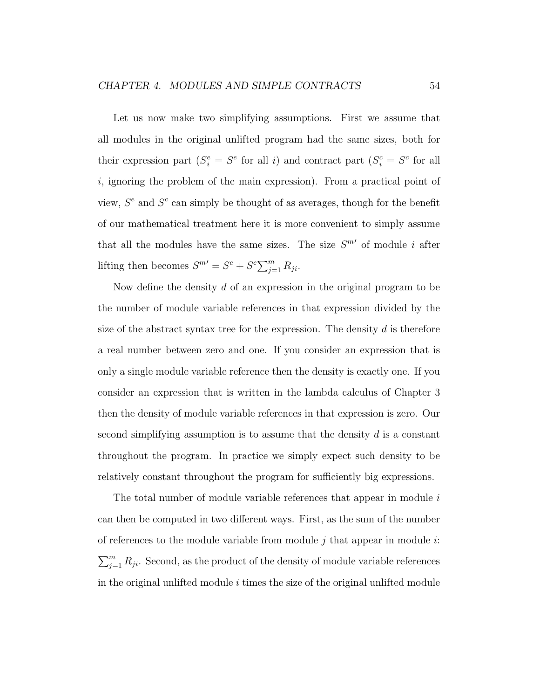Let us now make two simplifying assumptions. First we assume that all modules in the original unlifted program had the same sizes, both for their expression part  $(S_i^e = S^e)$  for all i) and contract part  $(S_i^c = S^c)$  for all  $i$ , ignoring the problem of the main expression). From a practical point of view,  $S<sup>e</sup>$  and  $S<sup>c</sup>$  can simply be thought of as averages, though for the benefit of our mathematical treatment here it is more convenient to simply assume that all the modules have the same sizes. The size  $S^{m}{}'$  of module i after lifting then becomes  $S^{m} = S^e + S^c \sum_{j=1}^m R_{ji}$ .

Now define the density d of an expression in the original program to be the number of module variable references in that expression divided by the size of the abstract syntax tree for the expression. The density  $d$  is therefore a real number between zero and one. If you consider an expression that is only a single module variable reference then the density is exactly one. If you consider an expression that is written in the lambda calculus of Chapter 3 then the density of module variable references in that expression is zero. Our second simplifying assumption is to assume that the density  $d$  is a constant throughout the program. In practice we simply expect such density to be relatively constant throughout the program for sufficiently big expressions.

The total number of module variable references that appear in module i can then be computed in two different ways. First, as the sum of the number of references to the module variable from module  $i$  that appear in module  $i$ :  $\sum_{j=1}^{m} R_{ji}$ . Second, as the product of the density of module variable references in the original unlifted module  $i$  times the size of the original unlifted module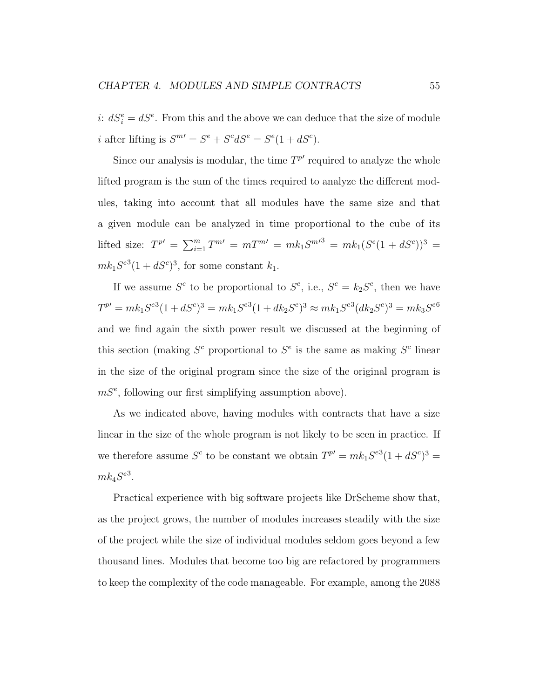i:  $dS_i^e = dS^e$ . From this and the above we can deduce that the size of module i after lifting is  $S^{m'} = S^e + S^c dS^e = S^e (1 + dS^c)$ .

Since our analysis is modular, the time  $T^{p'}$  required to analyze the whole lifted program is the sum of the times required to analyze the different modules, taking into account that all modules have the same size and that a given module can be analyzed in time proportional to the cube of its lifted size:  $T^{p'} = \sum_{i=1}^{m} T^{m'} = m T^{m'} = mk_1 S^{m'}{}^3 = mk_1 (S^e (1 + dS^c))^3$  $mk_1S^{e3}(1+dS^c)^3$ , for some constant  $k_1$ .

If we assume  $S^c$  to be proportional to  $S^e$ , i.e.,  $S^c = k_2 S^e$ , then we have  $T^{p'} = mk_1S^{e3}(1 + dS^c)^3 = mk_1S^{e3}(1 + dk_2S^e)^3 \approx mk_1S^{e3}(dk_2S^e)^3 = mk_3S^{e6}$ and we find again the sixth power result we discussed at the beginning of this section (making  $S^c$  proportional to  $S^e$  is the same as making  $S^c$  linear in the size of the original program since the size of the original program is  $mS<sup>e</sup>$ , following our first simplifying assumption above).

As we indicated above, having modules with contracts that have a size linear in the size of the whole program is not likely to be seen in practice. If we therefore assume  $S^c$  to be constant we obtain  $T^{p'} = mk_1S^{e3}(1 + dS^c)^3 =$  $mk_4S^{e3}.$ 

Practical experience with big software projects like DrScheme show that, as the project grows, the number of modules increases steadily with the size of the project while the size of individual modules seldom goes beyond a few thousand lines. Modules that become too big are refactored by programmers to keep the complexity of the code manageable. For example, among the 2088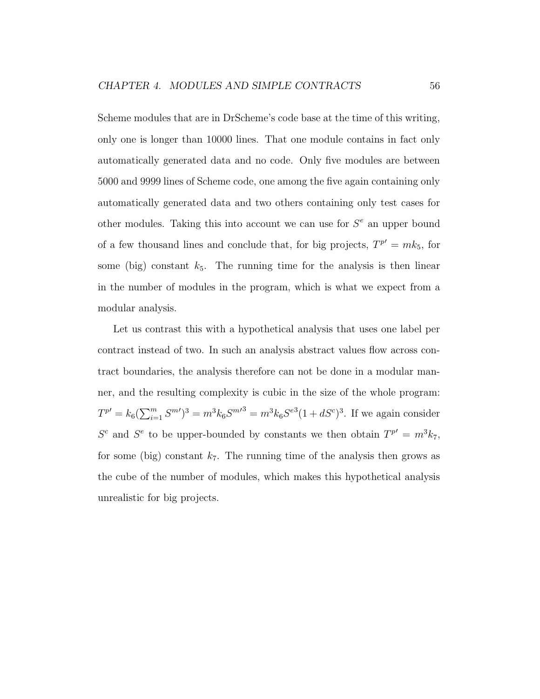Scheme modules that are in DrScheme's code base at the time of this writing, only one is longer than 10000 lines. That one module contains in fact only automatically generated data and no code. Only five modules are between 5000 and 9999 lines of Scheme code, one among the five again containing only automatically generated data and two others containing only test cases for other modules. Taking this into account we can use for  $S^e$  an upper bound of a few thousand lines and conclude that, for big projects,  $T^{p'} = mk_5$ , for some (big) constant  $k_5$ . The running time for the analysis is then linear in the number of modules in the program, which is what we expect from a modular analysis.

Let us contrast this with a hypothetical analysis that uses one label per contract instead of two. In such an analysis abstract values flow across contract boundaries, the analysis therefore can not be done in a modular manner, and the resulting complexity is cubic in the size of the whole program:  $T^{p'} = k_6 \left(\sum_{i=1}^m S^{m'}\right)^3 = m^3 k_6 S^{m'}{}^3 = m^3 k_6 S^{e^3} (1 + dS^c)^3$ . If we again consider  $S^c$  and  $S^e$  to be upper-bounded by constants we then obtain  $T^{p'} = m^3 k_7$ , for some (big) constant  $k_7$ . The running time of the analysis then grows as the cube of the number of modules, which makes this hypothetical analysis unrealistic for big projects.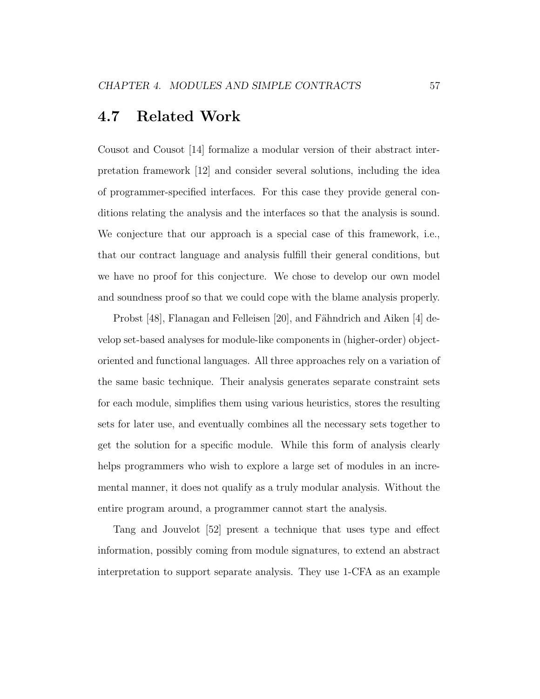#### 4.7 Related Work

Cousot and Cousot [14] formalize a modular version of their abstract interpretation framework [12] and consider several solutions, including the idea of programmer-specified interfaces. For this case they provide general conditions relating the analysis and the interfaces so that the analysis is sound. We conjecture that our approach is a special case of this framework, i.e., that our contract language and analysis fulfill their general conditions, but we have no proof for this conjecture. We chose to develop our own model and soundness proof so that we could cope with the blame analysis properly.

Probst  $[48]$ , Flanagan and Felleisen  $[20]$ , and Fähndrich and Aiken  $[4]$  develop set-based analyses for module-like components in (higher-order) objectoriented and functional languages. All three approaches rely on a variation of the same basic technique. Their analysis generates separate constraint sets for each module, simplifies them using various heuristics, stores the resulting sets for later use, and eventually combines all the necessary sets together to get the solution for a specific module. While this form of analysis clearly helps programmers who wish to explore a large set of modules in an incremental manner, it does not qualify as a truly modular analysis. Without the entire program around, a programmer cannot start the analysis.

Tang and Jouvelot [52] present a technique that uses type and effect information, possibly coming from module signatures, to extend an abstract interpretation to support separate analysis. They use 1-CFA as an example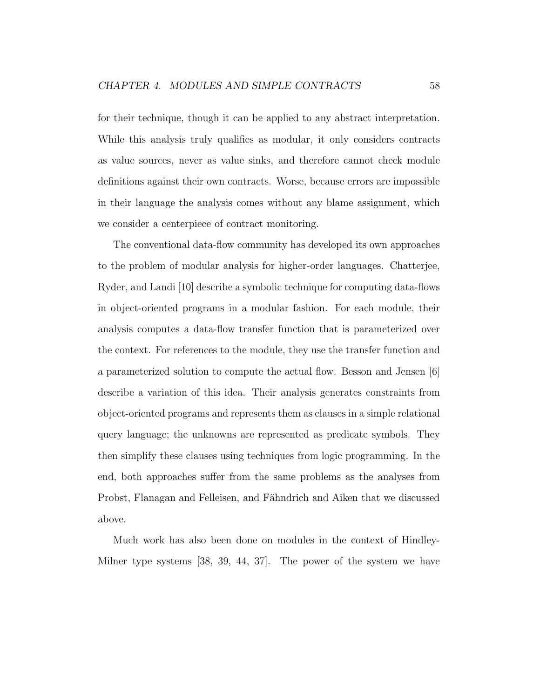for their technique, though it can be applied to any abstract interpretation. While this analysis truly qualifies as modular, it only considers contracts as value sources, never as value sinks, and therefore cannot check module definitions against their own contracts. Worse, because errors are impossible in their language the analysis comes without any blame assignment, which we consider a centerpiece of contract monitoring.

The conventional data-flow community has developed its own approaches to the problem of modular analysis for higher-order languages. Chatterjee, Ryder, and Landi [10] describe a symbolic technique for computing data-flows in object-oriented programs in a modular fashion. For each module, their analysis computes a data-flow transfer function that is parameterized over the context. For references to the module, they use the transfer function and a parameterized solution to compute the actual flow. Besson and Jensen [6] describe a variation of this idea. Their analysis generates constraints from object-oriented programs and represents them as clauses in a simple relational query language; the unknowns are represented as predicate symbols. They then simplify these clauses using techniques from logic programming. In the end, both approaches suffer from the same problems as the analyses from Probst, Flanagan and Felleisen, and Fähndrich and Aiken that we discussed above.

Much work has also been done on modules in the context of Hindley-Milner type systems [38, 39, 44, 37]. The power of the system we have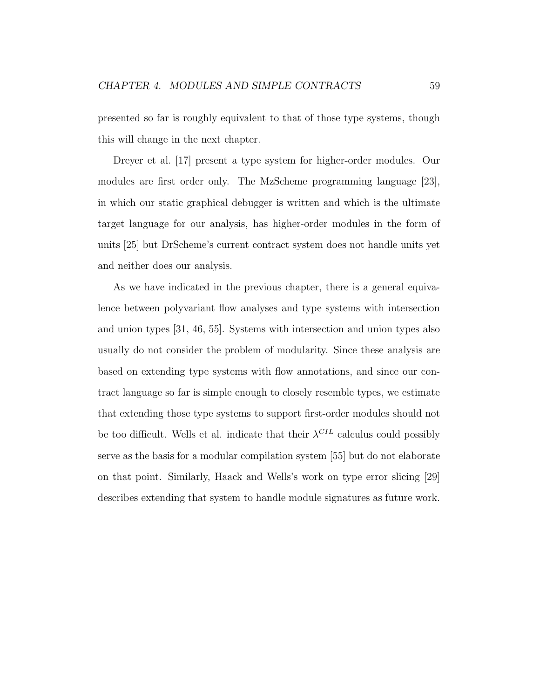presented so far is roughly equivalent to that of those type systems, though this will change in the next chapter.

Dreyer et al. [17] present a type system for higher-order modules. Our modules are first order only. The MzScheme programming language [23], in which our static graphical debugger is written and which is the ultimate target language for our analysis, has higher-order modules in the form of units [25] but DrScheme's current contract system does not handle units yet and neither does our analysis.

As we have indicated in the previous chapter, there is a general equivalence between polyvariant flow analyses and type systems with intersection and union types [31, 46, 55]. Systems with intersection and union types also usually do not consider the problem of modularity. Since these analysis are based on extending type systems with flow annotations, and since our contract language so far is simple enough to closely resemble types, we estimate that extending those type systems to support first-order modules should not be too difficult. Wells et al. indicate that their  $\lambda^{CL}$  calculus could possibly serve as the basis for a modular compilation system [55] but do not elaborate on that point. Similarly, Haack and Wells's work on type error slicing [29] describes extending that system to handle module signatures as future work.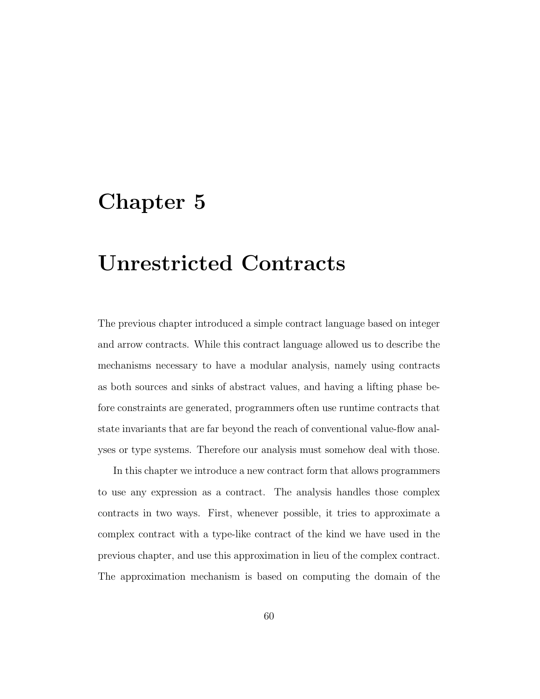## Chapter 5

# Unrestricted Contracts

The previous chapter introduced a simple contract language based on integer and arrow contracts. While this contract language allowed us to describe the mechanisms necessary to have a modular analysis, namely using contracts as both sources and sinks of abstract values, and having a lifting phase before constraints are generated, programmers often use runtime contracts that state invariants that are far beyond the reach of conventional value-flow analyses or type systems. Therefore our analysis must somehow deal with those.

In this chapter we introduce a new contract form that allows programmers to use any expression as a contract. The analysis handles those complex contracts in two ways. First, whenever possible, it tries to approximate a complex contract with a type-like contract of the kind we have used in the previous chapter, and use this approximation in lieu of the complex contract. The approximation mechanism is based on computing the domain of the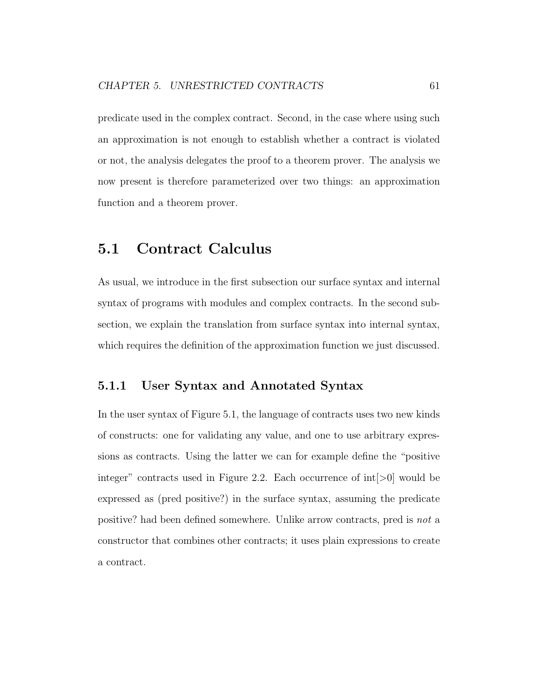predicate used in the complex contract. Second, in the case where using such an approximation is not enough to establish whether a contract is violated or not, the analysis delegates the proof to a theorem prover. The analysis we now present is therefore parameterized over two things: an approximation function and a theorem prover.

## 5.1 Contract Calculus

As usual, we introduce in the first subsection our surface syntax and internal syntax of programs with modules and complex contracts. In the second subsection, we explain the translation from surface syntax into internal syntax, which requires the definition of the approximation function we just discussed.

#### 5.1.1 User Syntax and Annotated Syntax

In the user syntax of Figure 5.1, the language of contracts uses two new kinds of constructs: one for validating any value, and one to use arbitrary expressions as contracts. Using the latter we can for example define the "positive integer" contracts used in Figure 2.2. Each occurrence of int[>0] would be expressed as (pred positive?) in the surface syntax, assuming the predicate positive? had been defined somewhere. Unlike arrow contracts, pred is not a constructor that combines other contracts; it uses plain expressions to create a contract.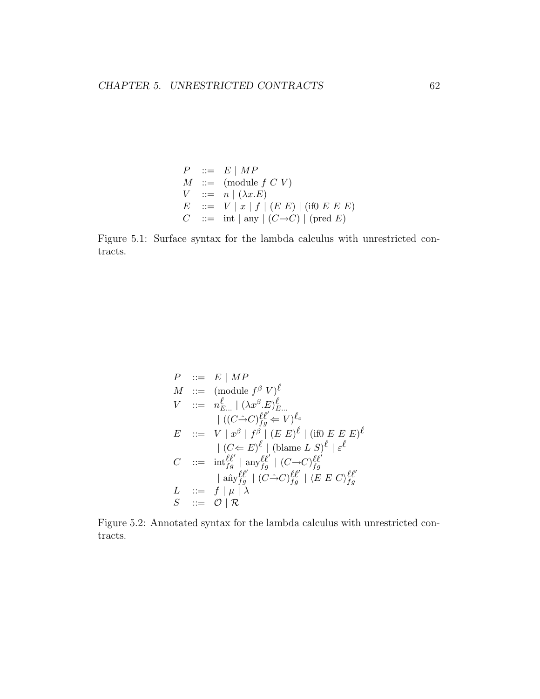$$
P ::= E | MP
$$
  
\n
$$
M ::= (module f C V)
$$
  
\n
$$
V ::= n | (\lambda x.E)
$$
  
\n
$$
E ::= V | x | f | (E E) | (if0 E E E)
$$
  
\n
$$
C ::= int | any | (C \rightarrow C) | (pred E)
$$

Figure 5.1: Surface syntax for the lambda calculus with unrestricted contracts.

$$
P ::= E | MP
$$
  
\n
$$
M ::= (\text{module } f^{\beta} V)^{\ell}
$$
  
\n
$$
V ::= n_{E...}^{\ell} | (\lambda x^{\beta} \cdot E)^{\ell}_{E...}
$$
  
\n
$$
| ((C \rightarrow C)^{\ell}_{fg} \leftarrow V)^{\ell_c}
$$
  
\n
$$
E ::= V | x^{\beta} | f^{\beta} | (E E)^{\ell} | (\text{if} 0 E E E)^{\ell}
$$
  
\n
$$
| (C \leftarrow E)^{\ell} | (\text{blame } L S)^{\ell} | \varepsilon^{\ell}
$$
  
\n
$$
C ::= \text{int}_{fg}^{\ell \ell'} | \text{any}_{fg}^{\ell \ell'} | (C \rightarrow C)^{\ell \ell'}_{fg}
$$
  
\n
$$
| \text{any}_{fg}^{\ell \ell'} | (C \rightarrow C)^{\ell \ell'}_{fg} | \langle E E C \rangle_{fg}^{\ell \ell'}
$$
  
\n
$$
L ::= f | \mu | \lambda
$$
  
\n
$$
S ::= O | R
$$

Figure 5.2: Annotated syntax for the lambda calculus with unrestricted contracts.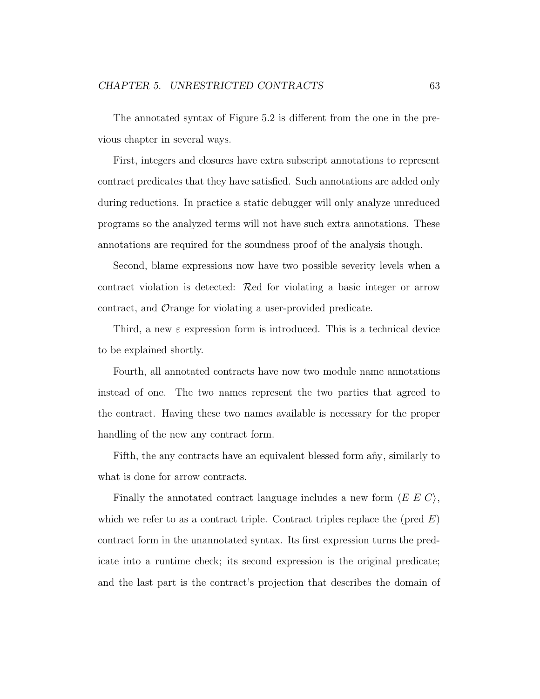The annotated syntax of Figure 5.2 is different from the one in the previous chapter in several ways.

First, integers and closures have extra subscript annotations to represent contract predicates that they have satisfied. Such annotations are added only during reductions. In practice a static debugger will only analyze unreduced programs so the analyzed terms will not have such extra annotations. These annotations are required for the soundness proof of the analysis though.

Second, blame expressions now have two possible severity levels when a contract violation is detected: Red for violating a basic integer or arrow contract, and Orange for violating a user-provided predicate.

Third, a new  $\varepsilon$  expression form is introduced. This is a technical device to be explained shortly.

Fourth, all annotated contracts have now two module name annotations instead of one. The two names represent the two parties that agreed to the contract. Having these two names available is necessary for the proper handling of the new any contract form.

Fifth, the any contracts have an equivalent blessed form any, similarly to what is done for arrow contracts.

Finally the annotated contract language includes a new form  $\langle E \ E \ C \rangle$ , which we refer to as a contract triple. Contract triples replace the (pred  $E$ ) contract form in the unannotated syntax. Its first expression turns the predicate into a runtime check; its second expression is the original predicate; and the last part is the contract's projection that describes the domain of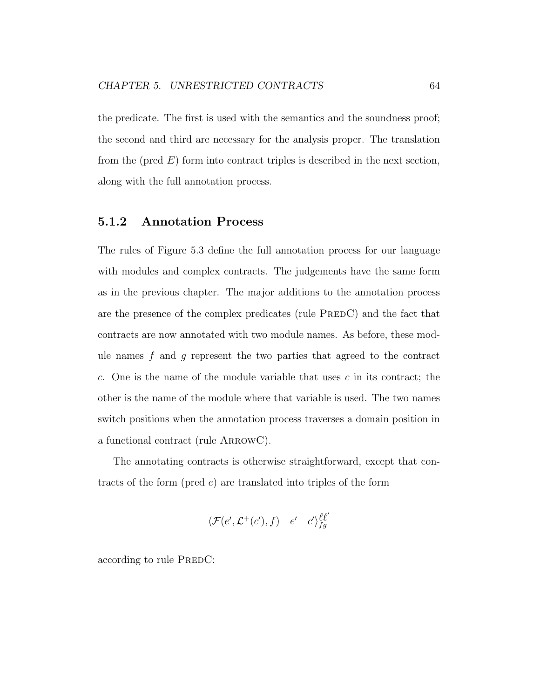the predicate. The first is used with the semantics and the soundness proof; the second and third are necessary for the analysis proper. The translation from the (pred  $E$ ) form into contract triples is described in the next section, along with the full annotation process.

#### 5.1.2 Annotation Process

The rules of Figure 5.3 define the full annotation process for our language with modules and complex contracts. The judgements have the same form as in the previous chapter. The major additions to the annotation process are the presence of the complex predicates (rule PREDC) and the fact that contracts are now annotated with two module names. As before, these module names  $f$  and  $g$  represent the two parties that agreed to the contract c. One is the name of the module variable that uses c in its contract; the other is the name of the module where that variable is used. The two names switch positions when the annotation process traverses a domain position in a functional contract (rule ARROWC).

The annotating contracts is otherwise straightforward, except that contracts of the form (pred  $e$ ) are translated into triples of the form

$$
\langle \mathcal{F}(e', \mathcal{L}^+(c'), f) \quad e' \quad c' \rangle_{fg}^{\ell \ell'}
$$

according to rule PREDC: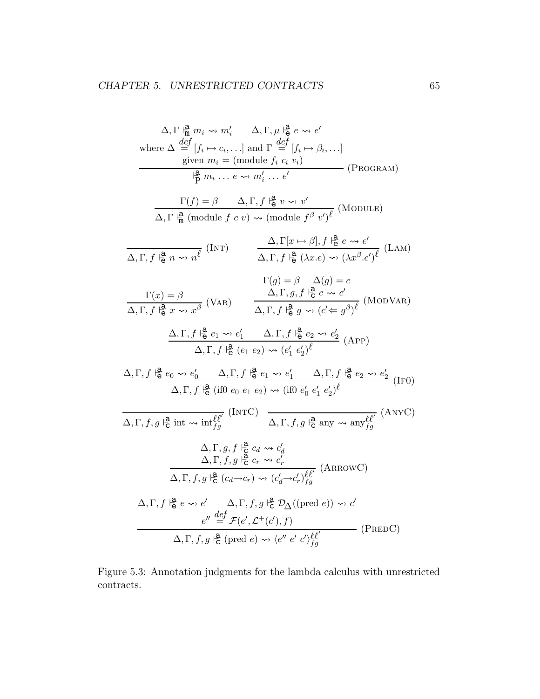$$
\Delta, \Gamma \frac{\beta}{m} m_i \rightsquigarrow m'_i \quad \Delta, \Gamma, \mu \frac{\beta}{6} e \rightsquigarrow e'
$$
\nwhere  $\Delta \frac{def}{=} [f_i \rightarrow c_i, \ldots]$  and  $\Gamma \frac{def}{=} [f_i \rightarrow \beta_i, \ldots]$ \n
$$
\frac{1}{p} m_i \dots e \rightsquigarrow m'_i \dots e'
$$
\n(PROGRAM)\n
$$
\frac{\Gamma(f) = \beta \quad \Delta, \Gamma, f \frac{\beta}{16} v \rightsquigarrow v'}{\Delta, \Gamma \frac{\beta}{m} \text{ (module } f \circ v) \rightsquigarrow \text{ (module } f^{\beta} v')^{\ell}} \text{ (MODULE)}
$$
\n
$$
\frac{\Gamma(f) = \beta \quad \Delta, \Gamma, f \frac{\beta}{16} v \rightsquigarrow v'}{\Delta, \Gamma, f \frac{\beta}{16} (module f \circ v) \rightsquigarrow \text{ (module } f^{\beta} v')^{\ell}} \text{ (MODULE)}
$$
\n
$$
\frac{\Gamma(g) = \beta \quad \Delta(g) = c}{\Delta, \Gamma, f \frac{\beta}{16} (x \cdot e) \rightsquigarrow (\lambda x^{\beta} \cdot e')^{\ell}} \text{ (LAM)}
$$
\n
$$
\frac{\Gamma(g) = \beta \quad \Delta(g) = c}{\Delta, \Gamma, f \frac{\beta}{16} e \rightarrow \alpha e' \quad \Delta, \Gamma, f \frac{\beta}{16} e \rightarrow \alpha e' \quad \Delta, \Gamma, f \frac{\beta}{16} e \rightarrow \alpha e' \quad \Delta, \Gamma, f \frac{\beta}{16} e \rightarrow \alpha e' \quad \Delta, \Gamma, f \frac{\beta}{16} e \rightarrow \alpha e'_{\ell}} \text{ (MODVAR)}
$$
\n
$$
\frac{\Delta, \Gamma, f \frac{\beta}{16} e_1 \rightsquigarrow e'_1 \quad \Delta, \Gamma, f \frac{\beta}{16} e_2 \rightsquigarrow e'_2}{\Delta, \Gamma, f \frac{\beta}{16} (e_1 e_2) \rightsquigarrow (e'_1 e'_2)^{\ell}} \text{ (MODVAR)}
$$
\n
$$
\Delta, \Gamma, f \frac{\beta}{16} (i\text{ if } 0 e_0 e_1 e_2) \rightsquigarrow (ii\text{ 0 } e'_1 e'_2)^{\ell} \text{ (MDOV)}
$$
\n
$$
\Delta, \Gamma, f,
$$

Figure 5.3: Annotation judgments for the lambda calculus with unrestricted contracts.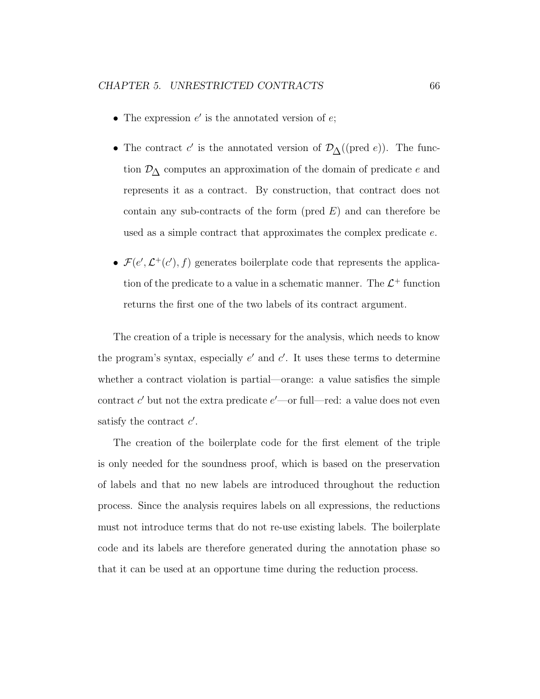- The expression  $e'$  is the annotated version of  $e$ ;
- The contract  $c'$  is the annotated version of  $\mathcal{D}_{\Delta}((\text{pred } e))$ . The function  $\mathcal{D}_{\Delta}$  computes an approximation of the domain of predicate e and represents it as a contract. By construction, that contract does not contain any sub-contracts of the form (pred  $E$ ) and can therefore be used as a simple contract that approximates the complex predicate e.
- $\mathcal{F}(e', \mathcal{L}^+(c'), f)$  generates boilerplate code that represents the application of the predicate to a value in a schematic manner. The  $\mathcal{L}^+$  function returns the first one of the two labels of its contract argument.

The creation of a triple is necessary for the analysis, which needs to know the program's syntax, especially  $e'$  and  $c'$ . It uses these terms to determine whether a contract violation is partial—orange: a value satisfies the simple contract  $c'$  but not the extra predicate  $e'$ —or full—red: a value does not even satisfy the contract  $c'$ .

The creation of the boilerplate code for the first element of the triple is only needed for the soundness proof, which is based on the preservation of labels and that no new labels are introduced throughout the reduction process. Since the analysis requires labels on all expressions, the reductions must not introduce terms that do not re-use existing labels. The boilerplate code and its labels are therefore generated during the annotation phase so that it can be used at an opportune time during the reduction process.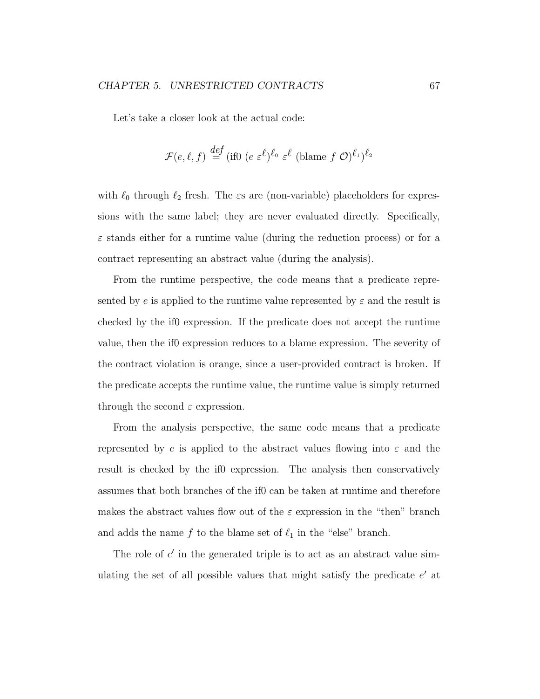Let's take a closer look at the actual code:

$$
\mathcal{F}(e,\ell,f) \stackrel{def}{=} (\text{if} 0 \ (e \ \varepsilon^{\ell})^{\ell_0} \ \varepsilon^{\ell} \ (\text{blame } f \ \mathcal{O})^{\ell_1})^{\ell_2}
$$

with  $\ell_0$  through  $\ell_2$  fresh. The  $\varepsilon$ s are (non-variable) placeholders for expressions with the same label; they are never evaluated directly. Specifically,  $\varepsilon$  stands either for a runtime value (during the reduction process) or for a contract representing an abstract value (during the analysis).

From the runtime perspective, the code means that a predicate represented by e is applied to the runtime value represented by  $\varepsilon$  and the result is checked by the if0 expression. If the predicate does not accept the runtime value, then the if0 expression reduces to a blame expression. The severity of the contract violation is orange, since a user-provided contract is broken. If the predicate accepts the runtime value, the runtime value is simply returned through the second  $\varepsilon$  expression.

From the analysis perspective, the same code means that a predicate represented by e is applied to the abstract values flowing into  $\varepsilon$  and the result is checked by the if0 expression. The analysis then conservatively assumes that both branches of the if0 can be taken at runtime and therefore makes the abstract values flow out of the  $\varepsilon$  expression in the "then" branch and adds the name f to the blame set of  $\ell_1$  in the "else" branch.

The role of  $c'$  in the generated triple is to act as an abstract value simulating the set of all possible values that might satisfy the predicate  $e'$  at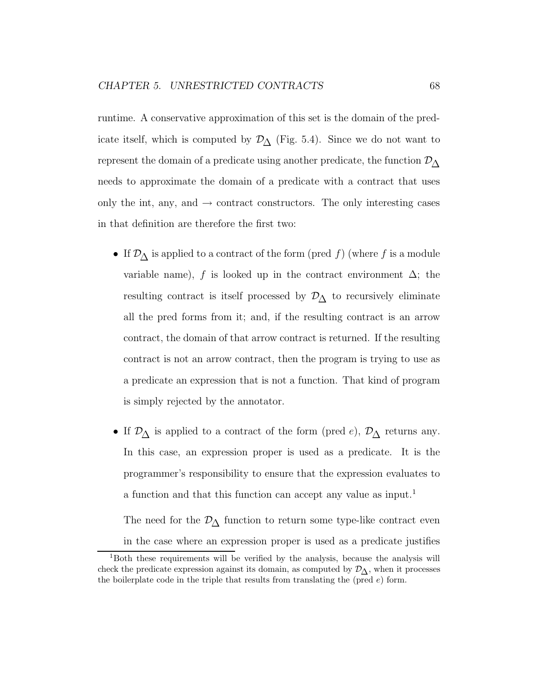runtime. A conservative approximation of this set is the domain of the predicate itself, which is computed by  $\mathcal{D}_{\Delta}$  (Fig. 5.4). Since we do not want to represent the domain of a predicate using another predicate, the function  $\mathcal{D}_{\Lambda}$ needs to approximate the domain of a predicate with a contract that uses only the int, any, and  $\rightarrow$  contract constructors. The only interesting cases in that definition are therefore the first two:

- If  $\mathcal{D}_{\Delta}$  is applied to a contract of the form (pred f) (where f is a module variable name), f is looked up in the contract environment  $\Delta$ ; the resulting contract is itself processed by  $\mathcal{D}_{\Delta}$  to recursively eliminate all the pred forms from it; and, if the resulting contract is an arrow contract, the domain of that arrow contract is returned. If the resulting contract is not an arrow contract, then the program is trying to use as a predicate an expression that is not a function. That kind of program is simply rejected by the annotator.
- If  $\mathcal{D}_{\Delta}$  is applied to a contract of the form (pred e),  $\mathcal{D}_{\Delta}$  returns any. In this case, an expression proper is used as a predicate. It is the programmer's responsibility to ensure that the expression evaluates to a function and that this function can accept any value as input.<sup>1</sup>

The need for the  $\mathcal{D}_{\Delta}$  function to return some type-like contract even in the case where an expression proper is used as a predicate justifies

<sup>&</sup>lt;sup>1</sup>Both these requirements will be verified by the analysis, because the analysis will check the predicate expression against its domain, as computed by  $\mathcal{D}_{\Lambda}$ , when it processes the boilerplate code in the triple that results from translating the (pred  $e$ ) form.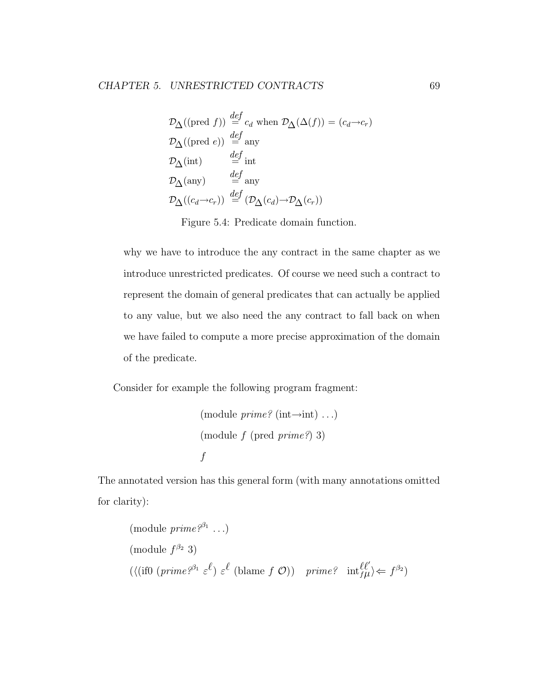$$
\mathcal{D}_{\Delta}((\text{pred } f)) \stackrel{def}{=} c_d \text{ when } \mathcal{D}_{\Delta}(\Delta(f)) = (c_d \rightarrow c_r)
$$
  
\n
$$
\mathcal{D}_{\Delta}((\text{pred } e)) \stackrel{def}{=} \text{any}
$$
  
\n
$$
\mathcal{D}_{\Delta}(\text{int}) \stackrel{def}{=} \text{int}
$$
  
\n
$$
\mathcal{D}_{\Delta}(\text{any}) \stackrel{def}{=} \text{any}
$$
  
\n
$$
\mathcal{D}_{\Delta}((c_d \rightarrow c_r)) \stackrel{def}{=} (\mathcal{D}_{\Delta}(c_d) \rightarrow \mathcal{D}_{\Delta}(c_r))
$$

Figure 5.4: Predicate domain function.

why we have to introduce the any contract in the same chapter as we introduce unrestricted predicates. Of course we need such a contract to represent the domain of general predicates that can actually be applied to any value, but we also need the any contract to fall back on when we have failed to compute a more precise approximation of the domain of the predicate.

Consider for example the following program fragment:

```
(module \text{prime?} (int\rightarrowint) ...)
(module\ f (pred\ primeq?)\ 3)f
```
The annotated version has this general form (with many annotations omitted for clarity):

(module *prime*<sup>$$
\beta
$$</sup><sup>3</sup>)  
\n((*if0 (prime* <sup>$\beta$ <sup>2</sup></sup> $3$ )  
\n
$$
(\langle if0 (prime\beta1 \varepsilonl) \varepsilonl (blame f O)) prime2 intlfµ'\rangle  $\Leftarrow$  f <sup>$\beta$</sup> <sup>2</sup>)
$$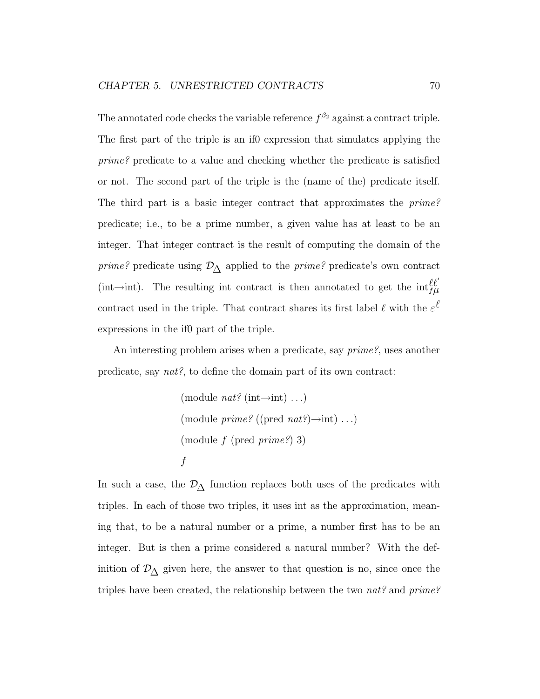The annotated code checks the variable reference  $f^{\beta_2}$  against a contract triple. The first part of the triple is an if0 expression that simulates applying the prime? predicate to a value and checking whether the predicate is satisfied or not. The second part of the triple is the (name of the) predicate itself. The third part is a basic integer contract that approximates the prime? predicate; i.e., to be a prime number, a given value has at least to be an integer. That integer contract is the result of computing the domain of the *prime?* predicate using  $\mathcal{D}_{\Delta}$  applied to the *prime?* predicate's own contract (int→int). The resulting int contract is then annotated to get the  $int_{f\mu}^{\ell\ell'}$ contract used in the triple. That contract shares its first label  $\ell$  with the  $\varepsilon^{\ell}$ expressions in the if0 part of the triple.

An interesting problem arises when a predicate, say *prime?*, uses another predicate, say nat?, to define the domain part of its own contract:

(module 
$$
nat
$$
? (int $\rightarrow$ int) ...)  
\n(module *prime*? ((pred *nat*?) $\rightarrow$ int) ...)  
\n(module *f* (pred *prime*?) 3)  
\n*f*

In such a case, the  $\mathcal{D}_{\Delta}$  function replaces both uses of the predicates with triples. In each of those two triples, it uses int as the approximation, meaning that, to be a natural number or a prime, a number first has to be an integer. But is then a prime considered a natural number? With the definition of  $\mathcal{D}_{\Delta}$  given here, the answer to that question is no, since once the triples have been created, the relationship between the two nat? and  $prime$ ?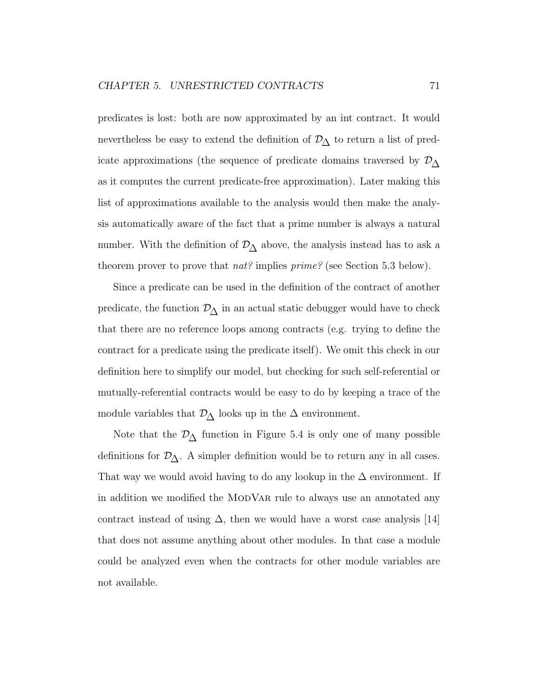predicates is lost: both are now approximated by an int contract. It would nevertheless be easy to extend the definition of  $\mathcal{D}_{\Delta}$  to return a list of predicate approximations (the sequence of predicate domains traversed by  $\mathcal{D}_{\Delta}$ as it computes the current predicate-free approximation). Later making this list of approximations available to the analysis would then make the analysis automatically aware of the fact that a prime number is always a natural number. With the definition of  $\mathcal{D}_{\Delta}$  above, the analysis instead has to ask a theorem prover to prove that  $nat$ ? implies  $prime$ ? (see Section 5.3 below).

Since a predicate can be used in the definition of the contract of another predicate, the function  $\mathcal{D}_{\Delta}$  in an actual static debugger would have to check that there are no reference loops among contracts (e.g. trying to define the contract for a predicate using the predicate itself). We omit this check in our definition here to simplify our model, but checking for such self-referential or mutually-referential contracts would be easy to do by keeping a trace of the module variables that  $\mathcal{D}_{\Delta}$  looks up in the  $\Delta$  environment.

Note that the  $\mathcal{D}_{\Delta}$  function in Figure 5.4 is only one of many possible definitions for  $\mathcal{D}_{\Delta}$ . A simpler definition would be to return any in all cases. That way we would avoid having to do any lookup in the  $\Delta$  environment. If in addition we modified the MODVAR rule to always use an annotated any contract instead of using  $\Delta$ , then we would have a worst case analysis [14] that does not assume anything about other modules. In that case a module could be analyzed even when the contracts for other module variables are not available.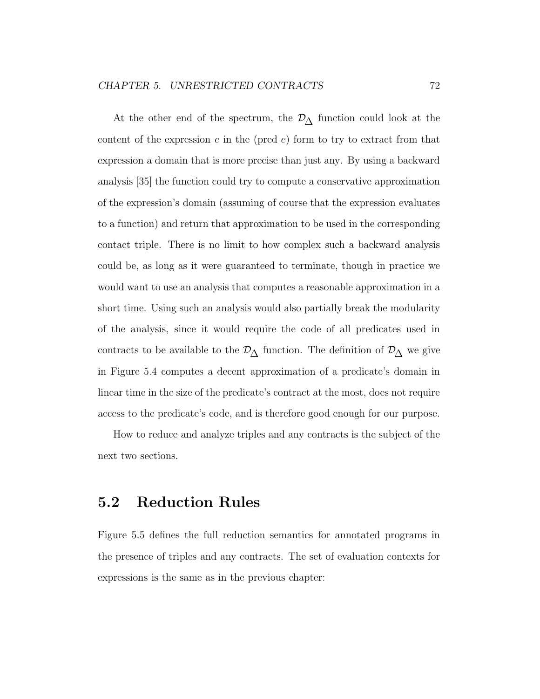At the other end of the spectrum, the  $\mathcal{D}_{\Delta}$  function could look at the content of the expression  $e$  in the (pred  $e$ ) form to try to extract from that expression a domain that is more precise than just any. By using a backward analysis [35] the function could try to compute a conservative approximation of the expression's domain (assuming of course that the expression evaluates to a function) and return that approximation to be used in the corresponding contact triple. There is no limit to how complex such a backward analysis could be, as long as it were guaranteed to terminate, though in practice we would want to use an analysis that computes a reasonable approximation in a short time. Using such an analysis would also partially break the modularity of the analysis, since it would require the code of all predicates used in contracts to be available to the  $\mathcal{D}_{\Delta}$  function. The definition of  $\mathcal{D}_{\Delta}$  we give in Figure 5.4 computes a decent approximation of a predicate's domain in linear time in the size of the predicate's contract at the most, does not require access to the predicate's code, and is therefore good enough for our purpose.

How to reduce and analyze triples and any contracts is the subject of the next two sections.

### 5.2 Reduction Rules

Figure 5.5 defines the full reduction semantics for annotated programs in the presence of triples and any contracts. The set of evaluation contexts for expressions is the same as in the previous chapter: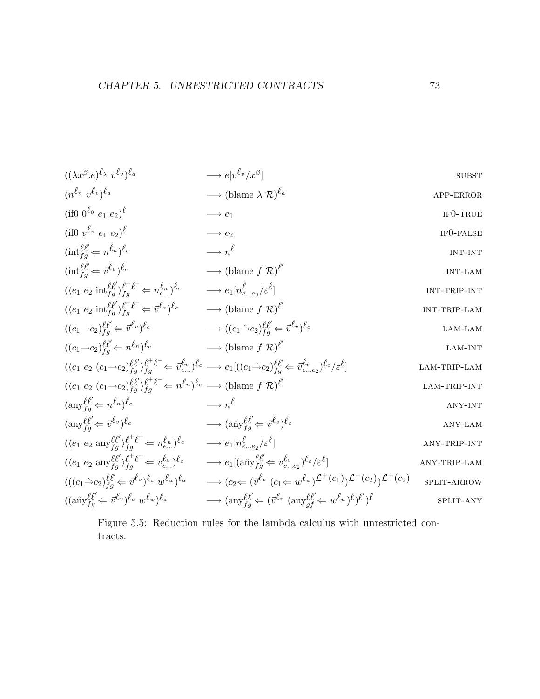$$
((\lambda x^{\beta} \cdot e)^{\ell_{\lambda}} v^{\ell_{v}})^{\ell_{a}} \longrightarrow e[v^{\ell_{v}}/x^{\beta}]
$$
 SUBST  
\n
$$
(n^{\ell_{n}} v^{\ell_{v}})^{\ell_{a}} \longrightarrow (\text{blame } \lambda \mathcal{R})^{\ell_{a}}
$$
APP-ERROR

$$
(if0 \t0^{\ell_0} e_1 e_2)^{\ell} \longrightarrow e_1
$$
  
\n
$$
(if0 \t v^{\ell_v} e_1 e_2)^{\ell} \longrightarrow e_2
$$
  
\nIF0-FAISE

$$
(\text{int}_{fg}^{\ell\ell'} \Leftarrow n^{\ell_n})^{\ell_c} \longrightarrow n^{\ell} \qquad \text{INT-INT}
$$

$$
(\text{int}_{fg}^{\ell\ell'} \Leftarrow \vec{v}^{\ell_v})^{\ell_c} \longrightarrow (\text{blame } f \mathcal{R})^{\ell'} \qquad \text{INT-LAM}
$$

$$
(\langle e_1 \ e_2 \ \text{int}_{fg}^{\ell\ell} \rangle_{fg}^{\ell^+ \ell^-} \Leftarrow n_{e...}^{\ell_n})^{\ell_c} \longrightarrow e_1[n_{e...e_2}^{\ell}/\varepsilon^{\ell}] \qquad \text{INT-TRIP-INT}
$$
  

$$
(\langle e_1 \ e_2 \ \text{int}_{\ell}^{\ell\ell'} \rangle_{\ell^+ \ell^-}^{\ell^+ \ell^-} \Leftarrow \overline{n}_{e...}^{\ell_0} \rangle_{\ell_c}^{\ell} \longrightarrow (\text{blame } f \ \mathcal{R})^{\ell'} \qquad \text{INT-TRIP-LAM}
$$

$$
(\langle e_1 \ e_2 \ \text{int}_{fg}^{\ell\ell'}\rangle_{fg}^{\ell^+ \ell^-} \Leftarrow \vec{v}^{\ell_v})^{\ell_c} \longrightarrow (\text{blame } f \ \mathcal{R})^{\ell'} \qquad \text{INT-TRIP-LAM}
$$
  

$$
((c_1 \rightarrow c_2)_{fg}^{\ell\ell'} \Leftarrow \vec{v}^{\ell_v})^{\ell_c} \longrightarrow ((c_1 \rightarrow c_2)_{fg}^{\ell\ell'} \Leftarrow \vec{v}^{\ell_v})^{\ell_c} \qquad \text{LAM-LAM}
$$

$$
((c_1 \rightarrow c_2)_{fg}^{\ell\ell} \Leftarrow \vec{v}^{\ell\upsilon})^{\ell_c} \longrightarrow ((c_1 \rightarrow c_2)_{fg}^{\ell\ell} \Leftarrow \vec{v}^{\ell\upsilon})^{\ell_c} \qquad \text{LAM-LAM}
$$
  

$$
((c_1 \rightarrow c_2)_{fg}^{\ell\ell'} \Leftarrow n^{\ell_n})^{\ell_c} \qquad \longrightarrow (\text{blame } f \mathcal{R})^{\ell'} \qquad \text{LAM-INT}
$$

$$
(\langle e_1 \ e_2 \ (c_1 \to c_2)_{fg}^{\ell \ell'} \rangle_{fg}^{\ell^+ \ell^-} \Leftarrow \vec{v}_{e...}^{\ell_v})^{\ell_c} \longrightarrow e_1 [((c_1 \hat{\to} c_2)_{fg}^{\ell \ell'} \Leftarrow \vec{v}_{e...e_2}^{\ell_v})^{\ell_c} / \varepsilon^{\ell}]
$$
\n
$$
\text{LAM-TRIP-LAM}
$$

$$
(\langle e_1 \ e_2 \ (c_1 \to c_2)_{fg}^{\ell \ell'} \rangle_{fg}^{\ell^+ \ell^-} \Leftarrow n^{\ell_n})^{\ell_c} \longrightarrow (\text{blame } f \ \mathcal{R})^{\ell'}
$$
\n
$$
\text{LAM-TRIP-INT}
$$
\n
$$
(\text{any}^{\ell \ell'} \Leftarrow n^{\ell_n})^{\ell_c} \longrightarrow n^{\ell} \qquad \text{MNS-INT}
$$

$$
(\text{any}_{fg}^{\ell\ell'} \Leftarrow n^{\ell_n})^{\ell_c} \longrightarrow n^{\ell} \qquad \text{any-INT}
$$
  
\n
$$
(\text{any}_{fg}^{\ell\ell'} \Leftarrow \vec{v}_{g}^{\ell_v})^{\ell_c} \longrightarrow (\text{any}_{g}^{\ell\ell'} \Leftarrow \vec{v}_{g}^{\ell_v})^{\ell_c} \qquad \text{any-LM}
$$

$$
(\text{any}_{fg}^{\ell\ell'} \Leftarrow \vec{v}^{\ell_v})^{\ell_c} \longrightarrow (\text{any}_{fg}^{\ell\ell'} \Leftarrow \vec{v}^{\ell_v})^{\ell_c} \qquad \text{ANY-LAM}
$$

$$
(\langle e_1 \ e_2 \text{ any}_f^{\ell\ell} \rangle_{fg}^{\ell^+ \ell^-} \Leftarrow n_{e...}^{\ell_n})^{\ell_c} \longrightarrow e_1[n_{e...e_2}^{\ell} / \varepsilon^{\ell}]
$$
\n
$$
(\langle e_1 \ e_2 \text{ any}_f^{\ell\ell} \rangle_{fg}^{\ell^+ \ell^-} \Leftarrow \vec{v}_{e...}^{\ell_v})^{\ell_c} \longrightarrow e_1[(\hat{\text{any}}_{fg}^{\ell\ell'} \Leftarrow \vec{v}_{e...e_2}^{\ell_v})^{\ell_c} / \varepsilon^{\ell}]
$$
\n
$$
\text{ANY-TRIP-LAM}
$$
\n
$$
\text{ANY-TRIP-LAM}
$$

fg e...e2 (((c1→ˆ c2) `` 0 fg ⇐ ~v `v ) `<sup>c</sup> w `<sup>w</sup> ) `<sup>a</sup> −→ (c2⇐ (~v `v (c1⇐ w `<sup>w</sup> ) L <sup>+</sup>(c1) ) L <sup>−</sup>(c2) ) L <sup>+</sup>(c2) split-arrow ((anˆy ``0 fg ⇐ ~v `v ) `<sup>c</sup> w `<sup>w</sup> ) `<sup>a</sup> −→ (any ``0 fg ⇐ (~v `v (any ``0 gf ⇐ w `<sup>w</sup> ) ` ) ` ) ` 0 split-any

Figure 5.5: Reduction rules for the lambda calculus with unrestricted contracts.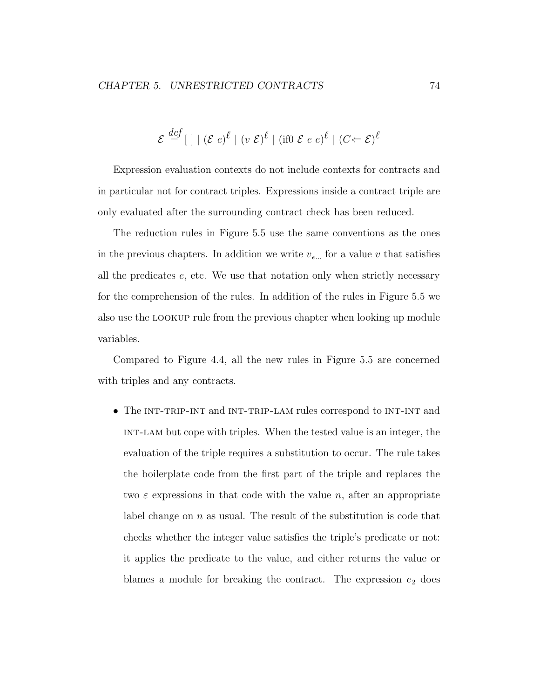$$
\mathcal{E} \stackrel{def}{=} [\ ]| (\mathcal{E} e)^{\ell} | (v \mathcal{E})^{\ell} | (if0 \mathcal{E} e e)^{\ell} | (C \Leftarrow \mathcal{E})^{\ell}
$$

Expression evaluation contexts do not include contexts for contracts and in particular not for contract triples. Expressions inside a contract triple are only evaluated after the surrounding contract check has been reduced.

The reduction rules in Figure 5.5 use the same conventions as the ones in the previous chapters. In addition we write  $v_{e...}$  for a value v that satisfies all the predicates  $e$ , etc. We use that notation only when strictly necessary for the comprehension of the rules. In addition of the rules in Figure 5.5 we also use the lookup rule from the previous chapter when looking up module variables.

Compared to Figure 4.4, all the new rules in Figure 5.5 are concerned with triples and any contracts.

• The INT-TRIP-INT and INT-TRIP-LAM rules correspond to INT-INT and int-lam but cope with triples. When the tested value is an integer, the evaluation of the triple requires a substitution to occur. The rule takes the boilerplate code from the first part of the triple and replaces the two  $\varepsilon$  expressions in that code with the value n, after an appropriate label change on  $n$  as usual. The result of the substitution is code that checks whether the integer value satisfies the triple's predicate or not: it applies the predicate to the value, and either returns the value or blames a module for breaking the contract. The expression  $e_2$  does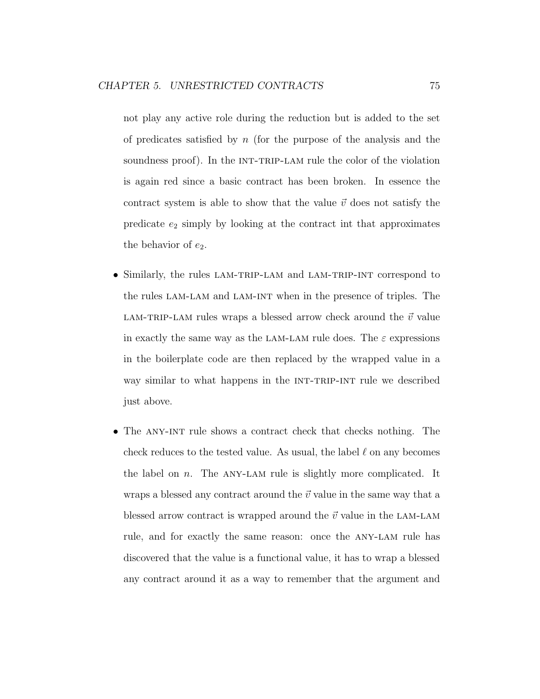not play any active role during the reduction but is added to the set of predicates satisfied by  $n$  (for the purpose of the analysis and the soundness proof). In the INT-TRIP-LAM rule the color of the violation is again red since a basic contract has been broken. In essence the contract system is able to show that the value  $\vec{v}$  does not satisfy the predicate  $e_2$  simply by looking at the contract int that approximates the behavior of  $e_2$ .

- Similarly, the rules LAM-TRIP-LAM and LAM-TRIP-INT correspond to the rules lam-lam and lam-int when in the presence of triples. The LAM-TRIP-LAM rules wraps a blessed arrow check around the  $\vec{v}$  value in exactly the same way as the LAM-LAM rule does. The  $\varepsilon$  expressions in the boilerplate code are then replaced by the wrapped value in a way similar to what happens in the  $INT-TRIP-INT$  rule we described just above.
- The ANY-INT rule shows a contract check that checks nothing. The check reduces to the tested value. As usual, the label  $\ell$  on any becomes the label on  $n$ . The ANY-LAM rule is slightly more complicated. It wraps a blessed any contract around the  $\vec{v}$  value in the same way that a blessed arrow contract is wrapped around the  $\vec{v}$  value in the LAM-LAM rule, and for exactly the same reason: once the any-lam rule has discovered that the value is a functional value, it has to wrap a blessed any contract around it as a way to remember that the argument and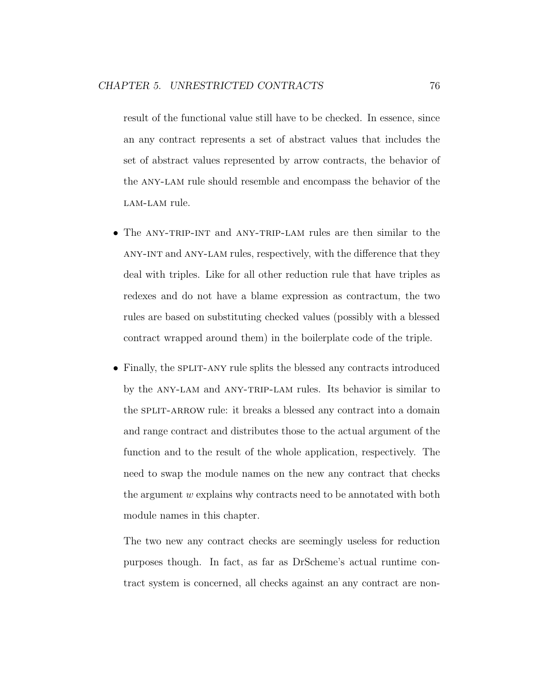result of the functional value still have to be checked. In essence, since an any contract represents a set of abstract values that includes the set of abstract values represented by arrow contracts, the behavior of the any-lam rule should resemble and encompass the behavior of the LAM-LAM rule.

- The ANY-TRIP-INT and ANY-TRIP-LAM rules are then similar to the any-int and any-lam rules, respectively, with the difference that they deal with triples. Like for all other reduction rule that have triples as redexes and do not have a blame expression as contractum, the two rules are based on substituting checked values (possibly with a blessed contract wrapped around them) in the boilerplate code of the triple.
- Finally, the SPLIT-ANY rule splits the blessed any contracts introduced by the any-lam and any-trip-lam rules. Its behavior is similar to the SPLIT-ARROW rule: it breaks a blessed any contract into a domain and range contract and distributes those to the actual argument of the function and to the result of the whole application, respectively. The need to swap the module names on the new any contract that checks the argument  $w$  explains why contracts need to be annotated with both module names in this chapter.

The two new any contract checks are seemingly useless for reduction purposes though. In fact, as far as DrScheme's actual runtime contract system is concerned, all checks against an any contract are non-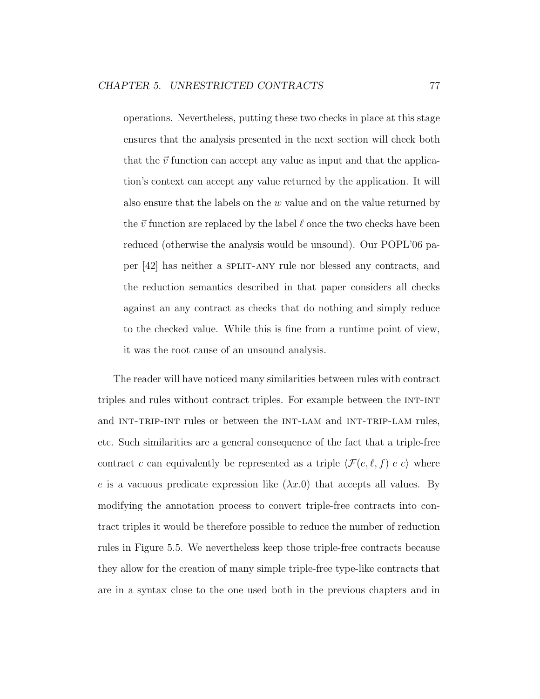operations. Nevertheless, putting these two checks in place at this stage ensures that the analysis presented in the next section will check both that the  $\vec{v}$  function can accept any value as input and that the application's context can accept any value returned by the application. It will also ensure that the labels on the  $w$  value and on the value returned by the  $\vec{v}$  function are replaced by the label  $\ell$  once the two checks have been reduced (otherwise the analysis would be unsound). Our POPL'06 paper [42] has neither a split-any rule nor blessed any contracts, and the reduction semantics described in that paper considers all checks against an any contract as checks that do nothing and simply reduce to the checked value. While this is fine from a runtime point of view, it was the root cause of an unsound analysis.

The reader will have noticed many similarities between rules with contract triples and rules without contract triples. For example between the int-int and INT-TRIP-INT rules or between the INT-LAM and INT-TRIP-LAM rules, etc. Such similarities are a general consequence of the fact that a triple-free contract c can equivalently be represented as a triple  $\langle \mathcal{F}(e, \ell, f) \rangle e$  where e is a vacuous predicate expression like  $(\lambda x.0)$  that accepts all values. By modifying the annotation process to convert triple-free contracts into contract triples it would be therefore possible to reduce the number of reduction rules in Figure 5.5. We nevertheless keep those triple-free contracts because they allow for the creation of many simple triple-free type-like contracts that are in a syntax close to the one used both in the previous chapters and in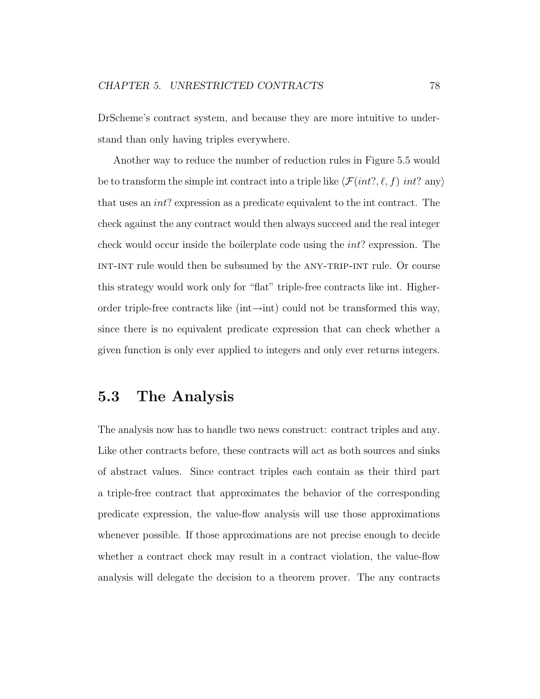DrScheme's contract system, and because they are more intuitive to understand than only having triples everywhere.

Another way to reduce the number of reduction rules in Figure 5.5 would be to transform the simple int contract into a triple like  $\langle \mathcal{F}(int?, \ell, f) \, int? \, \text{any} \rangle$ that uses an int? expression as a predicate equivalent to the int contract. The check against the any contract would then always succeed and the real integer check would occur inside the boilerplate code using the int? expression. The int-int rule would then be subsumed by the any-trip-int rule. Or course this strategy would work only for "flat" triple-free contracts like int. Higherorder triple-free contracts like (int $\rightarrow$ int) could not be transformed this way, since there is no equivalent predicate expression that can check whether a given function is only ever applied to integers and only ever returns integers.

### 5.3 The Analysis

The analysis now has to handle two news construct: contract triples and any. Like other contracts before, these contracts will act as both sources and sinks of abstract values. Since contract triples each contain as their third part a triple-free contract that approximates the behavior of the corresponding predicate expression, the value-flow analysis will use those approximations whenever possible. If those approximations are not precise enough to decide whether a contract check may result in a contract violation, the value-flow analysis will delegate the decision to a theorem prover. The any contracts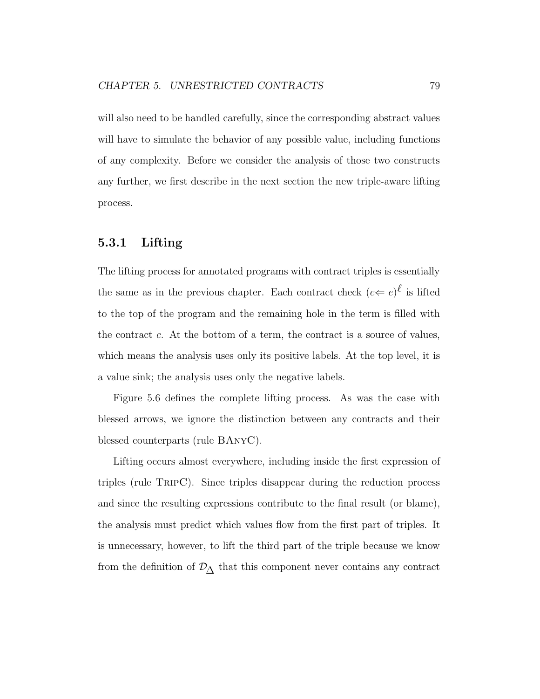will also need to be handled carefully, since the corresponding abstract values will have to simulate the behavior of any possible value, including functions of any complexity. Before we consider the analysis of those two constructs any further, we first describe in the next section the new triple-aware lifting process.

#### 5.3.1 Lifting

The lifting process for annotated programs with contract triples is essentially the same as in the previous chapter. Each contract check  $(c \leftarrow e)^{\ell}$  is lifted to the top of the program and the remaining hole in the term is filled with the contract  $c$ . At the bottom of a term, the contract is a source of values, which means the analysis uses only its positive labels. At the top level, it is a value sink; the analysis uses only the negative labels.

Figure 5.6 defines the complete lifting process. As was the case with blessed arrows, we ignore the distinction between any contracts and their blessed counterparts (rule BAnyC).

Lifting occurs almost everywhere, including inside the first expression of triples (rule TripC). Since triples disappear during the reduction process and since the resulting expressions contribute to the final result (or blame), the analysis must predict which values flow from the first part of triples. It is unnecessary, however, to lift the third part of the triple because we know from the definition of  $\mathcal{D}_{\Delta}$  that this component never contains any contract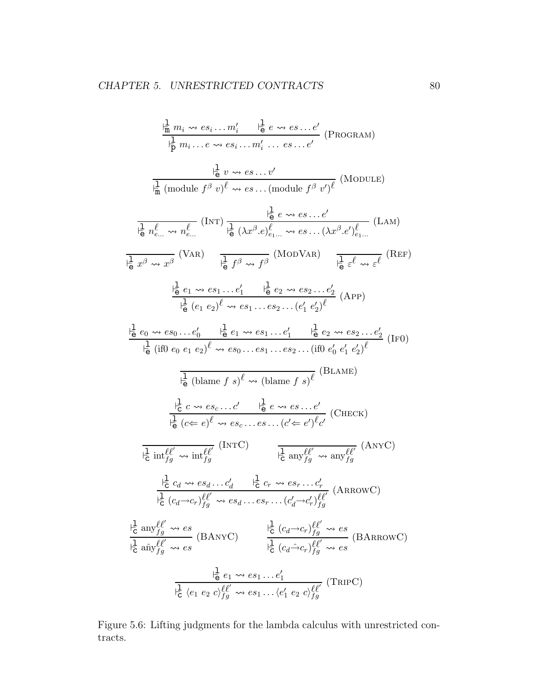$$
\frac{\frac{1}{n}m_{i} \rightsquigarrow es_{i}...m'_{i} \quad \frac{1}{n}e \rightsquigarrow es...e'}{1 \frac{1}{n} m_{i}...e \rightsquigarrow es...m'_{i}...es...e'} \text{ (PROGRAM)}
$$
\n
$$
\frac{\frac{1}{n} m_{i} ... e \rightsquigarrow es...m'_{i} ... es...e'}{1 \frac{1}{n} (module f^{\beta} v)^{\ell} \rightsquigarrow es... (module f^{\beta} v)^{\ell}} \text{ (MODULE)}
$$
\n
$$
\frac{\frac{1}{n} e \rightsquigarrow e \rightsquigarrow es...e'}{1 \frac{1}{n} (h^2 e \rightsquigarrow e \rightsquigarrow e \rightsquigarrow e \rightsquigarrow e \rightsquigarrow e \rightsquigarrow e \rightsquigarrow e \rightsquigarrow e \rightsquigarrow e \rightsquigarrow e \underbrace{\frac{1}{n} e \underbrace{\frac{1}{n} e \rightsquigarrow e \underbrace{\frac{1}{n} e \underbrace{\frac{1}{n} e \underbrace{\frac{1}{n} e \underbrace{\frac{1}{n} e \underbrace{\frac{1}{n} e \underbrace{\frac{1}{n} e \underbrace{\frac{1}{n} e \underbrace{\frac{1}{n} e \underbrace{\frac{1}{n} e \underbrace{\frac{1}{n} e \underbrace{\frac{1}{n} e \underbrace{\frac{1}{n} e \underbrace{\frac{1}{n} e \underbrace{\frac{1}{n} e \underbrace{\frac{1}{n} e \underbrace{\frac{1}{n} e \underbrace{\frac{1}{n} e \underbrace{\frac{1}{n} e \underbrace{\frac{1}{n} e \underbrace{\frac{1}{n} e \underbrace{\frac{1}{n} e \underbrace{\frac{1}{n} e \underbrace{\frac{1}{n} e \underbrace{\frac{1}{n} e \underbrace{\frac{1}{n} e \underbrace{\frac{1}{n} e \underbrace{\frac{1}{n} e \underbrace{\frac{1}{n} e \underbrace{\frac{1}{n} e \underbrace{\frac{1}{n} e \underbrace{\frac{1}{n} e \underbrace{\frac{1}{n} e \underbrace{\frac{1}{n} e \underbrace{\frac{1}{n} e \underbrace{\frac{1}{n} e \underbrace{\frac{1}{n} e \underbrace{\frac{1}{n} e \underbrace{\frac{1}{n} e \underbrace{\frac{1}{n} e \underbrace{\frac{1}{n} e \underbrace{\frac{1}{n}
$$

Figure 5.6: Lifting judgments for the lambda calculus with unrestricted contracts.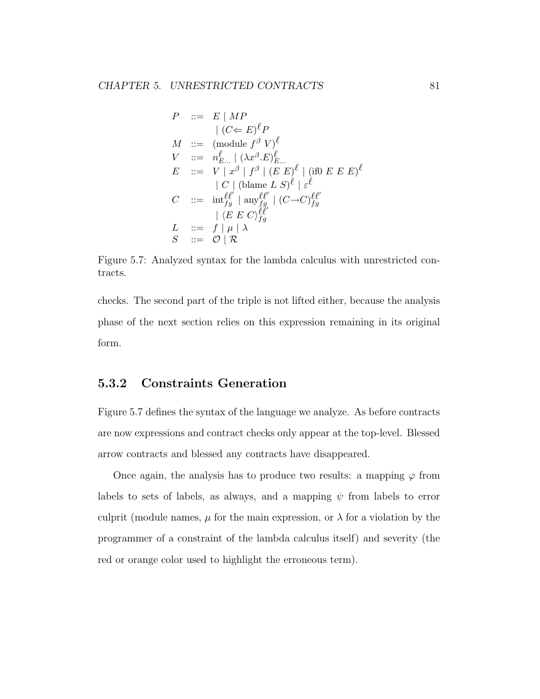$$
P ::= E | MP
$$
  
\n
$$
| (C \Leftarrow E)^{\ell} P
$$
  
\n
$$
M ::= (\text{module } f^{\beta} V)^{\ell}
$$
  
\n
$$
V ::= n_{E...}^{\ell} | (\lambda x^{\beta} . E)^{\ell}_{E...}
$$
  
\n
$$
E ::= V | x^{\beta} | f^{\beta} | (E E)^{\ell} | (\text{if} 0 E E E)^{\ell}
$$
  
\n
$$
| C | (\text{blame } L S)^{\ell} | \varepsilon^{\ell}
$$
  
\n
$$
C ::= \text{int}_{fg}^{\ell \ell'} | \text{any}_{fg}^{\ell \ell'} | (C \rightarrow C)^{\ell \ell'}_{fg}
$$
  
\n
$$
| \langle E E C \rangle_{fg}^{\ell \ell'}
$$
  
\n
$$
L ::= f | \mu | \lambda
$$
  
\n
$$
S ::= O | R
$$

Figure 5.7: Analyzed syntax for the lambda calculus with unrestricted contracts.

checks. The second part of the triple is not lifted either, because the analysis phase of the next section relies on this expression remaining in its original form.

### 5.3.2 Constraints Generation

Figure 5.7 defines the syntax of the language we analyze. As before contracts are now expressions and contract checks only appear at the top-level. Blessed arrow contracts and blessed any contracts have disappeared.

Once again, the analysis has to produce two results: a mapping  $\varphi$  from labels to sets of labels, as always, and a mapping  $\psi$  from labels to error culprit (module names,  $\mu$  for the main expression, or  $\lambda$  for a violation by the programmer of a constraint of the lambda calculus itself) and severity (the red or orange color used to highlight the erroneous term).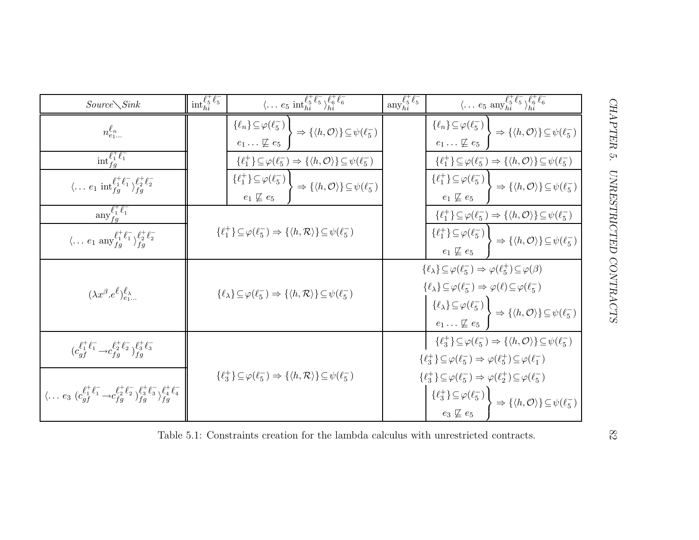| $Source\diagdown Sink$                                                                                                                           | $\mathrm{int}_{hi}^{\ell_5^+ \ell_5^-}$                                                                                                                                                            | $\langle \ldots e_5 \text{ int}_{hi}^{\ell_5^+ \ell_5^-} \rangle_{hi}^{\ell_6^+ \ell_6^-}$                                                                  | $\text{any}_{hi}^{\ell_5^+ \ell_5^-}$                                                                                                                                                                                                                                                                                                                                                                                                                                                 | $\langle \dots e_5 \text{ any }_{hi}^{\ell_5^+ \ell_5^-} \rangle_{hi}^{\ell_6^+ \ell_6^-}$                                                                  |
|--------------------------------------------------------------------------------------------------------------------------------------------------|----------------------------------------------------------------------------------------------------------------------------------------------------------------------------------------------------|-------------------------------------------------------------------------------------------------------------------------------------------------------------|---------------------------------------------------------------------------------------------------------------------------------------------------------------------------------------------------------------------------------------------------------------------------------------------------------------------------------------------------------------------------------------------------------------------------------------------------------------------------------------|-------------------------------------------------------------------------------------------------------------------------------------------------------------|
| $n_{e_1}^{\ell_n}$                                                                                                                               |                                                                                                                                                                                                    | $\{\ell_n\}\!\subseteq\!\varphi(\ell_5^-)$<br>$\Rightarrow \{\langle h, \mathcal{O} \rangle\} \subseteq \psi(\ell_5^-)$<br>$e_1 \ldots \not\sqsubseteq e_5$ |                                                                                                                                                                                                                                                                                                                                                                                                                                                                                       | $\{\ell_n\}\!\subseteq\!\varphi(\ell_5^-)$<br>$\Rightarrow \{\langle h, \mathcal{O} \rangle\} \subseteq \psi(\ell_5^-)$<br>$e_1 \ldots \not\sqsubseteq e_5$ |
| $\mathrm{int}_{fq}^{\ell_1^+ \ell_1^-}$                                                                                                          |                                                                                                                                                                                                    | $\{\ell_1^+\}\subseteq\varphi(\ell_5^-)\Rightarrow\{\langle h,\mathcal{O}\rangle\}\subseteq\psi(\ell_5^-)$                                                  |                                                                                                                                                                                                                                                                                                                                                                                                                                                                                       | $\{\ell_1^+\}\subseteq\varphi(\ell_5^-)\Rightarrow\{\langle h,\mathcal{O}\rangle\}\subseteq\psi(\ell_5^-)$                                                  |
| $\langle \dots e_1 \text{ int}_{fg}^{\ell_1^+ \ell_1^-} \rangle_{fg}^{\ell_2^+ \ell_2^-}$                                                        |                                                                                                                                                                                                    | $\{\ell_1^+\}\subseteq\varphi(\ell_5^-)$<br>$\cdot \Rightarrow {\{\langle h, \mathcal{O} \rangle\}} \subseteq \psi(\ell_5^-)$<br>$e_1 \not\sqsubseteq e_5$  |                                                                                                                                                                                                                                                                                                                                                                                                                                                                                       | $\{\ell_1^+\}\subseteq\varphi(\ell_5^-)$<br>$\Rightarrow \{\langle h, \mathcal{O} \rangle\} \subseteq \psi(\ell_5^-)$<br>$e_1 \not\sqsubseteq e_5$          |
| $\operatorname{any}_{fq}^{\ell_1^+ \ell_1^-}$                                                                                                    |                                                                                                                                                                                                    |                                                                                                                                                             |                                                                                                                                                                                                                                                                                                                                                                                                                                                                                       | $\{\ell_1^+\}\subseteq\varphi(\ell_5^-)\Rightarrow\{\langle h,\mathcal{O}\rangle\}\subseteq\psi(\ell_5^-)$                                                  |
| $\langle \dots e_1 \text{ any }_{f_q}^{\ell^+_1 \ell^-_1} \rangle_{f_q}^{\ell^+_2 \ell^-_2}$                                                     | $\{\ell_1^+\}\subseteq\varphi(\ell_5^-)\Rightarrow\{\langle h,\mathcal{R}\rangle\}\subseteq\psi(\ell_5^-)$                                                                                         |                                                                                                                                                             |                                                                                                                                                                                                                                                                                                                                                                                                                                                                                       | $\{\ell_1^+\}\subseteq\varphi(\ell_5^-)$<br>$\rightarrow \{\langle h, \mathcal{O} \rangle\} \subseteq \psi(\ell_5^-)$<br>$e_1 \not\sqsubseteq e_5$          |
| $(\lambda x^{\beta}.e^{\ell})_{e_1}^{\ell_{\lambda}}$                                                                                            | $\{\ell_{\lambda}\}\subseteq\varphi(\ell_{5}^{-})\Rightarrow\{\langle h,\mathcal{R}\rangle\}\subseteq\psi(\ell_{5}^{-})$                                                                           |                                                                                                                                                             | $\{\ell_\lambda\}\!\subseteq\!\varphi(\ell_5^-)\Rightarrow\varphi(\ell_5^+)\!\subseteq\!\varphi(\beta)$<br>$\{\ell_{\lambda}\}\subseteq\varphi(\ell_5^-)\Rightarrow\varphi(\ell)\subseteq\varphi(\ell_5^-)$<br>$\{\ell_{\lambda}\}\subseteq \varphi(\ell_{5}^{-})$<br>$e_{1} \ldots \not\sqsubseteq e_{5}$ $\Rightarrow$ $\{\langle h, \mathcal{O} \rangle\} \subseteq \psi(\ell_{5}^{-})$                                                                                            |                                                                                                                                                             |
| $(c_{af}^{\ell_1^+ \ell_1^-} \rightarrow c_{fg}^{\ell_2^+ \ell_2^-})_{fa}^{\ell_3^+ \ell_3^-}$                                                   | $\{\ell_3^+\}\subseteq\varphi(\ell_5^-)\Rightarrow\{\langle h,\mathcal{R}\rangle\}\subseteq\psi(\ell_5^-)$<br>Table 5.1: Constraints creation for the lambda calculus with unrestricted contracts. |                                                                                                                                                             | $\{\ell_3^+\}\subseteq\varphi(\ell_5^-)\Rightarrow\{\langle h,\mathcal{O}\rangle\}\subseteq\psi(\ell_5^-)$<br>$\{\ell_3^+\}\subseteq\varphi(\ell_5^-)\Rightarrow\varphi(\ell_5^+)\subseteq\varphi(\ell_1^-)$<br>$\{\ell_3^+\}\subseteq\varphi(\ell_5^-)\Rightarrow\varphi(\ell_2^+)\subseteq\varphi(\ell_5^-)$<br>$\{ \ell_3^+\} \!\subseteq\! \varphi(\ell_5^-) \, \Big\} \Rightarrow \{ \langle h,\mathcal{O} \rangle \} \!\subseteq\! \psi(\ell_5^-)$<br>$e_3 \not\sqsubseteq e_5$ |                                                                                                                                                             |
| $\langle \ldots e_3 \; (c_{af}^{\ell_1^+ \ell_1^-} \rightarrow c_{fg}^{\ell_2^+ \ell_2^-})_{fg}^{\ell_3^+ \ell_3^-} \rangle_{fg}^{t^+ \ell_4^-}$ |                                                                                                                                                                                                    |                                                                                                                                                             |                                                                                                                                                                                                                                                                                                                                                                                                                                                                                       |                                                                                                                                                             |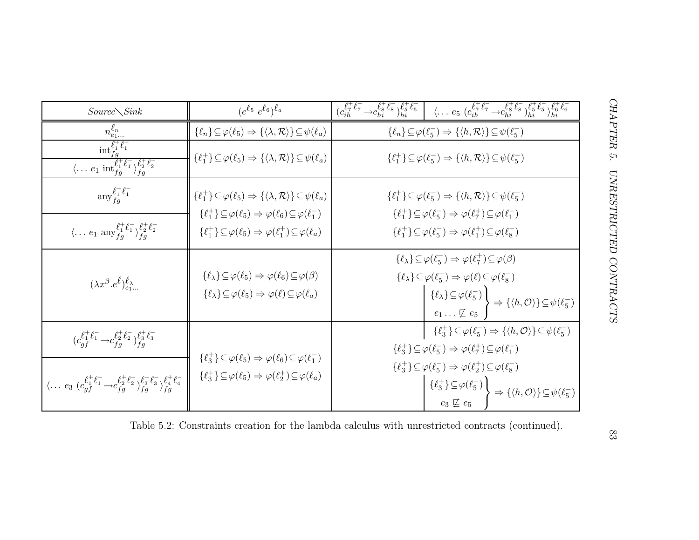| $Source\diagdown Sink$                                                                                                                                  | $(e^{\ell_5} e^{\ell_6})^{\ell_a}$                                                                                                                                                            | $\left( c_{ih}^{\ell_7^+ \ell_7^-} \rightarrow c_{hi}^{\ell_8^+ \ell_8^-} \right)_{hi}^{\ell_5^+ \ell_5^-} \left[ \quad \langle \ldots \ e_5 \ (c_{ih}^{\ell_7^+ \ell_7^-} \rightarrow c_{hi}^{\ell_8^+ \ell_8^-} \rangle_{hi}^{\ell_5^+ \ell_5^-} \rangle_{hi}^{\ell_6^+ \ell_6^-}$                                                                                                                    |  |  |
|---------------------------------------------------------------------------------------------------------------------------------------------------------|-----------------------------------------------------------------------------------------------------------------------------------------------------------------------------------------------|---------------------------------------------------------------------------------------------------------------------------------------------------------------------------------------------------------------------------------------------------------------------------------------------------------------------------------------------------------------------------------------------------------|--|--|
| $n_{e_1}^{\ell_n}$                                                                                                                                      | $\{\ell_n\} \subseteq \varphi(\ell_5) \Rightarrow \{\langle \lambda, \mathcal{R} \rangle\} \subseteq \psi(\ell_a)$                                                                            | $\{\ell_n\} \subseteq \varphi(\ell_5^-) \Rightarrow \{\langle h, \mathcal{R} \rangle\} \subseteq \psi(\ell_5^-)$                                                                                                                                                                                                                                                                                        |  |  |
| $\overline{\text{int}_{fg}^{\ell^+_1} \ell_1^-}$<br>$\overline{\langle \dots e_1 \text{ int}_{f_0}^{\ell_1^+ \ell_1^-} \rangle_{f_0}^{t_2^+ \ell_2^-}}$ | $\{\ell_1^+\}\subseteq\varphi(\ell_5)\Rightarrow\{\langle\lambda,\mathcal{R}\rangle\}\subseteq\psi(\ell_a)$                                                                                   | $\{\ell_1^+\}\subseteq\varphi(\ell_5^-)\Rightarrow\{\langle h,\mathcal{R}\rangle\}\subseteq\psi(\ell_5^-)$                                                                                                                                                                                                                                                                                              |  |  |
| $\operatorname{any}_{fq}^{\ell_1^+ \ell_1^-}$                                                                                                           | $\{\ell_1^+\}\subseteq\varphi(\ell_5)\Rightarrow\{\langle\lambda,\mathcal{R}\rangle\}\subseteq\psi(\ell_a)$                                                                                   | $\{\ell_1^+\}\subseteq\varphi(\ell_5^-)\Rightarrow\{\langle h,\mathcal{R}\rangle\}\subseteq\psi(\ell_5^-)$                                                                                                                                                                                                                                                                                              |  |  |
| $\langle \ldots e_1 \text{ any }_{f_q}^{\ell^+_1} \ell^-_1 \rangle_{f_q}^{\ell^+_2} \ell^-_2$                                                           | $\{\ell_1^+\}\subseteq\varphi(\ell_5)\Rightarrow\varphi(\ell_6)\subseteq\varphi(\ell_1^-)$<br>$\{\ell_1^+\}\subseteq\varphi(\ell_5)\Rightarrow\varphi(\ell_1^+)\subseteq\varphi(\ell_a)$      | $\{\ell_1^+\}\subseteq\varphi(\ell_5^-)\Rightarrow\varphi(\ell_7^+)\subseteq\varphi(\ell_1^-)$<br>$\{\ell_1^+\}\subseteq\varphi(\ell_5^-)\Rightarrow\varphi(\ell_1^+)\subseteq\varphi(\ell_8^-)$                                                                                                                                                                                                        |  |  |
| $(\lambda x^{\beta} . e^{\ell})^{\ell_{\lambda}}_{e_{1}}$                                                                                               | $\{\ell_{\lambda}\}\subseteq\varphi(\ell_5)\Rightarrow\varphi(\ell_6)\subseteq\varphi(\beta)$<br>$\{\ell_{\lambda}\}\subseteq\varphi(\ell_5)\Rightarrow\varphi(\ell)\subseteq\varphi(\ell_a)$ | $\{\ell_{\lambda}\}\subseteq\varphi(\ell_{5}^{-})\Rightarrow\varphi(\ell_{7}^{+})\subseteq\varphi(\beta)$<br>$\{\ell_{\lambda}\}\subseteq\varphi(\ell_{5}^{-})\Rightarrow\varphi(\ell)\subseteq\varphi(\ell_{8}^{-})$<br>$\begin{Bmatrix} {\ell}_{\lambda} \leq \varphi(\ell_5^-) \\ e_1 \ldots \nsubseteq e_5 \end{Bmatrix} \Rightarrow {\{\langle h, \mathcal{O} \rangle\}} \subseteq \psi(\ell_5^-)$ |  |  |
| $(c_{af}^{\ell_1^+ \ell_1^-} \rightarrow c_{fa}^{\ell_2^+ \ell_2^-})_{fa}^{\ell_3^+ \ell_3^-}$                                                          |                                                                                                                                                                                               | $\{\ell_3^+\}\subseteq\varphi(\ell_5^-)\Rightarrow\{\langle h,\mathcal{O}\rangle\}\subseteq\psi(\ell_5^-)$<br>$\{\ell_3^+\}\subseteq\varphi(\ell_5^-)\Rightarrow\varphi(\ell_7^+)\subseteq\varphi(\ell_1^-)$                                                                                                                                                                                            |  |  |
| $\langle \ldots e_3 \; (c_{af}^{\ell_1^+ \ell_1^-} \rightarrow c_{fg}^{\ell_2^+ \ell_2^-})_{fg}^{\ell_3^+ \ell_3^-} \rangle_{fg}^{\ell_4^+ \ell_4^-}$   | $\{\ell_3^+\}\subseteq\varphi(\ell_5)\Rightarrow\varphi(\ell_6)\subseteq\varphi(\ell_1^-)$<br>$\{\ell_3^+\}\subseteq\varphi(\ell_5)\Rightarrow\varphi(\ell_2^+)\subseteq\varphi(\ell_a)$      | $\{\ell_3^+\}\subseteq\varphi(\ell_5^-)\Rightarrow\varphi(\ell_2^+)\subseteq\varphi(\ell_8^-)$<br>$\left\{\ell_3^+\right\} \subseteq \varphi(\ell_5^-)$<br>$\Rightarrow \left\{\langle h, \mathcal{O} \rangle\right\} \subseteq \psi(\ell_5^-)$<br>$e_3 \not\sqsubseteq e_5$                                                                                                                            |  |  |
| Table 5.2: Constraints creation for the lambda calculus with unrestricted contracts (continued).                                                        |                                                                                                                                                                                               |                                                                                                                                                                                                                                                                                                                                                                                                         |  |  |

Table 5.2: Constraints creation for the lam bda calculus with unrestricted contracts (continued).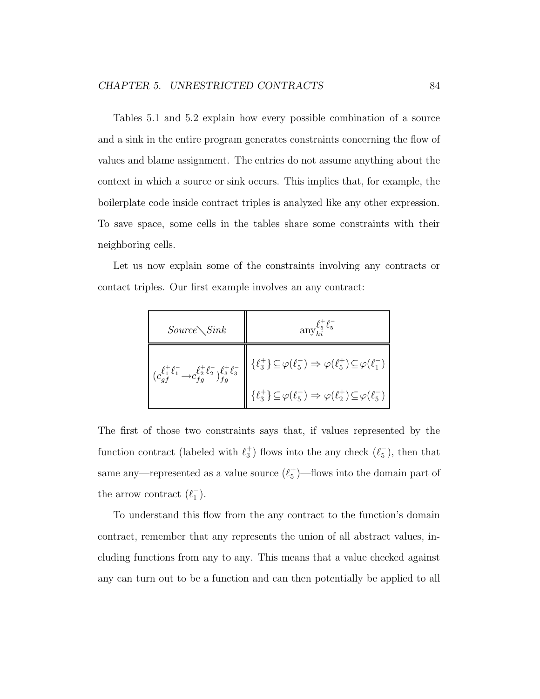Tables 5.1 and 5.2 explain how every possible combination of a source and a sink in the entire program generates constraints concerning the flow of values and blame assignment. The entries do not assume anything about the context in which a source or sink occurs. This implies that, for example, the boilerplate code inside contract triples is analyzed like any other expression. To save space, some cells in the tables share some constraints with their neighboring cells.

Let us now explain some of the constraints involving any contracts or contact triples. Our first example involves an any contract:

| $Source\diagdown Sink$                                                                         | $\mathrm{any}_{hi}^{\ell_5^+ \ell_5^-}$                                                                                                            |  |  |
|------------------------------------------------------------------------------------------------|----------------------------------------------------------------------------------------------------------------------------------------------------|--|--|
| $(c_{qf}^{\ell_1^+ \ell_1^-} \rightarrow c_{fg}^{\ell_2^+ \ell_2^-})_{fg}^{\ell_3^+ \ell_3^-}$ | $\{\ell_3^+\}\!\subseteq\!\varphi\!\left(\ell_5^-\right)\Rightarrow\varphi\!\left(\ell_5^+\right)\!\subseteq\!\varphi\!\left(\ell_1^-\right)\Big $ |  |  |
|                                                                                                | $\{\ell_3^+\}\!\subseteq\!\varphi\!\left(\ell_5^-\right)\Rightarrow\varphi\!\left(\ell_2^+\right)\!\subseteq\!\varphi\!\left(\ell_5^-\right)\Big $ |  |  |

The first of those two constraints says that, if values represented by the function contract (labeled with  $\ell_3^+$  $\binom{+}{3}$  flows into the any check  $(\ell_5^-)$  $_{5}^{-}$ ), then that same any—represented as a value source  $(\ell_5^+$ 5 )—flows into the domain part of the arrow contract  $(\ell_1^-)$  $^{-}_{1}).$ 

To understand this flow from the any contract to the function's domain contract, remember that any represents the union of all abstract values, including functions from any to any. This means that a value checked against any can turn out to be a function and can then potentially be applied to all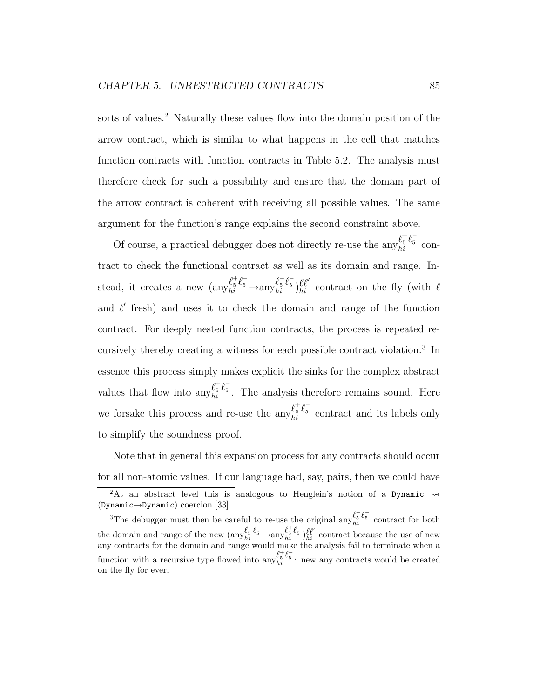sorts of values.<sup>2</sup> Naturally these values flow into the domain position of the arrow contract, which is similar to what happens in the cell that matches function contracts with function contracts in Table 5.2. The analysis must therefore check for such a possibility and ensure that the domain part of the arrow contract is coherent with receiving all possible values. The same argument for the function's range explains the second constraint above.

Of course, a practical debugger does not directly re-use the any  $\ell_5^{\ddag} \ell_5^ \frac{\epsilon_5}{hi}$  contract to check the functional contract as well as its domain and range. Instead, it creates a new  $\left(\text{any}_{hi}^{\ell_5^+ \ell_5^-}\right)$  $\ell_5^+ \ell_5^- \longrightarrow \text{any}_{hi}^{\ell_5^+} \ell_5^ \ell_5^{\dagger} \ell_5^{\dagger} \}_{hi}^{\ell \ell'}$  contract on the fly (with  $\ell$ and  $\ell'$  fresh) and uses it to check the domain and range of the function contract. For deeply nested function contracts, the process is repeated recursively thereby creating a witness for each possible contract violation.<sup>3</sup> In essence this process simply makes explicit the sinks for the complex abstract values that flow into  $\operatorname{any}_{hi}^{\ell_5^+ \ell_5^-}$  $\frac{\epsilon_5}{h_i}$ . The analysis therefore remains sound. Here we forsake this process and re-use the  $\sup_{h_i} \ell_5^+ \ell_5^ \frac{\epsilon_5}{h_i}$  contract and its labels only to simplify the soundness proof.

Note that in general this expansion process for any contracts should occur for all non-atomic values. If our language had, say, pairs, then we could have <sup>2</sup>At an abstract level this is analogous to Henglein's notion of a Dynamic  $\rightsquigarrow$ (Dynamic→Dynamic) coercion [33].

<sup>&</sup>lt;sup>3</sup>The debugger must then be careful to re-use the original any  $\ell_5^{\frac{t}{5}} \ell_5^-$  contract for both the domain and range of the new  $\left(\text{any}\right)_{hi}^{\ell_1^+ \ell_5^-} \rightarrow \text{any}\right)_{hi}^{\ell_5^+ \ell_5^-}$  ( $\ell_1^{\ell_1^+ \ell_2^-}$ ) any  $\ell_2^{\ell_2^+ \ell_3^-}$  contract because the use of new any contracts for the domain and range would make the analysis fail to terminate when a function with a recursive type flowed into  $\operatorname{any}_{hi}^{\ell^+,\ell^-}$ : new any contracts would be created on the fly for ever.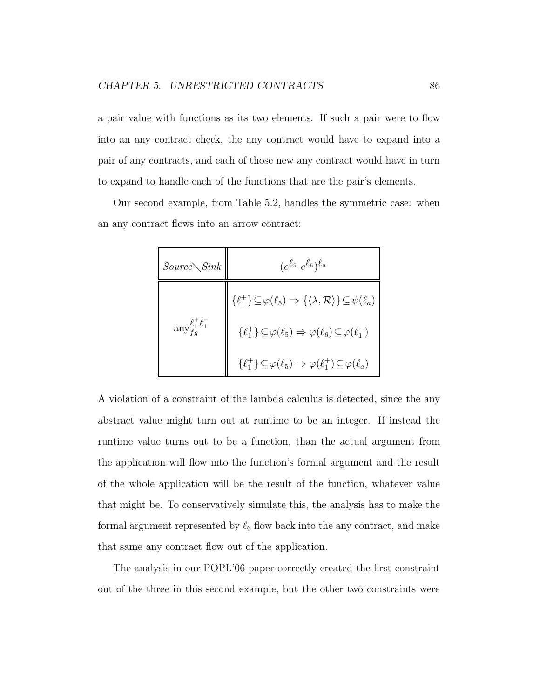a pair value with functions as its two elements. If such a pair were to flow into an any contract check, the any contract would have to expand into a pair of any contracts, and each of those new any contract would have in turn to expand to handle each of the functions that are the pair's elements.

Our second example, from Table 5.2, handles the symmetric case: when an any contract flows into an arrow contract:

| $Source\diagdown Sink$                                            | $(e^{\ell_5} e^{\ell_6})^{\ell_a}$                                                                                   |
|-------------------------------------------------------------------|----------------------------------------------------------------------------------------------------------------------|
|                                                                   | $\{\ell_1^+\} \subseteq \varphi(\ell_5) \Rightarrow \{\langle \lambda, \mathcal{R} \rangle\} \subseteq \psi(\ell_a)$ |
| $\displaystyle \operatorname{any}^{\ell_1^+ \ell_1^-}_{f \sigma}$ | $\{\ell_1^+\}\subseteq\varphi(\ell_5)\Rightarrow\varphi(\ell_6)\subseteq\varphi(\ell_1^-)$                           |
|                                                                   | $\{\ell_1^+\}\subseteq\varphi(\ell_5)\Rightarrow\varphi(\ell_1^+)\subseteq\varphi(\ell_a)$                           |

A violation of a constraint of the lambda calculus is detected, since the any abstract value might turn out at runtime to be an integer. If instead the runtime value turns out to be a function, than the actual argument from the application will flow into the function's formal argument and the result of the whole application will be the result of the function, whatever value that might be. To conservatively simulate this, the analysis has to make the formal argument represented by  $\ell_6$  flow back into the any contract, and make that same any contract flow out of the application.

The analysis in our POPL'06 paper correctly created the first constraint out of the three in this second example, but the other two constraints were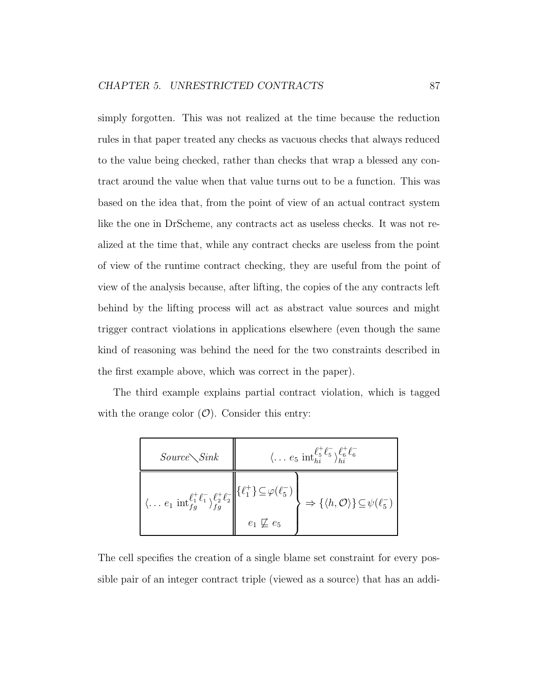simply forgotten. This was not realized at the time because the reduction rules in that paper treated any checks as vacuous checks that always reduced to the value being checked, rather than checks that wrap a blessed any contract around the value when that value turns out to be a function. This was based on the idea that, from the point of view of an actual contract system like the one in DrScheme, any contracts act as useless checks. It was not realized at the time that, while any contract checks are useless from the point of view of the runtime contract checking, they are useful from the point of view of the analysis because, after lifting, the copies of the any contracts left behind by the lifting process will act as abstract value sources and might trigger contract violations in applications elsewhere (even though the same kind of reasoning was behind the need for the two constraints described in the first example above, which was correct in the paper).

The third example explains partial contract violation, which is tagged with the orange color  $(\mathcal{O})$ . Consider this entry:

| $Source\diagdown Sink$                                                                                                                                | $\langle \ldots e_5 \text{ int}_{hi}^{\ell_5^+ \ell_5^-} \rangle_{hi}^{\ell_6^+ \ell_6^-}$ |                                                                           |  |
|-------------------------------------------------------------------------------------------------------------------------------------------------------|--------------------------------------------------------------------------------------------|---------------------------------------------------------------------------|--|
| $\langle \ldots e_1 \text{ int}_{fg}^{\ell_1^+ \ell_1^-} \rangle_{fg}^{\ell_2^+ \ell_2^-} \Big\  {\{\ell_1^+ \} \subseteq} \varphi(\ell_5^-) \Big\},$ |                                                                                            | $\Rightarrow \{\langle h, \mathcal{O} \rangle\} \subseteq \psi(\ell_5^-)$ |  |
|                                                                                                                                                       | $e_1 \not\sqsubseteq e_5$                                                                  |                                                                           |  |

The cell specifies the creation of a single blame set constraint for every possible pair of an integer contract triple (viewed as a source) that has an addi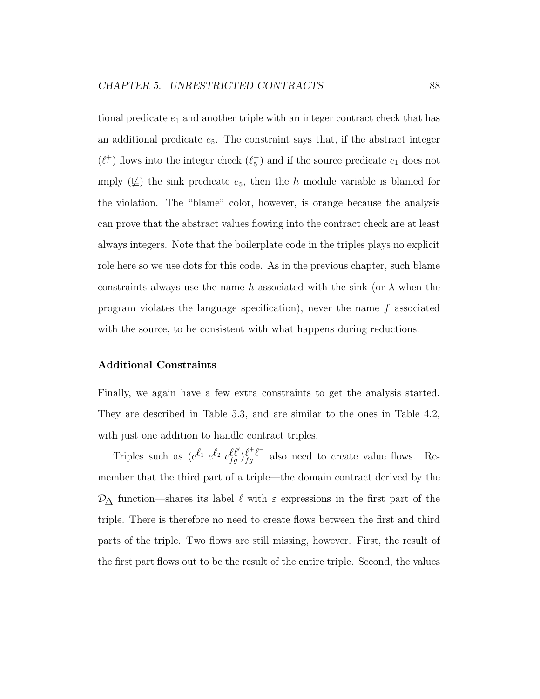tional predicate  $e_1$  and another triple with an integer contract check that has an additional predicate  $e_5$ . The constraint says that, if the abstract integer  $(\ell_1^+$  $_1^+$ ) flows into the integer check  $(\ell_5^-)$  $_{5}^{-}$ ) and if the source predicate  $e_{1}$  does not imply  $(\nsubseteq)$  the sink predicate  $e_5$ , then the h module variable is blamed for the violation. The "blame" color, however, is orange because the analysis can prove that the abstract values flowing into the contract check are at least always integers. Note that the boilerplate code in the triples plays no explicit role here so we use dots for this code. As in the previous chapter, such blame constraints always use the name h associated with the sink (or  $\lambda$  when the program violates the language specification), never the name  $f$  associated with the source, to be consistent with what happens during reductions.

#### Additional Constraints

Finally, we again have a few extra constraints to get the analysis started. They are described in Table 5.3, and are similar to the ones in Table 4.2, with just one addition to handle contract triples.

Triples such as  $\langle e^{\ell_1} e^{\ell_2} c_{fg}^{\ell \ell'} \rangle_{fg}^{\ell^+ \ell^-}$  $f_g^{\ell-\ell}$  also need to create value flows. Remember that the third part of a triple—the domain contract derived by the  $\mathcal{D}_{\Delta}$  function—shares its label  $\ell$  with  $\varepsilon$  expressions in the first part of the triple. There is therefore no need to create flows between the first and third parts of the triple. Two flows are still missing, however. First, the result of the first part flows out to be the result of the entire triple. Second, the values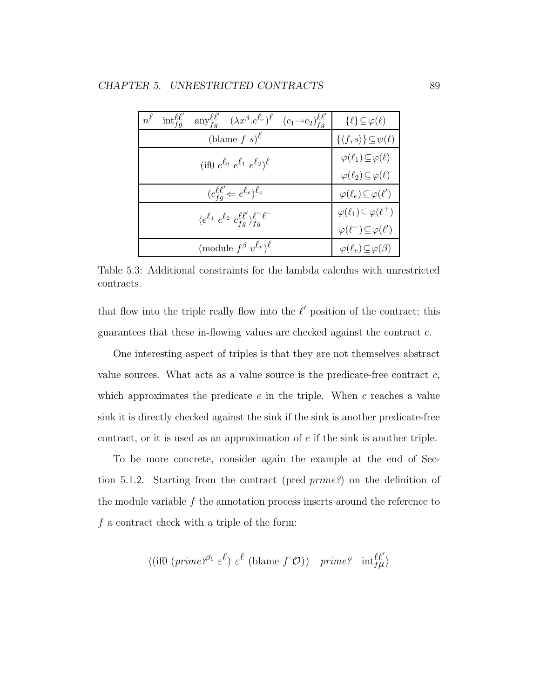| $\mathrm{int}^{\ell\ell'}_{fa}$<br>$n^{\ell}$ | $\text{any}\substack{\ell\ell'\\fg} \quad (\lambda x^{\beta}.e^{\ell_e})^{\ell}$ | $(c_1 \rightarrow c_2)_{fa}^{\ell \ell'}$ | $\{\ell\} \subseteq \varphi(\ell)$              |
|-----------------------------------------------|----------------------------------------------------------------------------------|-------------------------------------------|-------------------------------------------------|
|                                               | (blame $f s$ ) <sup><math>\ell</math></sup>                                      |                                           | $\{\langle f, s \rangle\} \subseteq \psi(\ell)$ |
|                                               | (if0 $e^{\ell_0}$ $e^{\ell_1}$ $e^{\ell_2}\right)^{\ell}$                        |                                           | $\varphi(\ell_1) \subseteq \varphi(\ell)$       |
|                                               |                                                                                  |                                           | $\varphi(\ell_2) \subseteq \varphi(\ell)$       |
|                                               | $(c_{fa}^{\ell\ell'} \leftarrow e^{\ell_e})^{\ell_c}$                            |                                           | $\varphi(\ell_e) \subseteq \varphi(\ell')$      |
|                                               | $\langle e^{\ell_1} e^{\ell_2} c_{fa}^{\ell \ell'} \rangle_{fa}^{\ell^+ \ell^-}$ |                                           | $\varphi(\ell_1) \subseteq \varphi(\ell^+)$     |
|                                               |                                                                                  |                                           | $\varphi(\ell^-) \subseteq \varphi(\ell')$      |
|                                               | (module $f^{\beta} v^{\ell_v}$ ) <sup><math>\ell</math></sup>                    |                                           | $\varphi(\ell_v) \subseteq \varphi(\beta)$      |

Table 5.3: Additional constraints for the lambda calculus with unrestricted contracts.

that flow into the triple really flow into the  $\ell'$  position of the contract; this guarantees that these in-flowing values are checked against the contract c.

One interesting aspect of triples is that they are not themselves abstract value sources. What acts as a value source is the predicate-free contract  $c$ , which approximates the predicate  $e$  in the triple. When  $c$  reaches a value sink it is directly checked against the sink if the sink is another predicate-free contract, or it is used as an approximation of e if the sink is another triple.

To be more concrete, consider again the example at the end of Section 5.1.2. Starting from the contract (pred prime?) on the definition of the module variable  $f$  the annotation process inserts around the reference to  $f$  a contract check with a triple of the form:

$$
\langle (\text{if} 0 \ (prime \text{prime})^{\beta_1} \ \varepsilon^{\ell}) \ \varepsilon^{\ell} \ (\text{blame} \ f \ \mathcal{O}) ) \ \ \text{prime?} \ \ \text{int}_{f\mu}^{\ell \ell'}
$$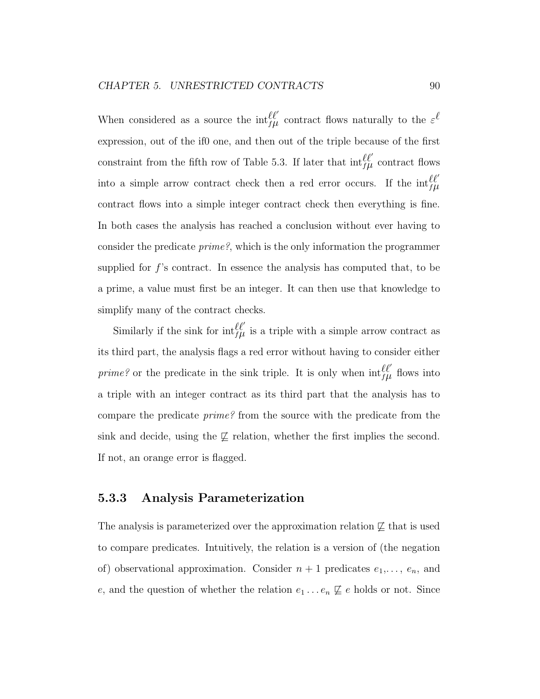When considered as a source the  $\inf_{f\mid\mu}^{\ell\ell'}$  contract flows naturally to the  $\varepsilon^{\ell'}$ expression, out of the if0 one, and then out of the triple because of the first constraint from the fifth row of Table 5.3. If later that  $\inf_{f\mu}^{\ell\ell'}$  contract flows into a simple arrow contract check then a red error occurs. If the  $\inf_{f\mu}^{\ell\ell'}$ contract flows into a simple integer contract check then everything is fine. In both cases the analysis has reached a conclusion without ever having to consider the predicate prime?, which is the only information the programmer supplied for f's contract. In essence the analysis has computed that, to be a prime, a value must first be an integer. It can then use that knowledge to simplify many of the contract checks.

Similarly if the sink for  $\inf_{f\mid\mu}^{\ell\ell'}$  is a triple with a simple arrow contract as its third part, the analysis flags a red error without having to consider either *prime?* or the predicate in the sink triple. It is only when  $\int_{f\mu}^{\ell \ell'}$  flows into a triple with an integer contract as its third part that the analysis has to compare the predicate prime? from the source with the predicate from the sink and decide, using the  $\not\sqsubset$  relation, whether the first implies the second. If not, an orange error is flagged.

#### 5.3.3 Analysis Parameterization

The analysis is parameterized over the approximation relation  $\not\sqsubseteq$  that is used to compare predicates. Intuitively, the relation is a version of (the negation of) observational approximation. Consider  $n + 1$  predicates  $e_1, \ldots, e_n$ , and e, and the question of whether the relation  $e_1 \ldots e_n \not\sqsubseteq e$  holds or not. Since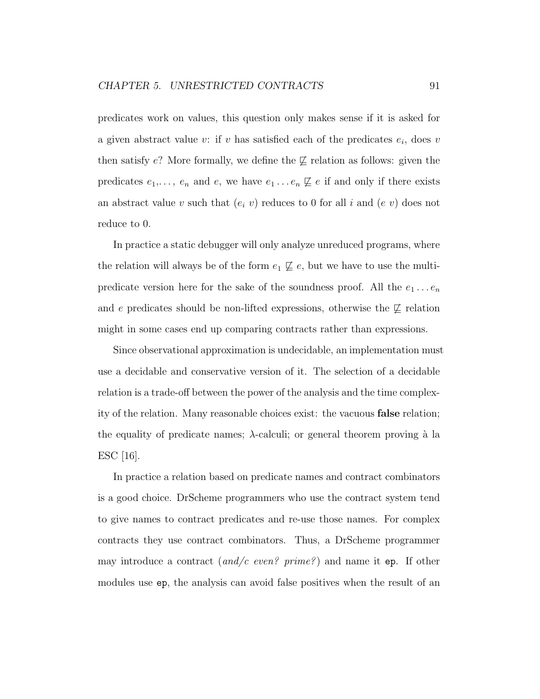predicates work on values, this question only makes sense if it is asked for a given abstract value  $v:$  if  $v$  has satisfied each of the predicates  $e_i$ , does  $v$ then satisfy e? More formally, we define the  $\not\sqsubseteq$  relation as follows: given the predicates  $e_1, \ldots, e_n$  and  $e$ , we have  $e_1 \ldots e_n \not\sqsubseteq e$  if and only if there exists an abstract value v such that  $(e_i \ v)$  reduces to 0 for all i and  $(e \ v)$  does not reduce to 0.

In practice a static debugger will only analyze unreduced programs, where the relation will always be of the form  $e_1 \not\sqsubseteq e$ , but we have to use the multipredicate version here for the sake of the soundness proof. All the  $e_1 \ldots e_n$ and e predicates should be non-lifted expressions, otherwise the  $\not\sqsubseteq$  relation might in some cases end up comparing contracts rather than expressions.

Since observational approximation is undecidable, an implementation must use a decidable and conservative version of it. The selection of a decidable relation is a trade-off between the power of the analysis and the time complexity of the relation. Many reasonable choices exist: the vacuous false relation; the equality of predicate names;  $\lambda$ -calculi; or general theorem proving à la ESC [16].

In practice a relation based on predicate names and contract combinators is a good choice. DrScheme programmers who use the contract system tend to give names to contract predicates and re-use those names. For complex contracts they use contract combinators. Thus, a DrScheme programmer may introduce a contract  $(and/c\ even\$  prime?) and name it ep. If other modules use ep, the analysis can avoid false positives when the result of an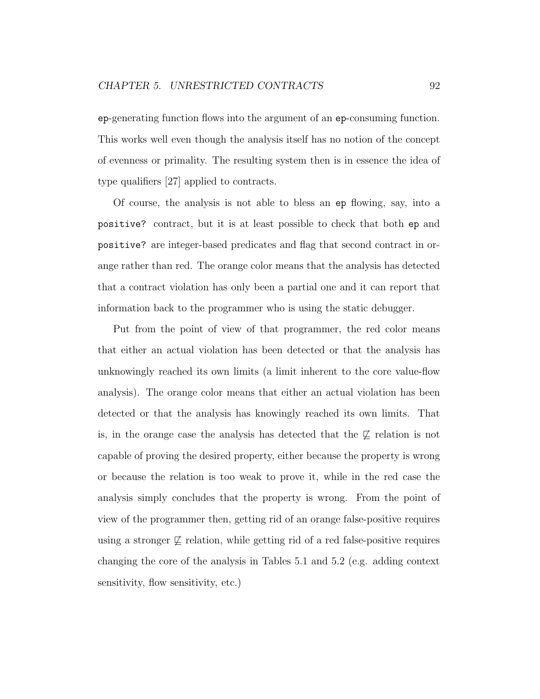ep-generating function flows into the argument of an ep-consuming function. This works well even though the analysis itself has no notion of the concept of evenness or primality. The resulting system then is in essence the idea of type qualifiers [27] applied to contracts.

Of course, the analysis is not able to bless an ep flowing, say, into a positive? contract, but it is at least possible to check that both ep and positive? are integer-based predicates and flag that second contract in orange rather than red. The orange color means that the analysis has detected that a contract violation has only been a partial one and it can report that information back to the programmer who is using the static debugger.

Put from the point of view of that programmer, the red color means that either an actual violation has been detected or that the analysis has unknowingly reached its own limits (a limit inherent to the core value-flow analysis). The orange color means that either an actual violation has been detected or that the analysis has knowingly reached its own limits. That is, in the orange case the analysis has detected that the  $\not\sqsubseteq$  relation is not capable of proving the desired property, either because the property is wrong or because the relation is too weak to prove it, while in the red case the analysis simply concludes that the property is wrong. From the point of view of the programmer then, getting rid of an orange false-positive requires using a stronger  $\not\sqsubset$  relation, while getting rid of a red false-positive requires changing the core of the analysis in Tables 5.1 and 5.2 (e.g. adding context sensitivity, flow sensitivity, etc.)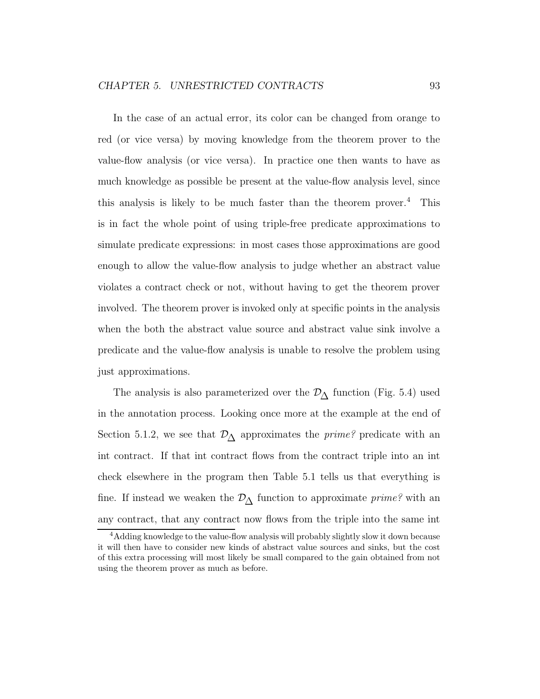In the case of an actual error, its color can be changed from orange to red (or vice versa) by moving knowledge from the theorem prover to the value-flow analysis (or vice versa). In practice one then wants to have as much knowledge as possible be present at the value-flow analysis level, since this analysis is likely to be much faster than the theorem prover.<sup>4</sup> This is in fact the whole point of using triple-free predicate approximations to simulate predicate expressions: in most cases those approximations are good enough to allow the value-flow analysis to judge whether an abstract value violates a contract check or not, without having to get the theorem prover involved. The theorem prover is invoked only at specific points in the analysis when the both the abstract value source and abstract value sink involve a predicate and the value-flow analysis is unable to resolve the problem using just approximations.

The analysis is also parameterized over the  $\mathcal{D}_{\Delta}$  function (Fig. 5.4) used in the annotation process. Looking once more at the example at the end of Section 5.1.2, we see that  $\mathcal{D}_{\Delta}$  approximates the *prime?* predicate with an int contract. If that int contract flows from the contract triple into an int check elsewhere in the program then Table 5.1 tells us that everything is fine. If instead we weaken the  $\mathcal{D}_{\Delta}$  function to approximate *prime?* with an any contract, that any contract now flows from the triple into the same int

<sup>&</sup>lt;sup>4</sup>Adding knowledge to the value-flow analysis will probably slightly slow it down because it will then have to consider new kinds of abstract value sources and sinks, but the cost of this extra processing will most likely be small compared to the gain obtained from not using the theorem prover as much as before.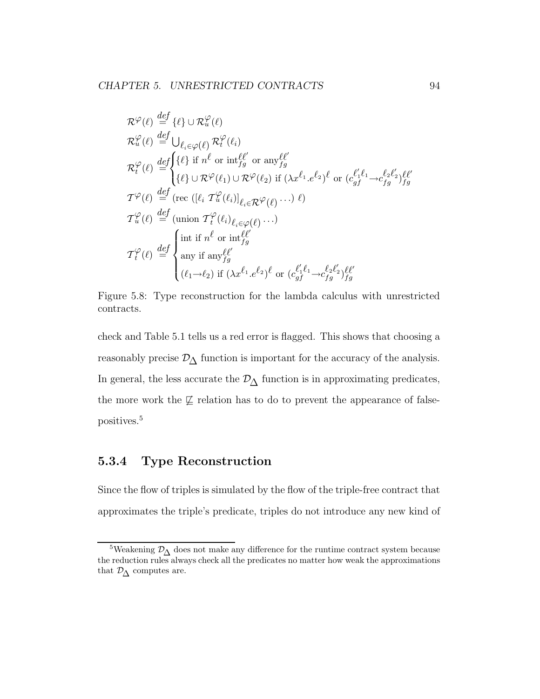$$
\mathcal{R}^{\varphi}(\ell) \stackrel{def}{=} {\{\ell\}} \cup \mathcal{R}^{\varphi}_{u}(\ell)
$$
\n
$$
\mathcal{R}^{\varphi}_{u}(\ell) \stackrel{def}{=} \bigcup_{\ell_{i} \in \varphi(\ell)} \mathcal{R}^{\varphi}_{t}(\ell_{i})
$$
\n
$$
\mathcal{R}^{\varphi}_{t}(\ell) \stackrel{def}{=} {\{\ell\}} \text{if } n^{\ell} \text{ or } \text{int}_{fg}^{\ell \ell'} \text{ or } \text{any}_{fg}^{\ell \ell'}
$$
\n
$$
{\{\ell\}} \cup \mathcal{R}^{\varphi}(\ell_{1}) \cup \mathcal{R}^{\varphi}(\ell_{2}) \text{ if } (\lambda x^{\ell_{1}} \cdot e^{\ell_{2}})^{\ell} \text{ or } (c_{gf}^{\ell_{1}\ell_{1}} \rightarrow c_{fg}^{\ell_{2}\ell'_{2}})^{\ell \ell'} \}
$$
\n
$$
\mathcal{T}^{\varphi}(\ell) \stackrel{def}{=} (\text{rec } ([\ell_{i} \mathcal{T}^{\varphi}_{u}(\ell_{i})]_{\ell_{i} \in \mathcal{R}^{\varphi}(\ell)} \cdots) \ell)
$$
\n
$$
\mathcal{T}^{\varphi}_{u}(\ell) \stackrel{def}{=} (\text{union } \mathcal{T}^{\varphi}_{t}(\ell_{i})_{\ell_{i} \in \varphi(\ell)} \cdots)
$$
\n
$$
\mathcal{T}^{\varphi}_{t}(\ell) \stackrel{def}{=} \begin{cases} \text{int if } n^{\ell} \text{ or } \text{int}_{fg}^{\ell \ell'} \\ \text{any if } \text{any}_{fg}^{\ell \ell'} \\ (\ell_{1} \rightarrow \ell_{2}) \text{ if } (\lambda x^{\ell_{1}} \cdot e^{\ell_{2}})^{\ell} \text{ or } (c_{gf}^{\ell_{1}\ell_{1}} \rightarrow c_{fg}^{\ell_{2}\ell'_{2}})^{\ell \ell'} \end{cases}
$$

Figure 5.8: Type reconstruction for the lambda calculus with unrestricted contracts.

check and Table 5.1 tells us a red error is flagged. This shows that choosing a reasonably precise  $\mathcal{D}_{\Delta}$  function is important for the accuracy of the analysis. In general, the less accurate the  $\mathcal{D}_{\Delta}$  function is in approximating predicates, the more work the  $\not\sqsubseteq$  relation has to do to prevent the appearance of falsepositives.<sup>5</sup>

## 5.3.4 Type Reconstruction

Since the flow of triples is simulated by the flow of the triple-free contract that approximates the triple's predicate, triples do not introduce any new kind of

<sup>&</sup>lt;sup>5</sup>Weakening  $\mathcal{D}_{\Lambda}$  does not make any difference for the runtime contract system because the reduction rules always check all the predicates no matter how weak the approximations that  $\mathcal{D}_{\Delta}$  computes are.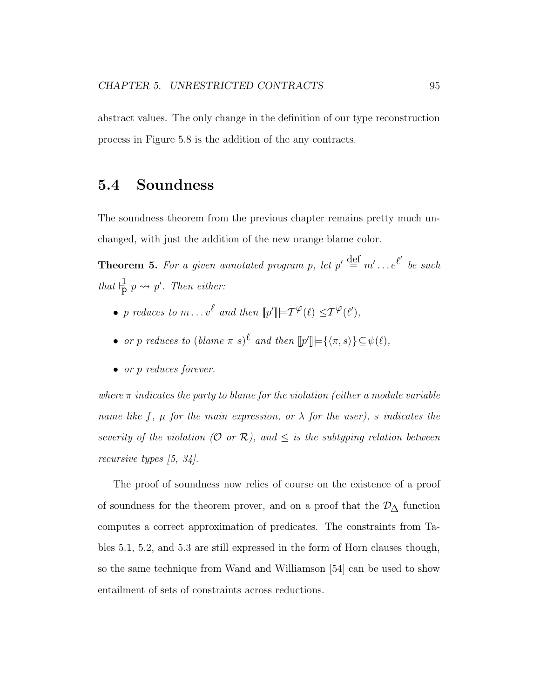abstract values. The only change in the definition of our type reconstruction process in Figure 5.8 is the addition of the any contracts.

### 5.4 Soundness

The soundness theorem from the previous chapter remains pretty much unchanged, with just the addition of the new orange blame color.

**Theorem 5.** For a given annotated program p, let  $p' \stackrel{\text{def}}{=} m' \dots e^{\ell'}$  be such that  $\frac{1}{p} p \leadsto p'$ . Then either:

- p reduces to  $m \dots v^{\ell}$  and then  $[![p']!] \models \mathcal{T}^{\varphi}(\ell) \leq \mathcal{T}^{\varphi}(\ell'),$
- or p reduces to  $(blame \pi s)^\ell$  and then  $[\![p']\!] = {\langle \pi, s \rangle} {\subseteq \psi(\ell)}$ ,
- or p reduces forever.

where  $\pi$  indicates the party to blame for the violation (either a module variable name like f,  $\mu$  for the main expression, or  $\lambda$  for the user), s indicates the severity of the violation  $(0 \text{ or } R)$ , and  $\leq$  is the subtyping relation between recursive types [5, 34].

The proof of soundness now relies of course on the existence of a proof of soundness for the theorem prover, and on a proof that the  $\mathcal{D}_{\Delta}$  function computes a correct approximation of predicates. The constraints from Tables 5.1, 5.2, and 5.3 are still expressed in the form of Horn clauses though, so the same technique from Wand and Williamson [54] can be used to show entailment of sets of constraints across reductions.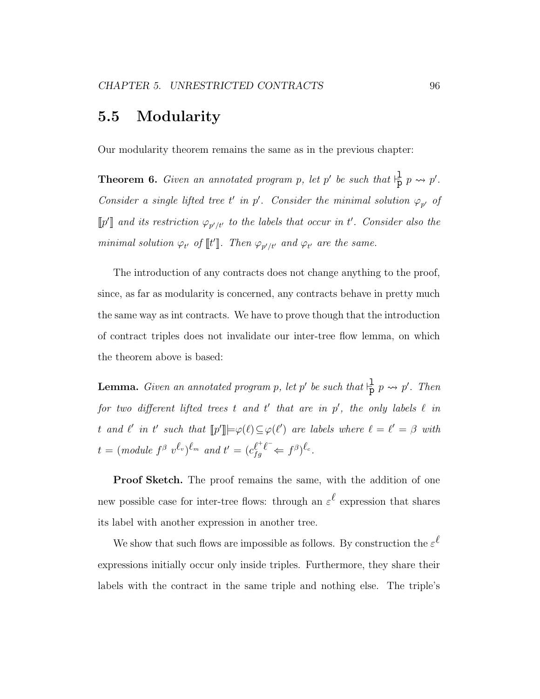### 5.5 Modularity

Our modularity theorem remains the same as in the previous chapter:

**Theorem 6.** Given an annotated program p, let p' be such that  $\frac{1}{p}$  p  $\rightarrow$  p'. Consider a single lifted tree t' in p'. Consider the minimal solution  $\varphi_{p'}$  of  $\llbracket p' \rrbracket$  and its restriction  $\varphi_{p'/t'}$  to the labels that occur in t'. Consider also the minimal solution  $\varphi_{t'}$  of  $\llbracket t \rrbracket$ . Then  $\varphi_{p'/t'}$  and  $\varphi_{t'}$  are the same.

The introduction of any contracts does not change anything to the proof, since, as far as modularity is concerned, any contracts behave in pretty much the same way as int contracts. We have to prove though that the introduction of contract triples does not invalidate our inter-tree flow lemma, on which the theorem above is based:

**Lemma.** Given an annotated program p, let p' be such that  $\frac{1}{p}$  p  $\rightsquigarrow$  p'. Then for two different lifted trees t and t' that are in  $p'$ , the only labels  $\ell$  in t and  $\ell'$  in t' such that  $[\![p']\!] \models \varphi(\ell) \subseteq \varphi(\ell')$  are labels where  $\ell = \ell' = \beta$  with  $t = (\text{module } f^{\beta} \text{ } v^{\ell_v})^{\ell_m} \text{ and } t' = (c_{fg}^{\ell^+ \ell^-} \Leftarrow f^{\beta})^{\ell_c}.$ 

Proof Sketch. The proof remains the same, with the addition of one new possible case for inter-tree flows: through an  $\varepsilon^{\ell}$  expression that shares its label with another expression in another tree.

We show that such flows are impossible as follows. By construction the  $\varepsilon^{\ell}$ expressions initially occur only inside triples. Furthermore, they share their labels with the contract in the same triple and nothing else. The triple's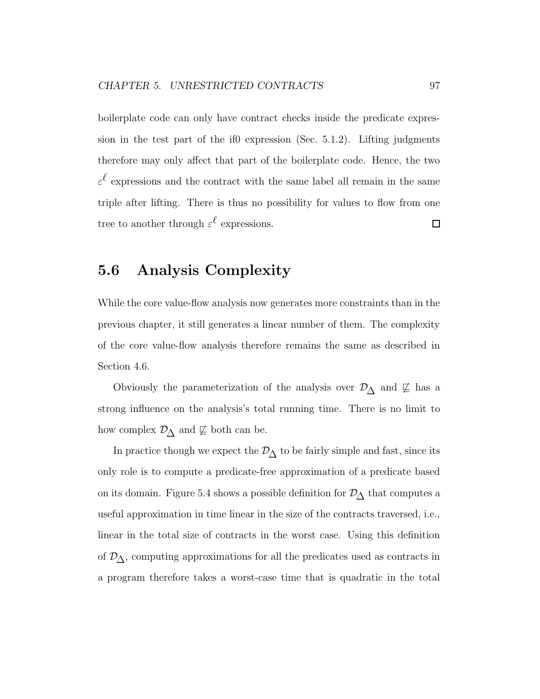boilerplate code can only have contract checks inside the predicate expression in the test part of the if0 expression (Sec. 5.1.2). Lifting judgments therefore may only affect that part of the boilerplate code. Hence, the two  $\varepsilon^{\ell}$  expressions and the contract with the same label all remain in the same triple after lifting. There is thus no possibility for values to flow from one tree to another through  $\varepsilon^{\ell}$  expressions.  $\Box$ 

# 5.6 Analysis Complexity

While the core value-flow analysis now generates more constraints than in the previous chapter, it still generates a linear number of them. The complexity of the core value-flow analysis therefore remains the same as described in Section 4.6.

Obviously the parameterization of the analysis over  $\mathcal{D}_{\Delta}$  and  $\not\sqsubseteq$  has a strong influence on the analysis's total running time. There is no limit to how complex  $\mathcal{D}_{\Delta}$  and  $\not\sqsubseteq$  both can be.

In practice though we expect the  $\mathcal{D}_{\Delta}$  to be fairly simple and fast, since its only role is to compute a predicate-free approximation of a predicate based on its domain. Figure 5.4 shows a possible definition for  $\mathcal{D}_{\Delta}$  that computes a useful approximation in time linear in the size of the contracts traversed, i.e., linear in the total size of contracts in the worst case. Using this definition of  $\mathcal{D}_{\Delta}$ , computing approximations for all the predicates used as contracts in a program therefore takes a worst-case time that is quadratic in the total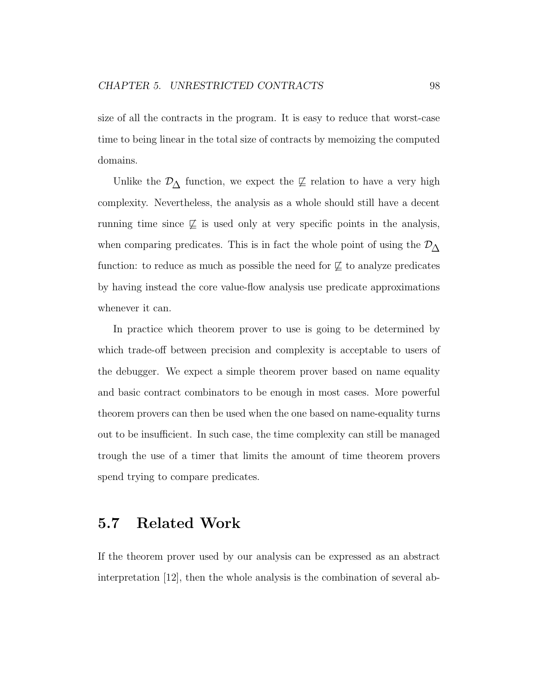size of all the contracts in the program. It is easy to reduce that worst-case time to being linear in the total size of contracts by memoizing the computed domains.

Unlike the  $\mathcal{D}_{\Delta}$  function, we expect the  $\not\sqsubseteq$  relation to have a very high complexity. Nevertheless, the analysis as a whole should still have a decent running time since  $\not\sqsubseteq$  is used only at very specific points in the analysis, when comparing predicates. This is in fact the whole point of using the  $\mathcal{D}_{\Delta}$ function: to reduce as much as possible the need for  $\not\sqsubseteq$  to analyze predicates by having instead the core value-flow analysis use predicate approximations whenever it can.

In practice which theorem prover to use is going to be determined by which trade-off between precision and complexity is acceptable to users of the debugger. We expect a simple theorem prover based on name equality and basic contract combinators to be enough in most cases. More powerful theorem provers can then be used when the one based on name-equality turns out to be insufficient. In such case, the time complexity can still be managed trough the use of a timer that limits the amount of time theorem provers spend trying to compare predicates.

### 5.7 Related Work

If the theorem prover used by our analysis can be expressed as an abstract interpretation [12], then the whole analysis is the combination of several ab-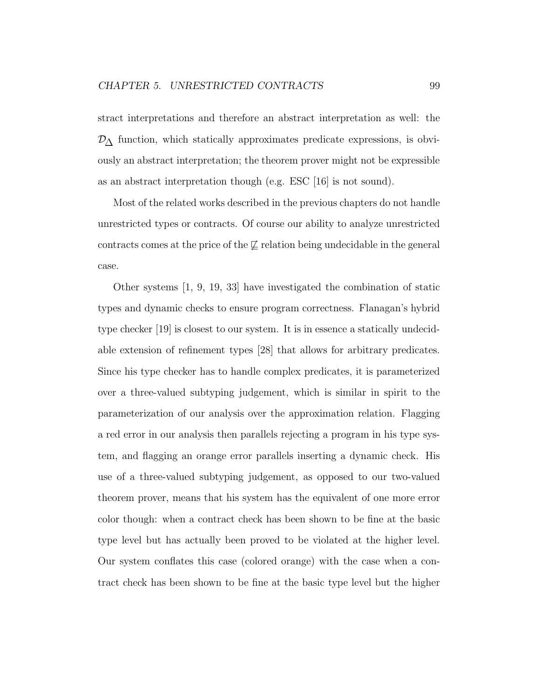stract interpretations and therefore an abstract interpretation as well: the  $\mathcal{D}_{\Delta}$  function, which statically approximates predicate expressions, is obviously an abstract interpretation; the theorem prover might not be expressible as an abstract interpretation though (e.g. ESC [16] is not sound).

Most of the related works described in the previous chapters do not handle unrestricted types or contracts. Of course our ability to analyze unrestricted contracts comes at the price of the  $\not\sqsubseteq$  relation being undecidable in the general case.

Other systems [1, 9, 19, 33] have investigated the combination of static types and dynamic checks to ensure program correctness. Flanagan's hybrid type checker [19] is closest to our system. It is in essence a statically undecidable extension of refinement types [28] that allows for arbitrary predicates. Since his type checker has to handle complex predicates, it is parameterized over a three-valued subtyping judgement, which is similar in spirit to the parameterization of our analysis over the approximation relation. Flagging a red error in our analysis then parallels rejecting a program in his type system, and flagging an orange error parallels inserting a dynamic check. His use of a three-valued subtyping judgement, as opposed to our two-valued theorem prover, means that his system has the equivalent of one more error color though: when a contract check has been shown to be fine at the basic type level but has actually been proved to be violated at the higher level. Our system conflates this case (colored orange) with the case when a contract check has been shown to be fine at the basic type level but the higher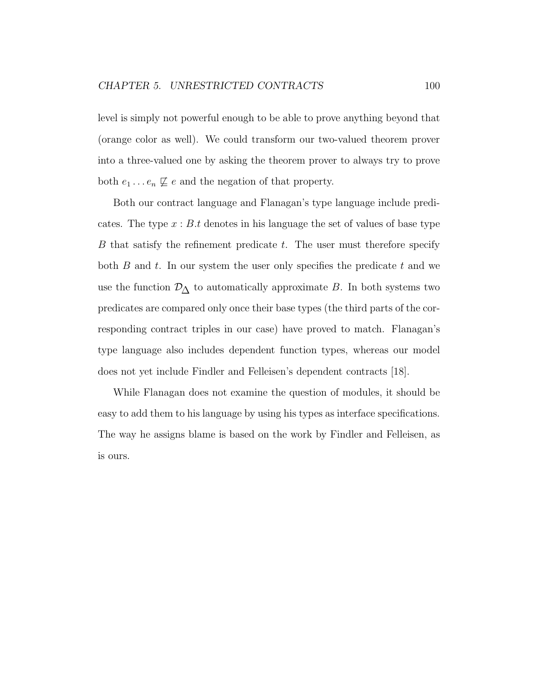level is simply not powerful enough to be able to prove anything beyond that (orange color as well). We could transform our two-valued theorem prover into a three-valued one by asking the theorem prover to always try to prove both  $e_1 \dots e_n \not\sqsubseteq e$  and the negation of that property.

Both our contract language and Flanagan's type language include predicates. The type  $x : B.t$  denotes in his language the set of values of base type B that satisfy the refinement predicate t. The user must therefore specify both  $B$  and  $t$ . In our system the user only specifies the predicate  $t$  and we use the function  $\mathcal{D}_{\Delta}$  to automatically approximate  $B.$  In both systems two predicates are compared only once their base types (the third parts of the corresponding contract triples in our case) have proved to match. Flanagan's type language also includes dependent function types, whereas our model does not yet include Findler and Felleisen's dependent contracts [18].

While Flanagan does not examine the question of modules, it should be easy to add them to his language by using his types as interface specifications. The way he assigns blame is based on the work by Findler and Felleisen, as is ours.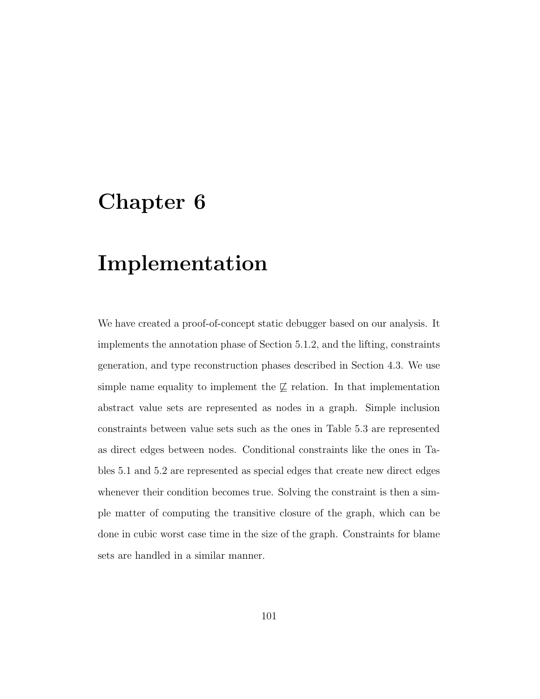#### Implementation

We have created a proof-of-concept static debugger based on our analysis. It implements the annotation phase of Section 5.1.2, and the lifting, constraints generation, and type reconstruction phases described in Section 4.3. We use simple name equality to implement the  $\not\sqsubseteq$  relation. In that implementation abstract value sets are represented as nodes in a graph. Simple inclusion constraints between value sets such as the ones in Table 5.3 are represented as direct edges between nodes. Conditional constraints like the ones in Tables 5.1 and 5.2 are represented as special edges that create new direct edges whenever their condition becomes true. Solving the constraint is then a simple matter of computing the transitive closure of the graph, which can be done in cubic worst case time in the size of the graph. Constraints for blame sets are handled in a similar manner.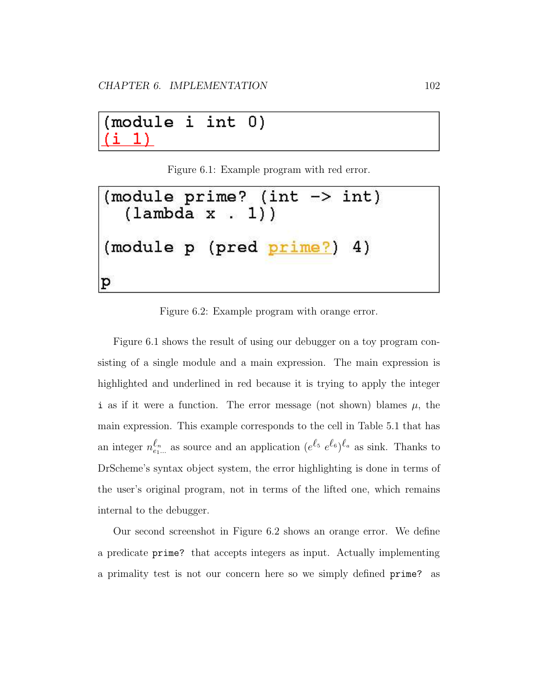module  $\mathtt{i}$ int  $0)$ 1)

Figure 6.1: Example program with red error.

(module prime? (int -> int)  $(lambda x . 1))$ (module p (pred <u>prime?</u>) 4) p

Figure 6.2: Example program with orange error.

Figure 6.1 shows the result of using our debugger on a toy program consisting of a single module and a main expression. The main expression is highlighted and underlined in red because it is trying to apply the integer i as if it were a function. The error message (not shown) blames  $\mu$ , the main expression. This example corresponds to the cell in Table 5.1 that has an integer  $n_{e_1...}^{\ell_n}$  as source and an application  $(e^{\ell_5} e^{\ell_6})^{\ell_a}$  as sink. Thanks to DrScheme's syntax object system, the error highlighting is done in terms of the user's original program, not in terms of the lifted one, which remains internal to the debugger.

Our second screenshot in Figure 6.2 shows an orange error. We define a predicate prime? that accepts integers as input. Actually implementing a primality test is not our concern here so we simply defined prime? as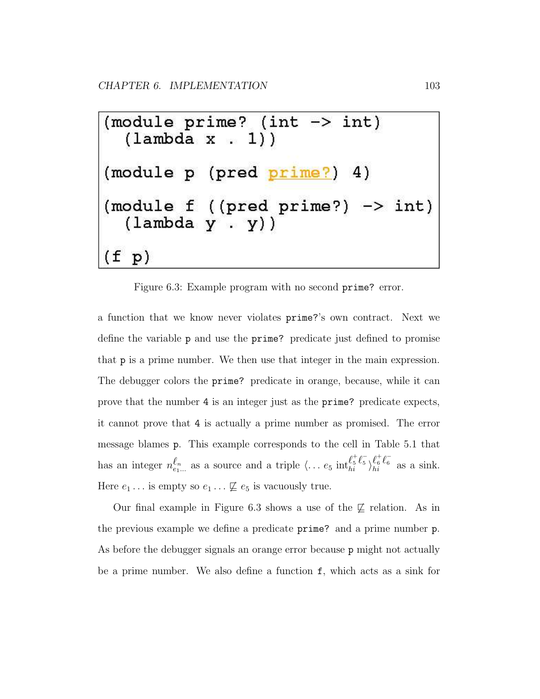Figure 6.3: Example program with no second prime? error.

a function that we know never violates prime?'s own contract. Next we define the variable p and use the prime? predicate just defined to promise that p is a prime number. We then use that integer in the main expression. The debugger colors the prime? predicate in orange, because, while it can prove that the number 4 is an integer just as the prime? predicate expects, it cannot prove that 4 is actually a prime number as promised. The error message blames p. This example corresponds to the cell in Table 5.1 that has an integer  $n_{e_1...}^{\ell_n}$  as a source and a triple  $\langle ... e_5 \text{ int}_{hi}^{\ell_5^+ \ell_5^-}$  $\ell_5^+ \ell_5^- \brace \ell_6^+ \ell_6^-$ <br>hi  $\frac{\kappa_6 \kappa_6}{hi}$  as a sink. Here  $e_1 \dots$  is empty so  $e_1 \dots \not\sqsubseteq e_5$  is vacuously true.

Our final example in Figure 6.3 shows a use of the  $\not\sqsubseteq$  relation. As in the previous example we define a predicate prime? and a prime number p. As before the debugger signals an orange error because p might not actually be a prime number. We also define a function f, which acts as a sink for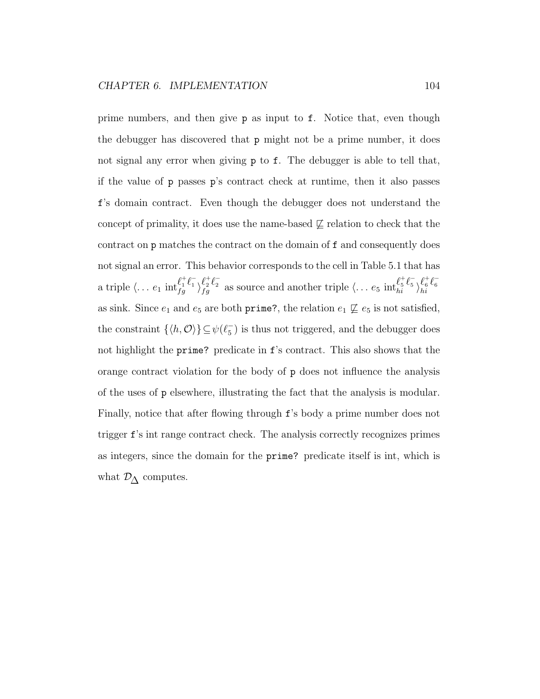prime numbers, and then give p as input to f. Notice that, even though the debugger has discovered that p might not be a prime number, it does not signal any error when giving **p** to **f**. The debugger is able to tell that, if the value of p passes p's contract check at runtime, then it also passes f's domain contract. Even though the debugger does not understand the concept of primality, it does use the name-based  $\not\sqsubseteq$  relation to check that the contract on p matches the contract on the domain of f and consequently does not signal an error. This behavior corresponds to the cell in Table 5.1 that has a triple  $\langle \ldots e_1 \text{ int}_{f_a}^{\ell_1^+ \ell_1^-}$  $\frac{\ell_1^+ \ell_1^-}{f g} \rangle_{fg}^{\ell_2^+ \ell_2^-}$  $\ell_2^+ \ell_2^-$  as source and another triple  $\langle \ldots e_5 \text{ int}_{hi}^{\ell_5^+ \ell_5^-}$  $\ell_5^+ \ell_5^- \brace \ell_6^+ \ell_6^ \frac{\tau_6}{hi} \frac{\tau_6}{h}$ as sink. Since  $e_1$  and  $e_5$  are both prime?, the relation  $e_1 \not\sqsubseteq e_5$  is not satisfied, the constraint  $\{ \langle h, \mathcal{O} \rangle \} \subseteq \psi(\ell_5^-)$  $^{-}_{5}$ ) is thus not triggered, and the debugger does not highlight the prime? predicate in f's contract. This also shows that the orange contract violation for the body of p does not influence the analysis of the uses of p elsewhere, illustrating the fact that the analysis is modular. Finally, notice that after flowing through f's body a prime number does not trigger f's int range contract check. The analysis correctly recognizes primes as integers, since the domain for the prime? predicate itself is int, which is what  $\mathcal{D}_{\Delta}$  computes.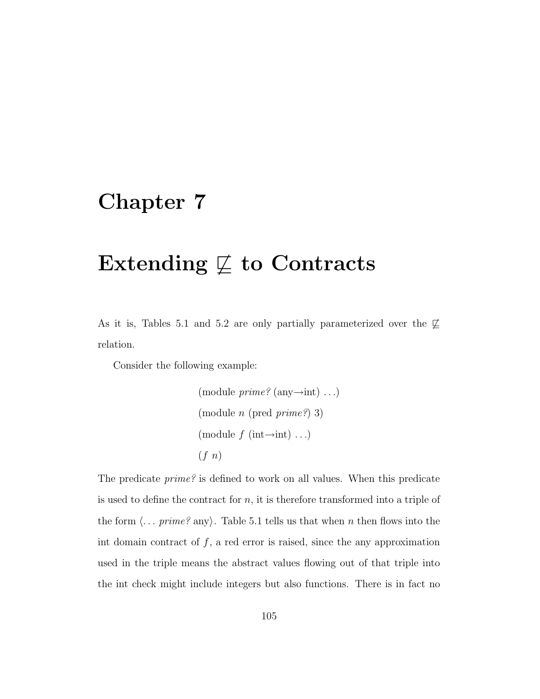# Extending  $\not\sqsubseteq$  to Contracts

As it is, Tables 5.1 and 5.2 are only partially parameterized over the  $\not\sqsubseteq$ relation.

Consider the following example:

```
(module \text{prime?} (any\rightarrowint) ...)
(module n (pred prime?) 3)
(module f (int\rightarrowint) ...)
(f n)
```
The predicate prime? is defined to work on all values. When this predicate is used to define the contract for  $n$ , it is therefore transformed into a triple of the form  $\langle \dots \text{prime?}$  any). Table 5.1 tells us that when n then flows into the int domain contract of  $f$ , a red error is raised, since the any approximation used in the triple means the abstract values flowing out of that triple into the int check might include integers but also functions. There is in fact no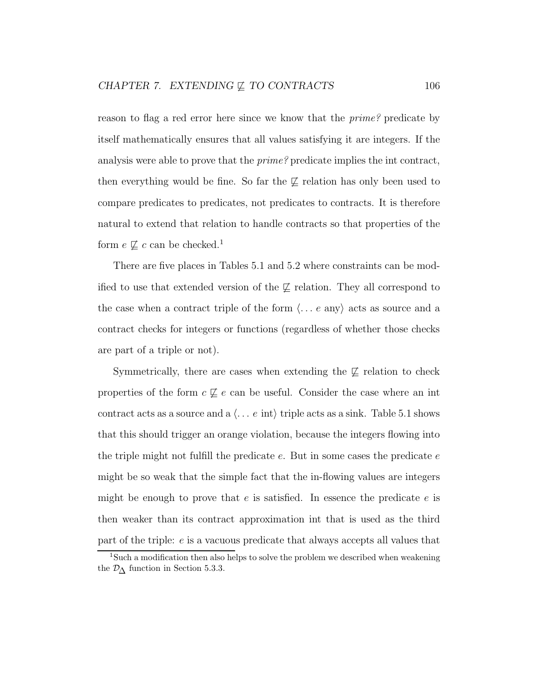reason to flag a red error here since we know that the *prime?* predicate by itself mathematically ensures that all values satisfying it are integers. If the analysis were able to prove that the prime? predicate implies the int contract, then everything would be fine. So far the  $\not\sqsubseteq$  relation has only been used to compare predicates to predicates, not predicates to contracts. It is therefore natural to extend that relation to handle contracts so that properties of the form  $e \not\sqsubseteq c$  can be checked.<sup>1</sup>

There are five places in Tables 5.1 and 5.2 where constraints can be modified to use that extended version of the  $\not\sqsubseteq$  relation. They all correspond to the case when a contract triple of the form  $\langle \ldots e \rangle$  are any acts as source and a contract checks for integers or functions (regardless of whether those checks are part of a triple or not).

Symmetrically, there are cases when extending the  $\mathcal{I}$  relation to check properties of the form  $c \not\sqsubseteq e$  can be useful. Consider the case where an int contract acts as a source and a  $\langle \ldots e \text{ int} \rangle$  triple acts as a sink. Table 5.1 shows that this should trigger an orange violation, because the integers flowing into the triple might not fulfill the predicate  $e$ . But in some cases the predicate  $e$ might be so weak that the simple fact that the in-flowing values are integers might be enough to prove that  $e$  is satisfied. In essence the predicate  $e$  is then weaker than its contract approximation int that is used as the third part of the triple: e is a vacuous predicate that always accepts all values that

<sup>1</sup>Such a modification then also helps to solve the problem we described when weakening the  $\mathcal{D}_{\Lambda}$  function in Section 5.3.3.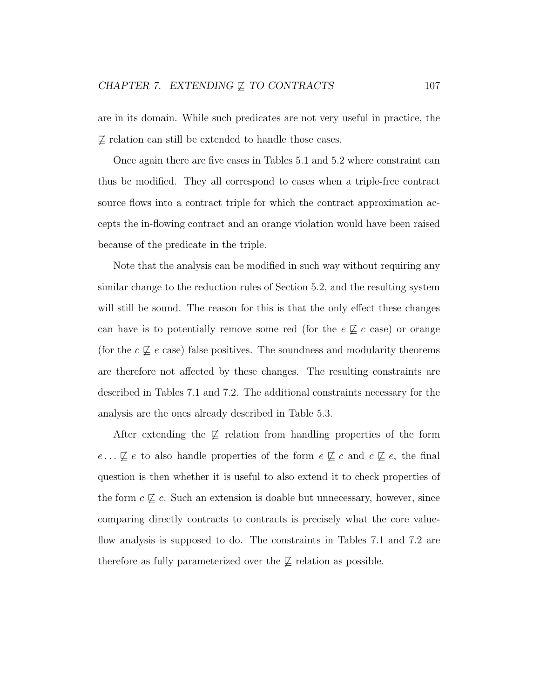are in its domain. While such predicates are not very useful in practice, the  $\not\subseteq$  relation can still be extended to handle those cases.

Once again there are five cases in Tables 5.1 and 5.2 where constraint can thus be modified. They all correspond to cases when a triple-free contract source flows into a contract triple for which the contract approximation accepts the in-flowing contract and an orange violation would have been raised because of the predicate in the triple.

Note that the analysis can be modified in such way without requiring any similar change to the reduction rules of Section 5.2, and the resulting system will still be sound. The reason for this is that the only effect these changes can have is to potentially remove some red (for the  $e \not\sqsubseteq c$  case) or orange (for the  $c \not\sqsubseteq e$  case) false positives. The soundness and modularity theorems are therefore not affected by these changes. The resulting constraints are described in Tables 7.1 and 7.2. The additional constraints necessary for the analysis are the ones already described in Table 5.3.

After extending the  $\not\sqsubseteq$  relation from handling properties of the form  $e \dots \not\sqsubseteq e$  to also handle properties of the form  $e \not\sqsubseteq c$  and  $c \not\sqsubseteq e$ , the final question is then whether it is useful to also extend it to check properties of the form  $c \not\sqsubseteq c$ . Such an extension is doable but unnecessary, however, since comparing directly contracts to contracts is precisely what the core valueflow analysis is supposed to do. The constraints in Tables 7.1 and 7.2 are therefore as fully parameterized over the  $\not\sqsubseteq$  relation as possible.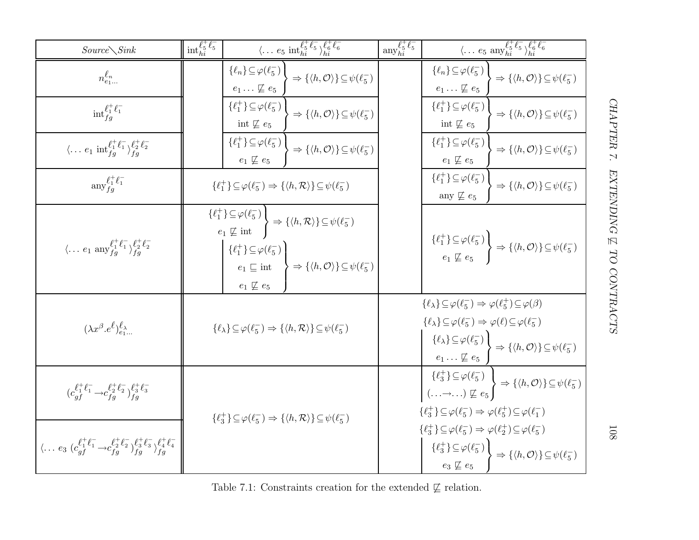| $Source\diagdown Sink$                                                                                                                         | $\mathrm{int}_{hi}^{\ell_5^+ \ell_5^-}$ | $\langle \dots e_5 \text{ int}_{hi}^{\ell_5^+ \ell_5^-} \rangle_{hi}^{\ell_6^+ \ell_6^-}$                                                                                                                                                                                                                                                                         | $\operatorname{any}_{hi}^{\ell_5^+ \ell_5^-}$ | $\langle \ldots e_5 \text{ any }_{hi}^{\ell_5^+ \ell_5^-} \overline{\rangle_{hi}^{\ell_6^+ \ell_6^-}}$                                                                                                                                                                                                                                                                                      |
|------------------------------------------------------------------------------------------------------------------------------------------------|-----------------------------------------|-------------------------------------------------------------------------------------------------------------------------------------------------------------------------------------------------------------------------------------------------------------------------------------------------------------------------------------------------------------------|-----------------------------------------------|---------------------------------------------------------------------------------------------------------------------------------------------------------------------------------------------------------------------------------------------------------------------------------------------------------------------------------------------------------------------------------------------|
| $n_{e_1}^{\ell_n}$                                                                                                                             |                                         | $\{\ell_n\} \subseteq \varphi(\ell_5^-)$<br>$\Rightarrow \{\langle h, \mathcal{O} \rangle\} \subseteq \psi(\ell_5^-)$<br>$e_1 \ldots \not\sqsubseteq e_5$                                                                                                                                                                                                         |                                               | $\{\ell_n\} \subseteq \varphi(\ell_5^-)$<br>$\Rightarrow \{\langle h, \mathcal{O} \rangle\} \subseteq \psi(\ell_5^-)$<br>$e_1 \ldots \not\sqsubseteq e_5$                                                                                                                                                                                                                                   |
| $\mathrm{int}_{fq}^{\ell_1^+ \ell_1^-}$                                                                                                        |                                         | $\{\ell_1^+\}\subseteq\varphi(\ell_5^-)$<br>$\Rightarrow \{\langle h, \mathcal{O}\rangle\} \subseteq \psi(\ell_5^-)$<br>int $\not\sqsubseteq e_5$                                                                                                                                                                                                                 |                                               | $\{\ell_1^+\}\subseteq\varphi(\ell_5^-)$<br>$\Rightarrow \{\langle h, \mathcal{O} \rangle\} \subseteq \psi(\ell_5^-)$<br>int $\not\sqsubseteq e_5$                                                                                                                                                                                                                                          |
| $\langle \dots e_1 \text{ int}_{fg}^{\ell_1^+ \ell_1^-} \rangle_{fg}^{\ell_2^+ \ell_2^-}$                                                      |                                         | $\{\ell_1^+\}\subseteq\varphi(\ell_5^-)$<br>$\Rightarrow \{\langle h, \mathcal{O} \rangle\} \subseteq \psi(\ell_5^-)$<br>$e_1 \not\sqsubseteq e_5$                                                                                                                                                                                                                |                                               | $\{\ell_1^+\}\subseteq\varphi(\ell_5^-)$<br>$\Rightarrow \{\langle h, \mathcal{O} \rangle\} \subseteq \psi(\ell_5^-)$<br>$e_1 \not\sqsubseteq e_5$                                                                                                                                                                                                                                          |
| $\operatorname{any}_{fa}^{\ell_1^+ \ell_1^-}$                                                                                                  |                                         | $\{\ell_1^+\}\subseteq\varphi(\ell_5^-)\Rightarrow\{\langle h,\mathcal{R}\rangle\}\subseteq\psi(\ell_5^-)$                                                                                                                                                                                                                                                        |                                               | $\{\ell_1^+\}\subseteq\varphi(\ell_5^-)$<br>$\Rightarrow \{\langle h, \mathcal{O} \rangle\} \subseteq \psi(\ell_5^-)$<br>any $\not\sqsubseteq$ $e_5$                                                                                                                                                                                                                                        |
| $\langle \dots e_1 \text{ any }_{fg}^{\ell^+_1 \ell^-_1} \rangle_{fa}^{\ell^+_2 \ell^-_2}$                                                     |                                         | $\{\ell_1^+\}\subseteq\varphi(\ell_5^-)$<br>$e_1 \not\sqsubseteq \mathrm{int} \left\{ \left\langle h, \mathcal{R} \right\rangle \right\} \subseteq \psi(\ell_5^-)$<br>$\{\ell_1^+\}\subseteq\varphi(\ell_5^-)$<br>$\big\} \Rightarrow \{ \langle h, \mathcal{O} \rangle \} \subseteq \psi(\ell_5^-)$<br>$e_1 \sqsubseteq \text{int}$<br>$e_1 \not\sqsubseteq e_5$ |                                               | $\{\ell_1^+\}\subseteq \varphi(\ell_5^-)$<br>$e_1 \not\sqsubseteq e_5$ $\Rightarrow$ $\{\langle h, \mathcal{O} \rangle\} \subseteq \psi(\ell_5^-)$                                                                                                                                                                                                                                          |
| $(\lambda x^{\beta}.e^{\ell})_{e_{1}}^{\ell_{\lambda}}$                                                                                        |                                         | $\{\ell_{\lambda}\}\subseteq\varphi(\ell_{5}^{-})\Rightarrow\{\langle h,\mathcal{R}\rangle\}\subseteq\psi(\ell_{5}^{-})$                                                                                                                                                                                                                                          |                                               | $\{\ell_{\lambda}\}\subseteq\varphi(\ell_5^-)\Rightarrow\varphi(\ell_5^+)\subseteq\varphi(\beta)$<br>$\{\ell_{\lambda}\}\subseteq\varphi(\ell_5^-)\Rightarrow\varphi(\ell)\subseteq\varphi(\ell_5^-)$<br>$\{ \ell_{\lambda} \} \!\subseteq\! \varphi(\ell_5^-) \, \Big\} \Rightarrow \{ \langle h, \mathcal{O} \rangle \} \!\subseteq\! \psi(\ell_5^-)$<br>$e_1 \ldots \not\sqsubseteq e_5$ |
| $(c_{af}^{\ell^+_1\ell^-_1} \rightarrow c_{fg}^{\ell^+_2\ell^-_2})^{\ell^+_{3}\ell^-_{3}}_{fa}$                                                |                                         |                                                                                                                                                                                                                                                                                                                                                                   |                                               | $(\ldots \rightarrow \ldots) \not\sqsubseteq e_5$ $\rightarrow \{\langle h, \mathcal{O} \rangle\} \subseteq \psi(\ell_5^-)$<br>$\{\ell_3^+\}\!\subseteq\!\varphi(\ell_5^-)\Rightarrow\varphi(\ell_5^+)\!\subseteq\!\varphi(\ell_1^-)$                                                                                                                                                       |
| $\langle \ldots e_3 \; (c_{qf}^{\ell_1^+ \ell_1^-} \rightarrow c_{fq}^{\ell_2^+ \ell_2^-})_{fq}^{\ell_3^+ \ell_3^-} \rangle_{fq}^{+ \ell_4^-}$ |                                         | $\{\ell_3^+\}\subseteq\varphi(\ell_5^-)\Rightarrow\{\langle h,\mathcal{R}\rangle\}\subseteq\psi(\ell_5^-)$                                                                                                                                                                                                                                                        |                                               | $\{\ell_3^+\}\subseteq\varphi(\ell_5^-)\Rightarrow\varphi(\ell_2^+)\subseteq\varphi(\ell_5^-)$<br>$\{ \ell_3^+\} \!\subseteq\! \varphi(\ell_5^-) \, \bigg\} \Rightarrow \{ \langle h,\mathcal{O} \rangle \} \!\subseteq\! \psi(\ell_5^-)$<br>$e_3 \not\sqsubseteq e_5$                                                                                                                      |

108

Table 7.1: Constraints creation for the extended  $\not\sqsubseteq$  relation.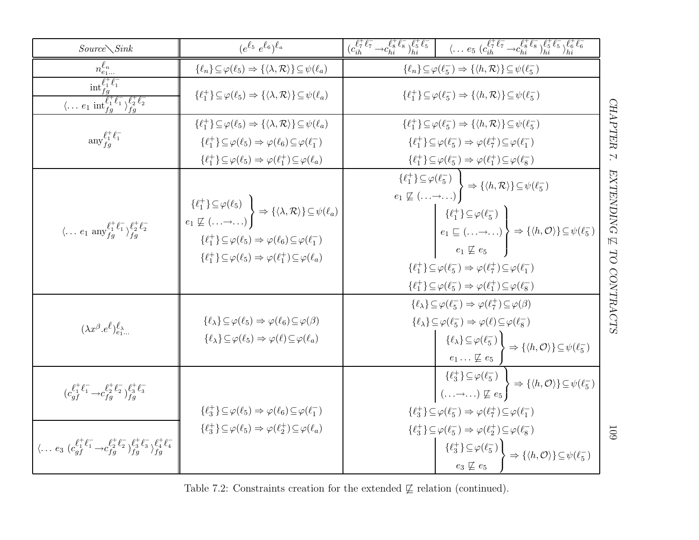| $Source\diagdown Sink$                                                                                                   | $(e^{\ell_5} e^{\ell_6})^{\ell_a}$                                                                                                                                                                                                                                                                                                                                    | $\big(c_{ih}^{\ell_7^+ \ell_7^-} \rightarrow c_{hi}^{\ell_8^+ \ell_8^-} \big)_{hi}^{\ell_5^+ \ell_5^-} \quad \  \  \big  \quad \  \  \langle \dots e_5 \; (c_{ih}^{\ell_7^+ \ell_7^-} \rightarrow c_{hi}^{\ell_8^+ \ell_8^-} \big)_{hi}^{\ell_5^+ \ell_5^-} \big)_{hi}^{\ell_5^+ \ell_6^-} \big)_{hi}^{\ell_6^+ \ell_6^-}$                                                                                                                                                                                                                                               |                                                          |
|--------------------------------------------------------------------------------------------------------------------------|-----------------------------------------------------------------------------------------------------------------------------------------------------------------------------------------------------------------------------------------------------------------------------------------------------------------------------------------------------------------------|--------------------------------------------------------------------------------------------------------------------------------------------------------------------------------------------------------------------------------------------------------------------------------------------------------------------------------------------------------------------------------------------------------------------------------------------------------------------------------------------------------------------------------------------------------------------------|----------------------------------------------------------|
| $n_{e_1}^{\ell_n}$                                                                                                       | $\{\ell_n\}\!\subseteq\!\varphi(\ell_5)\Rightarrow\{\langle\lambda,\mathcal{R}\rangle\}\!\subseteq\!\psi(\ell_a)$                                                                                                                                                                                                                                                     | $\{\ell_n\} \subseteq \varphi(\ell_5^-) \Rightarrow \{\langle h, \mathcal{R} \rangle\} \subseteq \psi(\ell_5^-)$                                                                                                                                                                                                                                                                                                                                                                                                                                                         |                                                          |
| $\frac{\inf_{fg}^{\ell_1^+}\ell_1^-}{\langle \dots e_1\, \inf_{fg}^{\ell_1^+}\ell_1^- \rangle_{fg}^{\ell_2^+ \ell_2^-}}$ | $\{\ell_1^+\}\subseteq\varphi(\ell_5)\Rightarrow\{\langle\lambda,\mathcal{R}\rangle\}\subseteq\psi(\ell_a)$                                                                                                                                                                                                                                                           | $\{\ell_1^+\}\subseteq\varphi(\ell_5^-)\Rightarrow\{\langle h,\mathcal{R}\rangle\}\subseteq\psi(\ell_5^-)$                                                                                                                                                                                                                                                                                                                                                                                                                                                               |                                                          |
| $\operatorname{any}_{fa}^{\ell_1^+ \ell_1^-}$                                                                            | $\{\ell_1^+\}\subseteq\varphi(\ell_5)\Rightarrow\{\langle\lambda,\mathcal{R}\rangle\}\subseteq\psi(\ell_a)$<br>$\{\ell_1^+\}\subseteq\varphi(\ell_5)\Rightarrow\varphi(\ell_6)\subseteq\varphi(\ell_1^-)$<br>$\{\ell_1^+\}\subseteq \varphi(\ell_5) \Rightarrow \varphi(\ell_1^+) \subseteq \varphi(\ell_a)$                                                          | $\{\ell_1^+\}\subseteq\varphi(\ell_5^-)\Rightarrow\{\langle h,\mathcal{R}\rangle\}\subseteq\psi(\ell_5^-)$<br>$\{\ell_1^+\}\subseteq\varphi(\ell_5^-)\Rightarrow\varphi(\ell_7^+)\subseteq\varphi(\ell_1^-)$<br>$\{\ell_1^+\}\subseteq\varphi(\ell_5^-)\Rightarrow\varphi(\ell_1^+)\subseteq\varphi(\ell_8^-)$                                                                                                                                                                                                                                                           | <b>CHAPTER</b><br>$\overline{\phantom{a}}$               |
| $\langle \dots e_1 \text{ any }_{fg}^{\ell^+_1 \ell^-_1} \rangle_{fg}^{\ell^+_2 \ell^-_2}$                               | $\left\{\ell_1^+\right\} \subseteq \varphi(\ell_5)$<br>$e_1 \nsubseteq (\ldots \to \ldots)$ $\Rightarrow \{\langle \lambda, \mathcal{R} \rangle\} \subseteq \psi(\ell_a)$<br>$\{\ell_1^+\}\subseteq\varphi(\ell_5)\Rightarrow\varphi(\ell_6)\subseteq\varphi(\ell_1^-)$<br>$\{\ell_1^+\}\subseteq\varphi(\ell_5)\Rightarrow\varphi(\ell_1^+)\subseteq\varphi(\ell_a)$ | $\{\ell_1^+\}\subseteq \varphi(\ell_5^-)$<br>$e_1 \not\sqsubseteq (\ldots \to \ldots)$ $\Rightarrow$ $\{\langle h, \mathcal{R} \rangle\} \subseteq \psi(\ell_5^-)$<br>$\{\ell_1^+\}\subseteq\varphi(\ell_5^-)$<br>$e_1 \sqsubseteq (\ldots \rightarrow \ldots) \rightarrow \{ \langle h, \mathcal{O} \rangle \} \subseteq \psi(\ell_5)$<br>$e_1 \not\sqsubseteq e_5$<br>$\{\ell_1^+\}\subseteq\varphi(\ell_5^-)\Rightarrow\varphi(\ell_7^+)\subseteq\varphi(\ell_1^-)$<br>$\{\ell_1^+\}\subseteq\varphi(\ell_5^-)\Rightarrow\varphi(\ell_1^+)\subseteq\varphi(\ell_8^-)$ | <b>EXTENDING</b><br>$\overline{\mathbb{N}}$<br><b>DD</b> |
| $(\lambda x^{\beta}.e^{\ell})_{e_1}^{\ell_{\lambda}}$                                                                    | $\{\ell_{\lambda}\}\subseteq\varphi(\ell_5)\Rightarrow\varphi(\ell_6)\subseteq\varphi(\beta)$<br>$\{\ell_{\lambda}\}\subseteq\varphi(\ell_5)\Rightarrow\varphi(\ell)\subseteq\varphi(\ell_a)$                                                                                                                                                                         | $\{\ell_{\lambda}\}\subseteq\varphi(\ell_5^-)\Rightarrow\varphi(\ell_7^+)\subseteq\varphi(\beta)$<br>$\{\ell_{\lambda}\}\subseteq\varphi(\ell_5^-)\Rightarrow\varphi(\ell)\subseteq\varphi(\ell_8^-)$<br>$\{\ell_{\lambda}\}\subseteq\varphi(\ell_{5}^{-})$<br>$\Rightarrow \{\langle h, \mathcal{O} \rangle\} \subseteq \psi(\ell_5^-)$<br>$e_1 \ldots \not\sqsubseteq e_5$                                                                                                                                                                                             | <b>CONTRACTS</b>                                         |
| $(c_{af}^{\ell_1^+ \ell_1^-} \rightarrow c_{fa}^{\ell_2^+ \ell_2^-})_{fa}^{\ell_3^+ \ell_3^-}$                           | $\{\ell_3^+\}\subseteq \varphi(\ell_5) \Rightarrow \varphi(\ell_6)\subseteq \varphi(\ell_1^-)$                                                                                                                                                                                                                                                                        | $\{\ell_3^+\}\subseteq \varphi(\ell_5^-)$<br>(,) $\nsubseteq e_5$ $\Rightarrow$ $\{\langle h, \mathcal{O} \rangle\} \subseteq \psi(\ell_5^-)$<br>$\{\ell_3^+\}\subseteq\varphi(\ell_5^-)\Rightarrow\varphi(\ell_7^+)\subseteq\varphi(\ell_1^-)$                                                                                                                                                                                                                                                                                                                          |                                                          |
| $\langle \ldots e_3 \; (c_{qf}^{l^+l^-} \rightarrow c_{fq}^{l^+l^-} c_{fq}^{+l^-l^-} c_{fq}^{+l^-l^-} c_{fq}^{+l^-l^-}$  | $\{\ell_3^+\}\subseteq \varphi(\ell_5) \Rightarrow \varphi(\ell_2^+) \subseteq \varphi(\ell_a)$                                                                                                                                                                                                                                                                       | $\{\ell_3^+\}\subseteq\varphi(\ell_5^-)\Rightarrow\varphi(\ell_2^+)\subseteq\varphi(\ell_8^-)$<br>$\{\ell_3^+\}\!\subseteq\!\varphi(\ell_5^-)$<br>$\Rightarrow \{\langle h, \mathcal{O} \rangle\} \subseteq \psi(\ell_5^-)$<br>$e_3 \not\sqsubseteq e_5$                                                                                                                                                                                                                                                                                                                 | <b>601</b>                                               |

Table 7.2: Constraints creation for the extended  $\not\sqsubseteq$  relation (continued).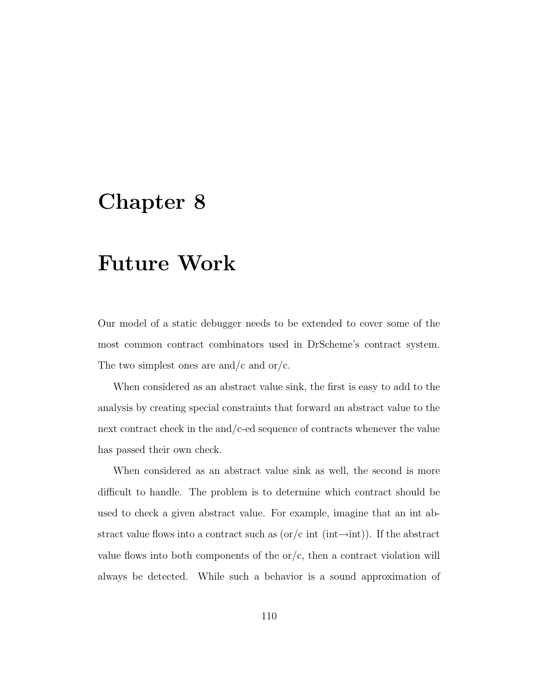# Future Work

Our model of a static debugger needs to be extended to cover some of the most common contract combinators used in DrScheme's contract system. The two simplest ones are and/c and or/c.

When considered as an abstract value sink, the first is easy to add to the analysis by creating special constraints that forward an abstract value to the next contract check in the and/c-ed sequence of contracts whenever the value has passed their own check.

When considered as an abstract value sink as well, the second is more difficult to handle. The problem is to determine which contract should be used to check a given abstract value. For example, imagine that an int abstract value flows into a contract such as  $\sigma/c$  int (int→int)). If the abstract value flows into both components of the  $\sigma/c$ , then a contract violation will always be detected. While such a behavior is a sound approximation of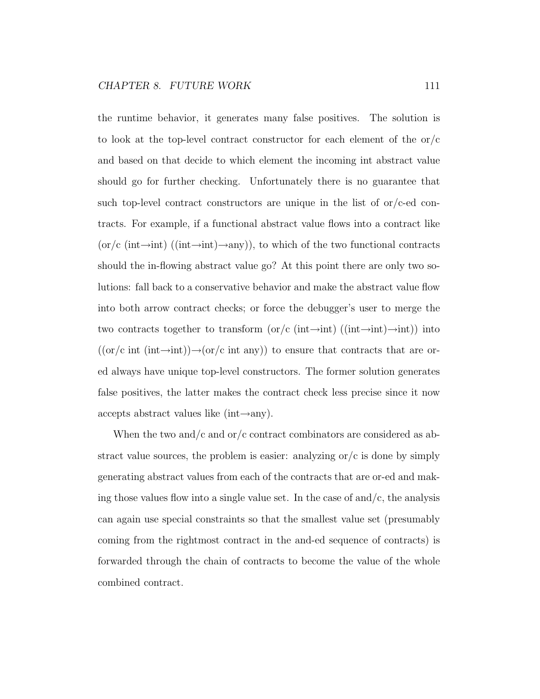the runtime behavior, it generates many false positives. The solution is to look at the top-level contract constructor for each element of the  $\sigma/c$ and based on that decide to which element the incoming int abstract value should go for further checking. Unfortunately there is no guarantee that such top-level contract constructors are unique in the list of  $\alpha$ / $\alpha$ -ed contracts. For example, if a functional abstract value flows into a contract like  $(\text{or}/c \text{ (int}\rightarrow \text{int})$  ((int $\rightarrow \text{int}$ ), to which of the two functional contracts should the in-flowing abstract value go? At this point there are only two solutions: fall back to a conservative behavior and make the abstract value flow into both arrow contract checks; or force the debugger's user to merge the two contracts together to transform (or/c (int $\rightarrow$ int) ((int $\rightarrow$ int) $\rightarrow$ int)) into  $((\text{or}/c \text{ int } (\text{int} \rightarrow \text{int})) \rightarrow (\text{or}/c \text{ int } \text{any}))$  to ensure that contracts that are ored always have unique top-level constructors. The former solution generates false positives, the latter makes the contract check less precise since it now accepts abstract values like (int $\rightarrow$ any).

When the two and/c and or/c contract combinators are considered as abstract value sources, the problem is easier: analyzing  $\sigma/c$  is done by simply generating abstract values from each of the contracts that are or-ed and making those values flow into a single value set. In the case of and/c, the analysis can again use special constraints so that the smallest value set (presumably coming from the rightmost contract in the and-ed sequence of contracts) is forwarded through the chain of contracts to become the value of the whole combined contract.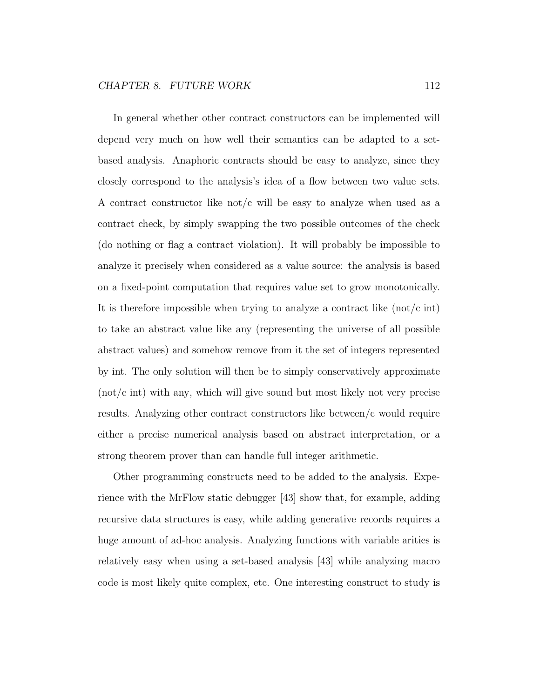In general whether other contract constructors can be implemented will depend very much on how well their semantics can be adapted to a setbased analysis. Anaphoric contracts should be easy to analyze, since they closely correspond to the analysis's idea of a flow between two value sets. A contract constructor like not/c will be easy to analyze when used as a contract check, by simply swapping the two possible outcomes of the check (do nothing or flag a contract violation). It will probably be impossible to analyze it precisely when considered as a value source: the analysis is based on a fixed-point computation that requires value set to grow monotonically. It is therefore impossible when trying to analyze a contract like  $(not/c \text{ int})$ to take an abstract value like any (representing the universe of all possible abstract values) and somehow remove from it the set of integers represented by int. The only solution will then be to simply conservatively approximate (not/c int) with any, which will give sound but most likely not very precise results. Analyzing other contract constructors like between/c would require either a precise numerical analysis based on abstract interpretation, or a strong theorem prover than can handle full integer arithmetic.

Other programming constructs need to be added to the analysis. Experience with the MrFlow static debugger [43] show that, for example, adding recursive data structures is easy, while adding generative records requires a huge amount of ad-hoc analysis. Analyzing functions with variable arities is relatively easy when using a set-based analysis [43] while analyzing macro code is most likely quite complex, etc. One interesting construct to study is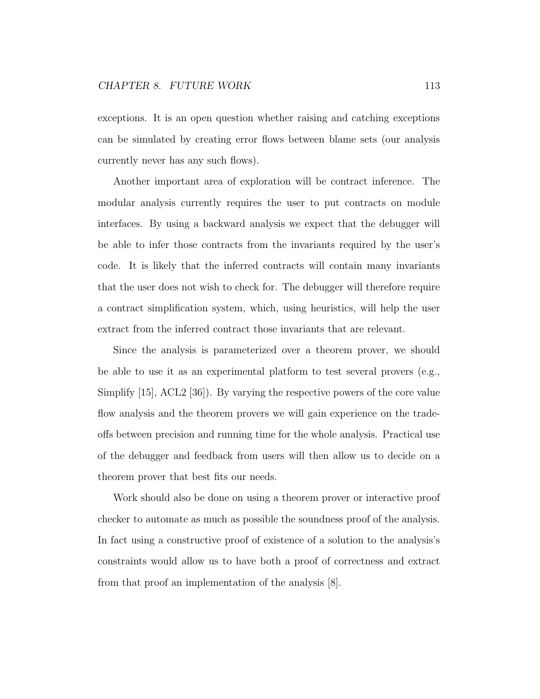exceptions. It is an open question whether raising and catching exceptions can be simulated by creating error flows between blame sets (our analysis currently never has any such flows).

Another important area of exploration will be contract inference. The modular analysis currently requires the user to put contracts on module interfaces. By using a backward analysis we expect that the debugger will be able to infer those contracts from the invariants required by the user's code. It is likely that the inferred contracts will contain many invariants that the user does not wish to check for. The debugger will therefore require a contract simplification system, which, using heuristics, will help the user extract from the inferred contract those invariants that are relevant.

Since the analysis is parameterized over a theorem prover, we should be able to use it as an experimental platform to test several provers (e.g., Simplify [15], ACL2 [36]). By varying the respective powers of the core value flow analysis and the theorem provers we will gain experience on the tradeoffs between precision and running time for the whole analysis. Practical use of the debugger and feedback from users will then allow us to decide on a theorem prover that best fits our needs.

Work should also be done on using a theorem prover or interactive proof checker to automate as much as possible the soundness proof of the analysis. In fact using a constructive proof of existence of a solution to the analysis's constraints would allow us to have both a proof of correctness and extract from that proof an implementation of the analysis [8].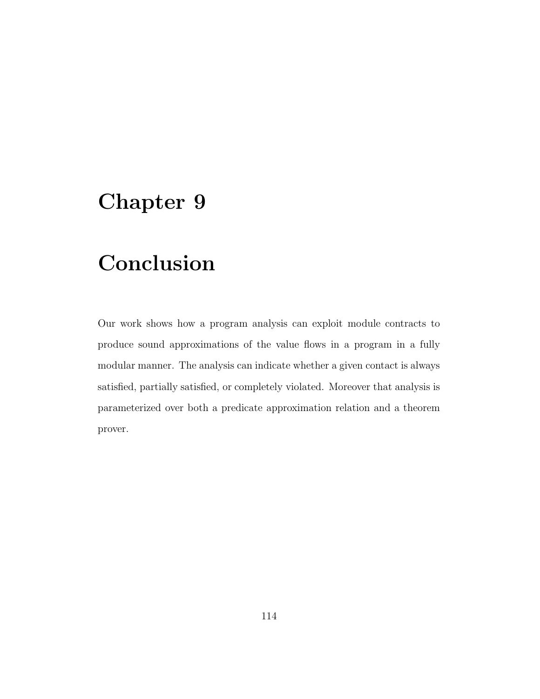# Conclusion

Our work shows how a program analysis can exploit module contracts to produce sound approximations of the value flows in a program in a fully modular manner. The analysis can indicate whether a given contact is always satisfied, partially satisfied, or completely violated. Moreover that analysis is parameterized over both a predicate approximation relation and a theorem prover.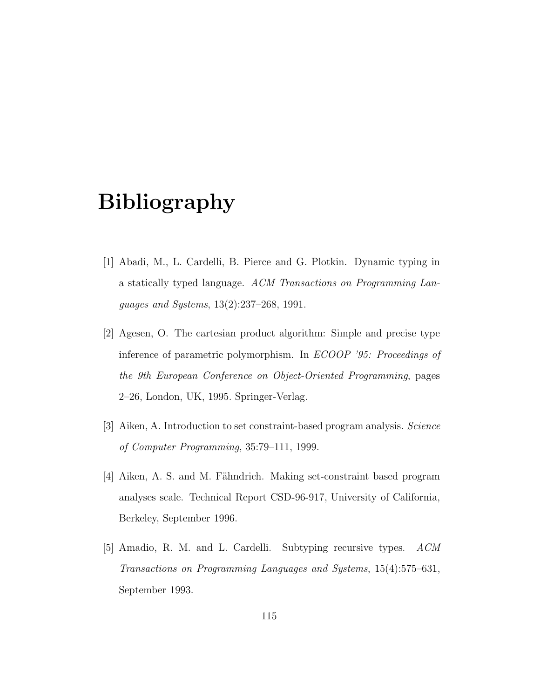## Bibliography

- [1] Abadi, M., L. Cardelli, B. Pierce and G. Plotkin. Dynamic typing in a statically typed language. ACM Transactions on Programming Languages and Systems, 13(2):237–268, 1991.
- [2] Agesen, O. The cartesian product algorithm: Simple and precise type inference of parametric polymorphism. In ECOOP '95: Proceedings of the 9th European Conference on Object-Oriented Programming, pages 2–26, London, UK, 1995. Springer-Verlag.
- [3] Aiken, A. Introduction to set constraint-based program analysis. Science of Computer Programming, 35:79–111, 1999.
- [4] Aiken, A. S. and M. Fähndrich. Making set-constraint based program analyses scale. Technical Report CSD-96-917, University of California, Berkeley, September 1996.
- [5] Amadio, R. M. and L. Cardelli. Subtyping recursive types. ACM Transactions on Programming Languages and Systems, 15(4):575–631, September 1993.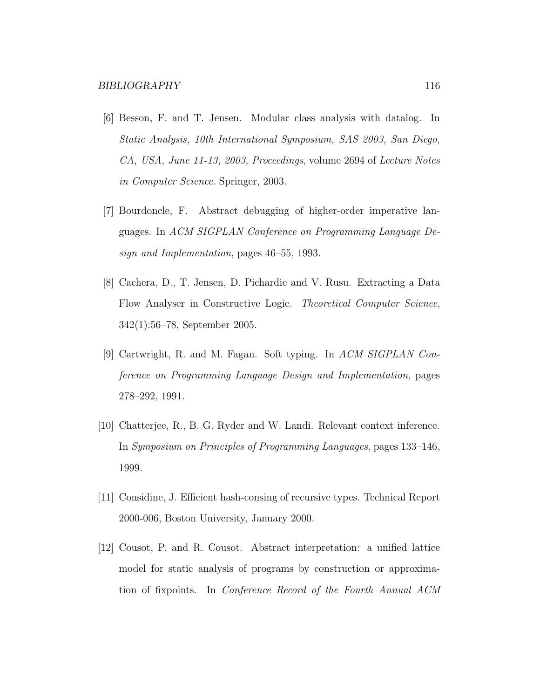- [6] Besson, F. and T. Jensen. Modular class analysis with datalog. In Static Analysis, 10th International Symposium, SAS 2003, San Diego, CA, USA, June 11-13, 2003, Proceedings, volume 2694 of Lecture Notes in Computer Science. Springer, 2003.
- [7] Bourdoncle, F. Abstract debugging of higher-order imperative languages. In ACM SIGPLAN Conference on Programming Language Design and Implementation, pages 46–55, 1993.
- [8] Cachera, D., T. Jensen, D. Pichardie and V. Rusu. Extracting a Data Flow Analyser in Constructive Logic. Theoretical Computer Science, 342(1):56–78, September 2005.
- [9] Cartwright, R. and M. Fagan. Soft typing. In ACM SIGPLAN Conference on Programming Language Design and Implementation, pages 278–292, 1991.
- [10] Chatterjee, R., B. G. Ryder and W. Landi. Relevant context inference. In Symposium on Principles of Programming Languages, pages 133–146, 1999.
- [11] Considine, J. Efficient hash-consing of recursive types. Technical Report 2000-006, Boston University, January 2000.
- [12] Cousot, P. and R. Cousot. Abstract interpretation: a unified lattice model for static analysis of programs by construction or approximation of fixpoints. In Conference Record of the Fourth Annual ACM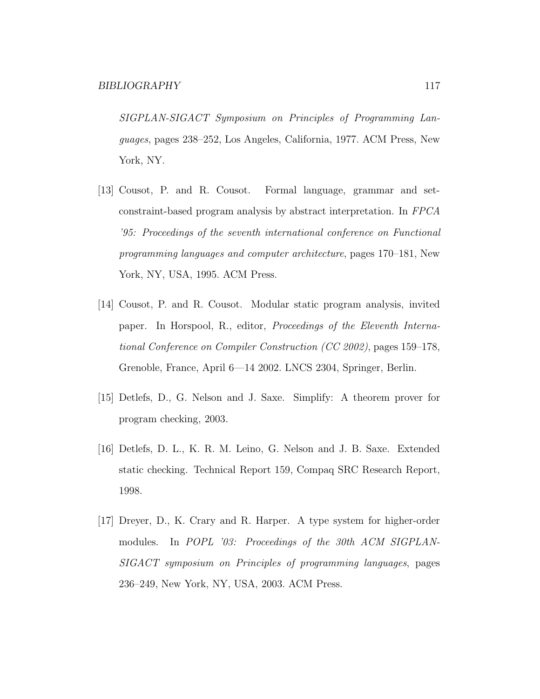SIGPLAN-SIGACT Symposium on Principles of Programming Languages, pages 238–252, Los Angeles, California, 1977. ACM Press, New York, NY.

- [13] Cousot, P. and R. Cousot. Formal language, grammar and setconstraint-based program analysis by abstract interpretation. In FPCA '95: Proceedings of the seventh international conference on Functional programming languages and computer architecture, pages 170–181, New York, NY, USA, 1995. ACM Press.
- [14] Cousot, P. and R. Cousot. Modular static program analysis, invited paper. In Horspool, R., editor, Proceedings of the Eleventh International Conference on Compiler Construction (CC 2002), pages 159–178, Grenoble, France, April 6—14 2002. LNCS 2304, Springer, Berlin.
- [15] Detlefs, D., G. Nelson and J. Saxe. Simplify: A theorem prover for program checking, 2003.
- [16] Detlefs, D. L., K. R. M. Leino, G. Nelson and J. B. Saxe. Extended static checking. Technical Report 159, Compaq SRC Research Report, 1998.
- [17] Dreyer, D., K. Crary and R. Harper. A type system for higher-order modules. In POPL '03: Proceedings of the 30th ACM SIGPLAN-SIGACT symposium on Principles of programming languages, pages 236–249, New York, NY, USA, 2003. ACM Press.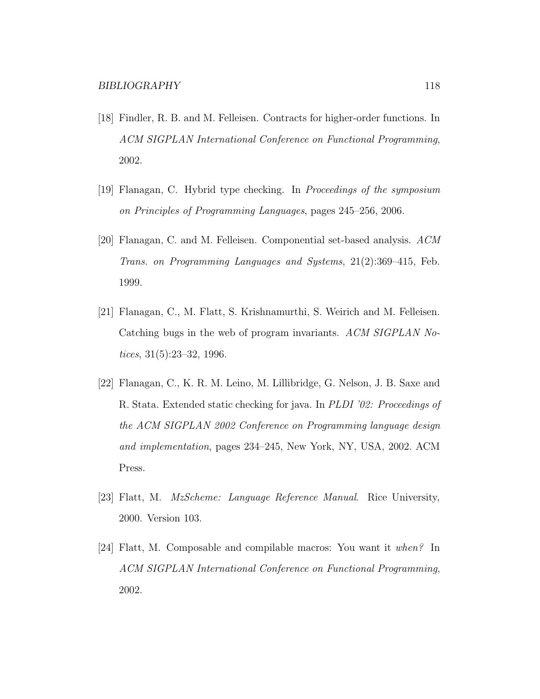- [18] Findler, R. B. and M. Felleisen. Contracts for higher-order functions. In ACM SIGPLAN International Conference on Functional Programming, 2002.
- [19] Flanagan, C. Hybrid type checking. In Proceedings of the symposium on Principles of Programming Languages, pages 245–256, 2006.
- [20] Flanagan, C. and M. Felleisen. Componential set-based analysis. ACM Trans. on Programming Languages and Systems, 21(2):369–415, Feb. 1999.
- [21] Flanagan, C., M. Flatt, S. Krishnamurthi, S. Weirich and M. Felleisen. Catching bugs in the web of program invariants. ACM SIGPLAN Notices, 31(5):23–32, 1996.
- [22] Flanagan, C., K. R. M. Leino, M. Lillibridge, G. Nelson, J. B. Saxe and R. Stata. Extended static checking for java. In PLDI '02: Proceedings of the ACM SIGPLAN 2002 Conference on Programming language design and implementation, pages 234–245, New York, NY, USA, 2002. ACM Press.
- [23] Flatt, M. *MzScheme: Language Reference Manual.* Rice University, 2000. Version 103.
- [24] Flatt, M. Composable and compilable macros: You want it when? In ACM SIGPLAN International Conference on Functional Programming, 2002.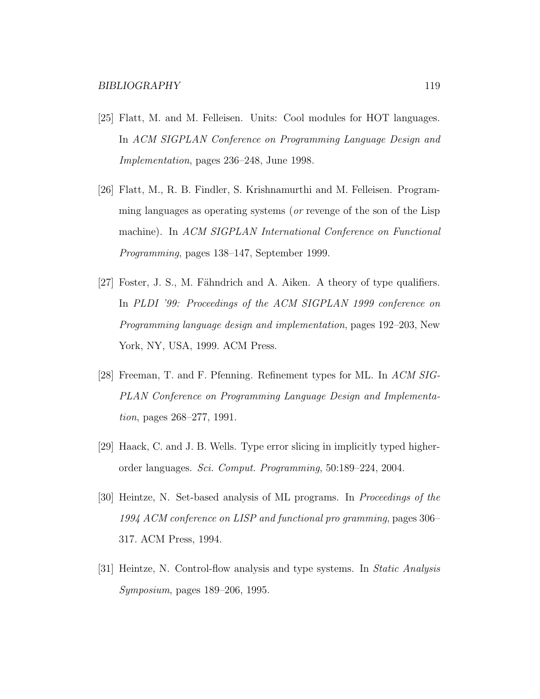- [25] Flatt, M. and M. Felleisen. Units: Cool modules for HOT languages. In ACM SIGPLAN Conference on Programming Language Design and Implementation, pages 236–248, June 1998.
- [26] Flatt, M., R. B. Findler, S. Krishnamurthi and M. Felleisen. Programming languages as operating systems (*or* revenge of the son of the Lisp machine). In ACM SIGPLAN International Conference on Functional Programming, pages 138–147, September 1999.
- [27] Foster, J. S., M. Fähndrich and A. Aiken. A theory of type qualifiers. In PLDI '99: Proceedings of the ACM SIGPLAN 1999 conference on Programming language design and implementation, pages 192–203, New York, NY, USA, 1999. ACM Press.
- [28] Freeman, T. and F. Pfenning. Refinement types for ML. In ACM SIG-PLAN Conference on Programming Language Design and Implementation, pages 268–277, 1991.
- [29] Haack, C. and J. B. Wells. Type error slicing in implicitly typed higherorder languages. Sci. Comput. Programming, 50:189–224, 2004.
- [30] Heintze, N. Set-based analysis of ML programs. In Proceedings of the 1994 ACM conference on LISP and functional pro gramming, pages 306– 317. ACM Press, 1994.
- [31] Heintze, N. Control-flow analysis and type systems. In Static Analysis Symposium, pages 189–206, 1995.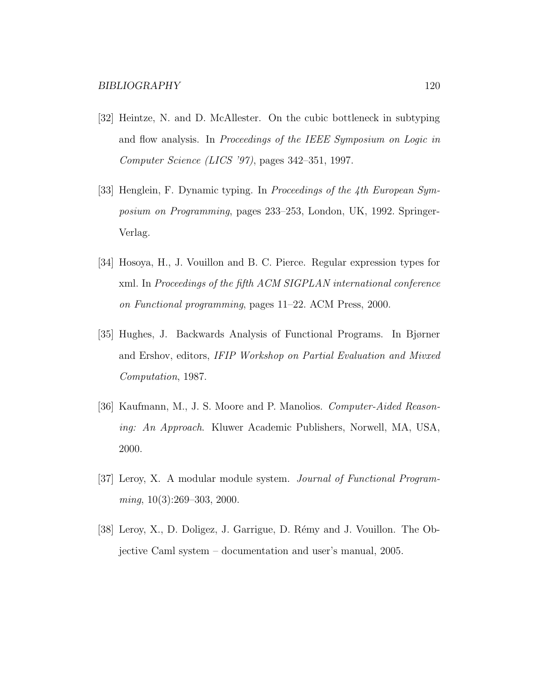- [32] Heintze, N. and D. McAllester. On the cubic bottleneck in subtyping and flow analysis. In Proceedings of the IEEE Symposium on Logic in Computer Science (LICS '97), pages 342–351, 1997.
- [33] Henglein, F. Dynamic typing. In Proceedings of the 4th European Symposium on Programming, pages 233–253, London, UK, 1992. Springer-Verlag.
- [34] Hosoya, H., J. Vouillon and B. C. Pierce. Regular expression types for xml. In Proceedings of the fifth ACM SIGPLAN international conference on Functional programming, pages 11–22. ACM Press, 2000.
- [35] Hughes, J. Backwards Analysis of Functional Programs. In Bjørner and Ershov, editors, IFIP Workshop on Partial Evaluation and Mivxed Computation, 1987.
- [36] Kaufmann, M., J. S. Moore and P. Manolios. Computer-Aided Reasoning: An Approach. Kluwer Academic Publishers, Norwell, MA, USA, 2000.
- [37] Leroy, X. A modular module system. Journal of Functional Program $ming, 10(3):269-303, 2000.$
- [38] Leroy, X., D. Doligez, J. Garrigue, D. Rémy and J. Vouillon. The Objective Caml system – documentation and user's manual, 2005.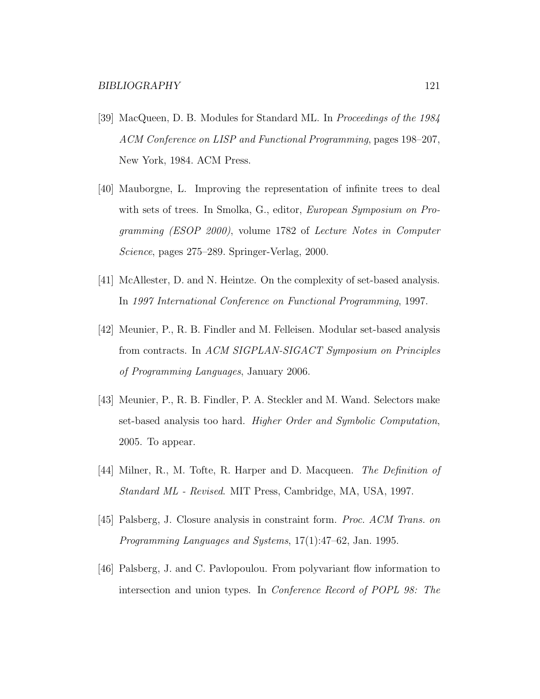- [39] MacQueen, D. B. Modules for Standard ML. In Proceedings of the 1984 ACM Conference on LISP and Functional Programming, pages 198–207, New York, 1984. ACM Press.
- [40] Mauborgne, L. Improving the representation of infinite trees to deal with sets of trees. In Smolka, G., editor, *European Symposium on Pro*gramming (ESOP 2000), volume 1782 of Lecture Notes in Computer Science, pages 275–289. Springer-Verlag, 2000.
- [41] McAllester, D. and N. Heintze. On the complexity of set-based analysis. In 1997 International Conference on Functional Programming, 1997.
- [42] Meunier, P., R. B. Findler and M. Felleisen. Modular set-based analysis from contracts. In ACM SIGPLAN-SIGACT Symposium on Principles of Programming Languages, January 2006.
- [43] Meunier, P., R. B. Findler, P. A. Steckler and M. Wand. Selectors make set-based analysis too hard. Higher Order and Symbolic Computation, 2005. To appear.
- [44] Milner, R., M. Tofte, R. Harper and D. Macqueen. The Definition of Standard ML - Revised. MIT Press, Cambridge, MA, USA, 1997.
- [45] Palsberg, J. Closure analysis in constraint form. Proc. ACM Trans. on Programming Languages and Systems, 17(1):47–62, Jan. 1995.
- [46] Palsberg, J. and C. Pavlopoulou. From polyvariant flow information to intersection and union types. In Conference Record of POPL 98: The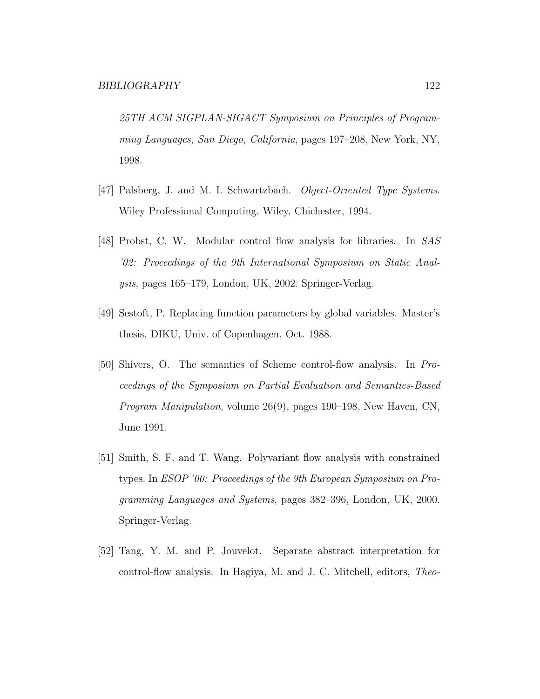25TH ACM SIGPLAN-SIGACT Symposium on Principles of Programming Languages, San Diego, California, pages 197–208, New York, NY, 1998.

- [47] Palsberg, J. and M. I. Schwartzbach. Object-Oriented Type Systems. Wiley Professional Computing. Wiley, Chichester, 1994.
- [48] Probst, C. W. Modular control flow analysis for libraries. In SAS '02: Proceedings of the 9th International Symposium on Static Analysis, pages 165–179, London, UK, 2002. Springer-Verlag.
- [49] Sestoft, P. Replacing function parameters by global variables. Master's thesis, DIKU, Univ. of Copenhagen, Oct. 1988.
- [50] Shivers, O. The semantics of Scheme control-flow analysis. In Proceedings of the Symposium on Partial Evaluation and Semantics-Based Program Manipulation, volume 26(9), pages 190–198, New Haven, CN, June 1991.
- [51] Smith, S. F. and T. Wang. Polyvariant flow analysis with constrained types. In ESOP '00: Proceedings of the 9th European Symposium on Programming Languages and Systems, pages 382–396, London, UK, 2000. Springer-Verlag.
- [52] Tang, Y. M. and P. Jouvelot. Separate abstract interpretation for control-flow analysis. In Hagiya, M. and J. C. Mitchell, editors, Theo-